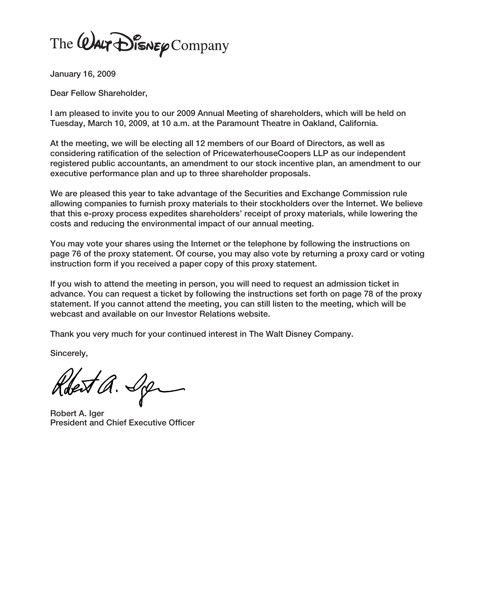The WALT DISNEY Company

**January 16, 2009**

**Dear Fellow Shareholder,**

**I am pleased to invite you to our 2009 Annual Meeting of shareholders, which will be held on Tuesday, March 10, 2009, at 10 a.m. at the Paramount Theatre in Oakland, California.**

**At the meeting, we will be electing all 12 members of our Board of Directors, as well as considering ratification of the selection of PricewaterhouseCoopers LLP as our independent registered public accountants, an amendment to our stock incentive plan, an amendment to our executive performance plan and up to three shareholder proposals.**

**We are pleased this year to take advantage of the Securities and Exchange Commission rule allowing companies to furnish proxy materials to their stockholders over the Internet. We believe that this e-proxy process expedites shareholders' receipt of proxy materials, while lowering the costs and reducing the environmental impact of our annual meeting.**

**You may vote your shares using the Internet or the telephone by following the instructions on page 76 of the proxy statement. Of course, you may also vote by returning a proxy card or voting instruction form if you received a paper copy of this proxy statement.**

**If you wish to attend the meeting in person, you will need to request an admission ticket in advance. You can request a ticket by following the instructions set forth on page 78 of the proxy statement. If you cannot attend the meeting, you can still listen to the meeting, which will be webcast and available on our Investor Relations website.**

**Thank you very much for your continued interest in The Walt Disney Company.**

**Sincerely,**

Robert a. Sp

**Robert A. Iger President and Chief Executive Officer**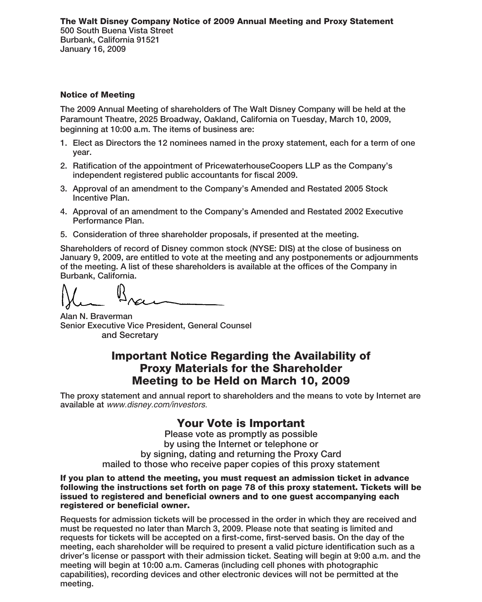#### **Notice of Meeting**

**The 2009 Annual Meeting of shareholders of The Walt Disney Company will be held at the Paramount Theatre, 2025 Broadway, Oakland, California on Tuesday, March 10, 2009, beginning at 10:00 a.m. The items of business are:**

- **1. Elect as Directors the 12 nominees named in the proxy statement, each for a term of one year.**
- **2. Ratification of the appointment of PricewaterhouseCoopers LLP as the Company's independent registered public accountants for fiscal 2009.**
- **3. Approval of an amendment to the Company's Amended and Restated 2005 Stock Incentive Plan.**
- **4. Approval of an amendment to the Company's Amended and Restated 2002 Executive Performance Plan.**
- **5. Consideration of three shareholder proposals, if presented at the meeting.**

**Shareholders of record of Disney common stock (NYSE: DIS) at the close of business on January 9, 2009, are entitled to vote at the meeting and any postponements or adjournments of the meeting. A list of these shareholders is available at the offices of the Company in Burbank, California.**

**Alan N. Braverman Senior Executive Vice President, General Counsel and Secretary**

# **Important Notice Regarding the Availability of Proxy Materials for the Shareholder Meeting to be Held on March 10, 2009**

**The proxy statement and annual report to shareholders and the means to vote by Internet are available at** www.disney.com/investors.

# **Your Vote is Important**

**Please vote as promptly as possible by using the Internet or telephone or by signing, dating and returning the Proxy Card mailed to those who receive paper copies of this proxy statement**

**If you plan to attend the meeting, you must request an admission ticket in advance following the instructions set forth on page 78 of this proxy statement. Tickets will be issued to registered and beneficial owners and to one guest accompanying each registered or beneficial owner.**

**Requests for admission tickets will be processed in the order in which they are received and must be requested no later than March 3, 2009. Please note that seating is limited and requests for tickets will be accepted on a first-come, first-served basis. On the day of the meeting, each shareholder will be required to present a valid picture identification such as a driver's license or passport with their admission ticket. Seating will begin at 9:00 a.m. and the meeting will begin at 10:00 a.m. Cameras (including cell phones with photographic capabilities), recording devices and other electronic devices will not be permitted at the meeting.**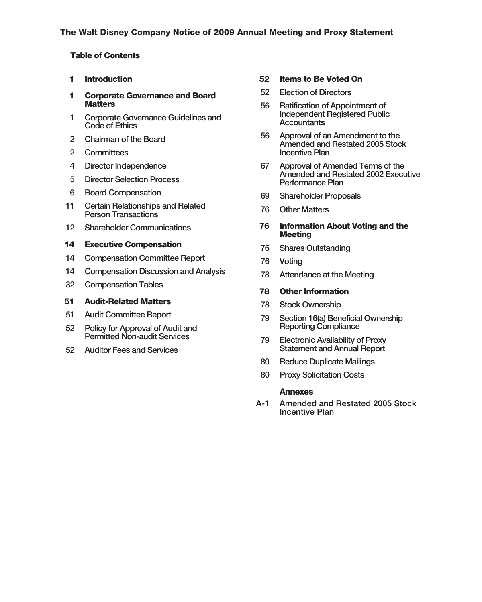### **Table of Contents**

- **1 Introduction**
- **1 Corporate Governance and Board Matters**
- **1 Corporate Governance Guidelines and Code of Ethics**
- **2 Chairman of the Board**
- **2 Committees**
- **4 Director Independence**
- **5 Director Selection Process**
- **6 Board Compensation**
- **11 Certain Relationships and Related Person Transactions**
- **12 Shareholder Communications**

#### **14 Executive Compensation**

- **14 Compensation Committee Report**
- **14 Compensation Discussion and Analysis**
- **32 Compensation Tables**

#### **51 Audit-Related Matters**

- **51 Audit Committee Report**
- **52 Policy for Approval of Audit and Permitted Non-audit Services**
- **52 Auditor Fees and Services**

#### **52 Items to Be Voted On**

- **52 Election of Directors**
- **56 Ratification of Appointment of Independent Registered Public Accountants**
- **56 Approval of an Amendment to the Amended and Restated 2005 Stock Incentive Plan**
- **67 Approval of Amended Terms of the Amended and Restated 2002 Executive Performance Plan**
- **69 Shareholder Proposals**
- **76 Other Matters**
- **76 Information About Voting and the Meeting**
- **76 Shares Outstanding**
- **76 Voting**
- **78 Attendance at the Meeting**

#### **78 Other Information**

- **78 Stock Ownership**
- **79 Section 16(a) Beneficial Ownership Reporting Compliance**
- **79 Electronic Availability of Proxy Statement and Annual Report**
- **80 Reduce Duplicate Mailings**
- **80 Proxy Solicitation Costs**

#### **Annexes**

**A-1 Amended and Restated 2005 Stock Incentive Plan**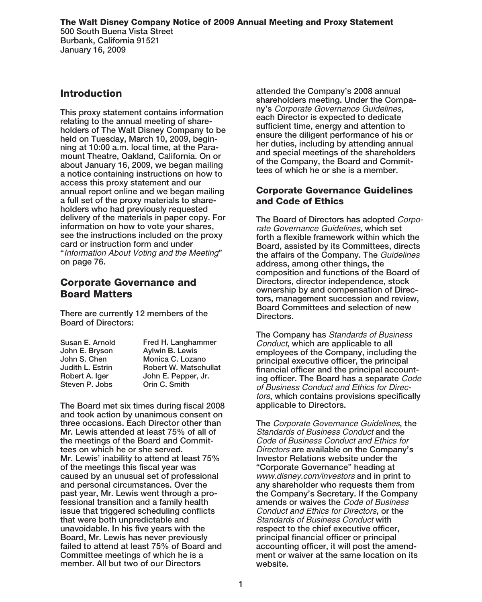# **Introduction**

**This proxy statement contains information relating to the annual meeting of shareholders of The Walt Disney Company to be held on Tuesday, March 10, 2009, beginning at 10:00 a.m. local time, at the Paramount Theatre, Oakland, California. On or about January 16, 2009, we began mailing a notice containing instructions on how to access this proxy statement and our annual report online and we began mailing a full set of the proxy materials to shareholders who had previously requested delivery of the materials in paper copy. For information on how to vote your shares, see the instructions included on the proxy card or instruction form and under "**Information About Voting and the Meeting**" on page 76.**

# **Corporate Governance and Board Matters**

**There are currently 12 members of the Board of Directors:**

| Fred H. Langhammer           |
|------------------------------|
| Aylwin B. Lewis              |
| Monica C. Lozano             |
| <b>Robert W. Matschullat</b> |
| John E. Pepper, Jr.          |
| Orin C. Smith                |
|                              |

**The Board met six times during fiscal 2008 and took action by unanimous consent on three occasions. Each Director other than Mr. Lewis attended at least 75% of all of the meetings of the Board and Committees on which he or she served. Mr. Lewis' inability to attend at least 75% of the meetings this fiscal year was caused by an unusual set of professional and personal circumstances. Over the past year, Mr. Lewis went through a professional transition and a family health issue that triggered scheduling conflicts that were both unpredictable and unavoidable. In his five years with the Board, Mr. Lewis has never previously failed to attend at least 75% of Board and Committee meetings of which he is a member. All but two of our Directors**

**attended the Company's 2008 annual shareholders meeting. Under the Company's** Corporate Governance Guidelines**, each Director is expected to dedicate sufficient time, energy and attention to ensure the diligent performance of his or her duties, including by attending annual and special meetings of the shareholders of the Company, the Board and Committees of which he or she is a member.**

# **Corporate Governance Guidelines and Code of Ethics**

**The Board of Directors has adopted** Corporate Governance Guidelines**, which set forth a flexible framework within which the Board, assisted by its Committees, directs the affairs of the Company. The** Guidelines **address, among other things, the composition and functions of the Board of Directors, director independence, stock ownership by and compensation of Directors, management succession and review, Board Committees and selection of new Directors.**

**The Company has** Standards of Business Conduct**, which are applicable to all employees of the Company, including the principal executive officer, the principal financial officer and the principal accounting officer. The Board has a separate** Code of Business Conduct and Ethics for Directors**, which contains provisions specifically applicable to Directors.**

**The** Corporate Governance Guidelines**, the** Standards of Business Conduct **and the** Code of Business Conduct and Ethics for Directors **are available on the Company's Investor Relations website under the "Corporate Governance" heading at** www.disney.com/investors **and in print to any shareholder who requests them from the Company's Secretary. If the Company amends or waives the** Code of Business Conduct and Ethics for Directors**, or the** Standards of Business Conduct **with respect to the chief executive officer, principal financial officer or principal accounting officer, it will post the amendment or waiver at the same location on its website.**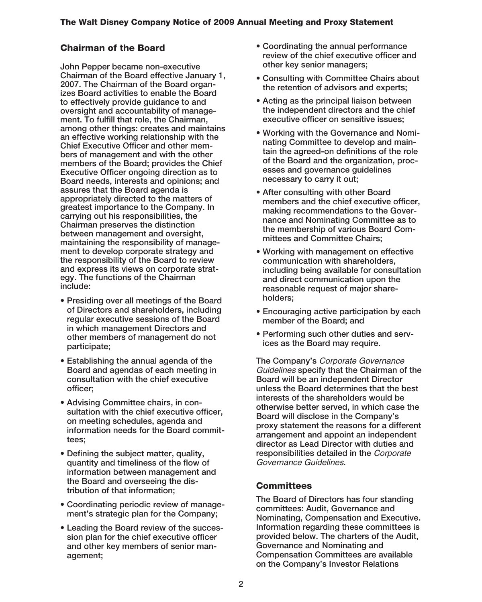# **Chairman of the Board**

**John Pepper became non-executive Chairman of the Board effective January 1, 2007. The Chairman of the Board organizes Board activities to enable the Board to effectively provide guidance to and oversight and accountability of management. To fulfill that role, the Chairman, among other things: creates and maintains an effective working relationship with the Chief Executive Officer and other members of management and with the other members of the Board; provides the Chief Executive Officer ongoing direction as to Board needs, interests and opinions; and assures that the Board agenda is appropriately directed to the matters of greatest importance to the Company. In carrying out his responsibilities, the Chairman preserves the distinction between management and oversight, maintaining the responsibility of management to develop corporate strategy and the responsibility of the Board to review and express its views on corporate strategy. The functions of the Chairman include:**

- **Presiding over all meetings of the Board of Directors and shareholders, including regular executive sessions of the Board in which management Directors and other members of management do not participate;**
- **Establishing the annual agenda of the Board and agendas of each meeting in consultation with the chief executive officer;**
- **Advising Committee chairs, in consultation with the chief executive officer, on meeting schedules, agenda and information needs for the Board committees;**
- **Defining the subject matter, quality, quantity and timeliness of the flow of information between management and the Board and overseeing the distribution of that information;**
- **Coordinating periodic review of management's strategic plan for the Company;**
- **Leading the Board review of the succession plan for the chief executive officer and other key members of senior management;**
- **Coordinating the annual performance review of the chief executive officer and other key senior managers;**
- **Consulting with Committee Chairs about the retention of advisors and experts;**
- **Acting as the principal liaison between the independent directors and the chief executive officer on sensitive issues;**
- **Working with the Governance and Nominating Committee to develop and maintain the agreed-on definitions of the role of the Board and the organization, processes and governance guidelines necessary to carry it out;**
- **After consulting with other Board members and the chief executive officer, making recommendations to the Governance and Nominating Committee as to the membership of various Board Committees and Committee Chairs;**
- **Working with management on effective communication with shareholders, including being available for consultation and direct communication upon the reasonable request of major shareholders;**
- **Encouraging active participation by each member of the Board; and**
- **Performing such other duties and services as the Board may require.**

**The Company's** Corporate Governance Guidelines **specify that the Chairman of the Board will be an independent Director unless the Board determines that the best interests of the shareholders would be otherwise better served, in which case the Board will disclose in the Company's proxy statement the reasons for a different arrangement and appoint an independent director as Lead Director with duties and responsibilities detailed in the** Corporate Governance Guidelines**.**

# **Committees**

**The Board of Directors has four standing committees: Audit, Governance and Nominating, Compensation and Executive. Information regarding these committees is provided below. The charters of the Audit, Governance and Nominating and Compensation Committees are available on the Company's Investor Relations**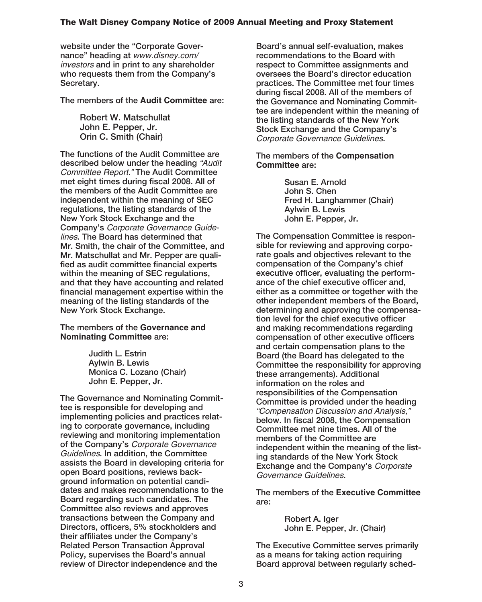**website under the "Corporate Governance" heading at** www.disney.com/ investors **and in print to any shareholder who requests them from the Company's Secretary.**

**The members of the Audit Committee are:**

**Robert W. Matschullat John E. Pepper, Jr. Orin C. Smith (Chair)**

**The functions of the Audit Committee are described below under the heading** "Audit Committee Report." **The Audit Committee met eight times during fiscal 2008. All of the members of the Audit Committee are independent within the meaning of SEC regulations, the listing standards of the New York Stock Exchange and the Company's** Corporate Governance Guidelines**. The Board has determined that Mr. Smith, the chair of the Committee, and Mr. Matschullat and Mr. Pepper are qualified as audit committee financial experts within the meaning of SEC regulations, and that they have accounting and related financial management expertise within the meaning of the listing standards of the New York Stock Exchange.**

**The members of the Governance and Nominating Committee are:**

> **Judith L. Estrin Aylwin B. Lewis Monica C. Lozano (Chair) John E. Pepper, Jr.**

**The Governance and Nominating Committee is responsible for developing and implementing policies and practices relating to corporate governance, including reviewing and monitoring implementation of the Company's** Corporate Governance Guidelines**. In addition, the Committee assists the Board in developing criteria for open Board positions, reviews background information on potential candidates and makes recommendations to the Board regarding such candidates. The Committee also reviews and approves transactions between the Company and Directors, officers, 5% stockholders and their affiliates under the Company's Related Person Transaction Approval Policy, supervises the Board's annual review of Director independence and the**

**Board's annual self-evaluation, makes recommendations to the Board with respect to Committee assignments and oversees the Board's director education practices. The Committee met four times during fiscal 2008. All of the members of the Governance and Nominating Committee are independent within the meaning of the listing standards of the New York Stock Exchange and the Company's** Corporate Governance Guidelines**.**

**The members of the Compensation Committee are:**

> **Susan E. Arnold John S. Chen Fred H. Langhammer (Chair) Aylwin B. Lewis John E. Pepper, Jr.**

**The Compensation Committee is responsible for reviewing and approving corporate goals and objectives relevant to the compensation of the Company's chief executive officer, evaluating the performance of the chief executive officer and, either as a committee or together with the other independent members of the Board, determining and approving the compensation level for the chief executive officer and making recommendations regarding compensation of other executive officers and certain compensation plans to the Board (the Board has delegated to the Committee the responsibility for approving these arrangements). Additional information on the roles and responsibilities of the Compensation Committee is provided under the heading** "Compensation Discussion and Analysis," **below. In fiscal 2008, the Compensation Committee met nine times. All of the members of the Committee are independent within the meaning of the listing standards of the New York Stock Exchange and the Company's** Corporate Governance Guidelines**.**

**The members of the Executive Committee are:**

> **Robert A. Iger John E. Pepper, Jr. (Chair)**

**The Executive Committee serves primarily as a means for taking action requiring Board approval between regularly sched-**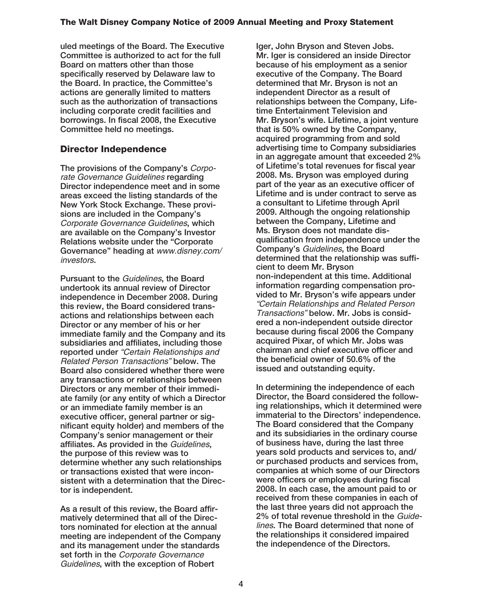**uled meetings of the Board. The Executive Committee is authorized to act for the full Board on matters other than those specifically reserved by Delaware law to the Board. In practice, the Committee's actions are generally limited to matters such as the authorization of transactions including corporate credit facilities and borrowings. In fiscal 2008, the Executive Committee held no meetings.**

# **Director Independence**

**The provisions of the Company's** Corporate Governance Guidelines **regarding Director independence meet and in some areas exceed the listing standards of the New York Stock Exchange. These provisions are included in the Company's** Corporate Governance Guidelines**, which are available on the Company's Investor Relations website under the "Corporate Governance" heading at** www.disney.com/ investors**.**

**Pursuant to the** Guidelines**, the Board undertook its annual review of Director independence in December 2008. During this review, the Board considered transactions and relationships between each Director or any member of his or her immediate family and the Company and its subsidiaries and affiliates, including those reported under** "Certain Relationships and Related Person Transactions" **below. The Board also considered whether there were any transactions or relationships between Directors or any member of their immediate family (or any entity of which a Director or an immediate family member is an executive officer, general partner or significant equity holder) and members of the Company's senior management or their affiliates. As provided in the** Guidelines**, the purpose of this review was to determine whether any such relationships or transactions existed that were inconsistent with a determination that the Director is independent.**

**As a result of this review, the Board affirmatively determined that all of the Directors nominated for election at the annual meeting are independent of the Company and its management under the standards set forth in the** Corporate Governance Guidelines**, with the exception of Robert**

**Iger, John Bryson and Steven Jobs. Mr. Iger is considered an inside Director because of his employment as a senior executive of the Company. The Board determined that Mr. Bryson is not an independent Director as a result of relationships between the Company, Lifetime Entertainment Television and Mr. Bryson's wife. Lifetime, a joint venture that is 50% owned by the Company, acquired programming from and sold advertising time to Company subsidiaries in an aggregate amount that exceeded 2% of Lifetime's total revenues for fiscal year 2008. Ms. Bryson was employed during part of the year as an executive officer of Lifetime and is under contract to serve as a consultant to Lifetime through April 2009. Although the ongoing relationship between the Company, Lifetime and Ms. Bryson does not mandate disqualification from independence under the Company's** Guidelines**, the Board determined that the relationship was sufficient to deem Mr. Bryson non-independent at this time. Additional information regarding compensation provided to Mr. Bryson's wife appears under** "Certain Relationships and Related Person Transactions" **below. Mr. Jobs is considered a non-independent outside director because during fiscal 2006 the Company acquired Pixar, of which Mr. Jobs was chairman and chief executive officer and the beneficial owner of 50.6% of the issued and outstanding equity.**

**In determining the independence of each Director, the Board considered the following relationships, which it determined were immaterial to the Directors' independence. The Board considered that the Company and its subsidiaries in the ordinary course of business have, during the last three years sold products and services to, and/ or purchased products and services from, companies at which some of our Directors were officers or employees during fiscal 2008. In each case, the amount paid to or received from these companies in each of the last three years did not approach the 2% of total revenue threshold in the** Guidelines**. The Board determined that none of the relationships it considered impaired the independence of the Directors.**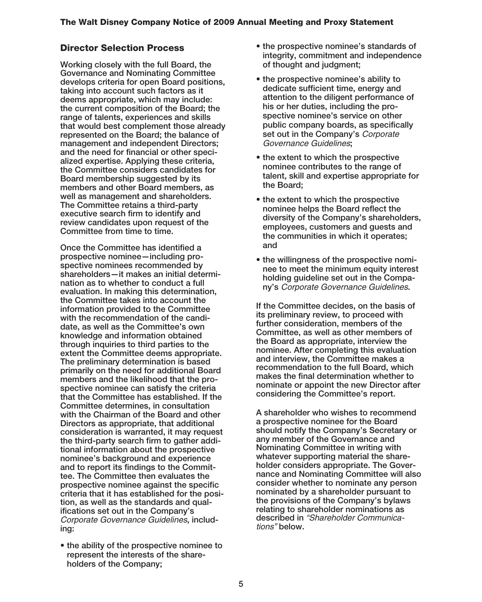# **Director Selection Process**

**Working closely with the full Board, the Governance and Nominating Committee develops criteria for open Board positions, taking into account such factors as it deems appropriate, which may include: the current composition of the Board; the range of talents, experiences and skills that would best complement those already represented on the Board; the balance of management and independent Directors; and the need for financial or other specialized expertise. Applying these criteria, the Committee considers candidates for Board membership suggested by its members and other Board members, as well as management and shareholders. The Committee retains a third-party executive search firm to identify and review candidates upon request of the Committee from time to time.**

**Once the Committee has identified a prospective nominee—including prospective nominees recommended by shareholders—it makes an initial determination as to whether to conduct a full evaluation. In making this determination, the Committee takes into account the information provided to the Committee with the recommendation of the candidate, as well as the Committee's own knowledge and information obtained through inquiries to third parties to the extent the Committee deems appropriate. The preliminary determination is based primarily on the need for additional Board members and the likelihood that the prospective nominee can satisfy the criteria that the Committee has established. If the Committee determines, in consultation with the Chairman of the Board and other Directors as appropriate, that additional consideration is warranted, it may request the third-party search firm to gather additional information about the prospective nominee's background and experience and to report its findings to the Committee. The Committee then evaluates the prospective nominee against the specific criteria that it has established for the position, as well as the standards and qualifications set out in the Company's** Corporate Governance Guidelines**, including:**

**• the ability of the prospective nominee to represent the interests of the shareholders of the Company;**

- **the prospective nominee's standards of integrity, commitment and independence of thought and judgment;**
- **the prospective nominee's ability to dedicate sufficient time, energy and attention to the diligent performance of his or her duties, including the prospective nominee's service on other public company boards, as specifically set out in the Company's** Corporate Governance Guidelines**;**
- **the extent to which the prospective nominee contributes to the range of talent, skill and expertise appropriate for the Board;**
- **the extent to which the prospective nominee helps the Board reflect the diversity of the Company's shareholders, employees, customers and guests and the communities in which it operates; and**
- **the willingness of the prospective nominee to meet the minimum equity interest holding guideline set out in the Company's** Corporate Governance Guidelines**.**

**If the Committee decides, on the basis of its preliminary review, to proceed with further consideration, members of the Committee, as well as other members of the Board as appropriate, interview the nominee. After completing this evaluation and interview, the Committee makes a recommendation to the full Board, which makes the final determination whether to nominate or appoint the new Director after considering the Committee's report.**

**A shareholder who wishes to recommend a prospective nominee for the Board should notify the Company's Secretary or any member of the Governance and Nominating Committee in writing with whatever supporting material the shareholder considers appropriate. The Governance and Nominating Committee will also consider whether to nominate any person nominated by a shareholder pursuant to the provisions of the Company's bylaws relating to shareholder nominations as described in** "Shareholder Communications" **below.**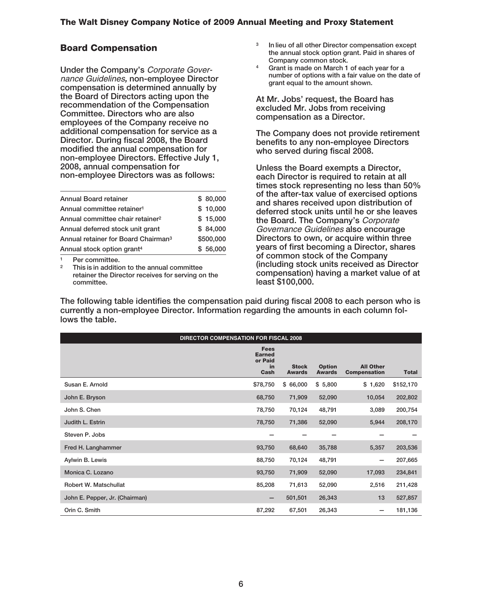## **Board Compensation**

**Under the Company's** Corporate Governance Guidelines*,* **non-employee Director compensation is determined annually by the Board of Directors acting upon the recommendation of the Compensation Committee. Directors who are also employees of the Company receive no additional compensation for service as a Director. During fiscal 2008, the Board modified the annual compensation for non-employee Directors. Effective July 1, 2008, annual compensation for non-employee Directors was as follows:**

| Annual stock option grant <sup>4</sup>          | \$56,000  |
|-------------------------------------------------|-----------|
| Annual retainer for Board Chairman <sup>3</sup> | \$500,000 |
| Annual deferred stock unit grant                | \$84.000  |
| Annual committee chair retainer <sup>2</sup>    | \$15,000  |
| Annual committee retainer <sup>1</sup>          | \$10,000  |
| <b>Annual Board retainer</b>                    | \$80,000  |

**<sup>1</sup> Per committee.**

**<sup>2</sup> This is in addition to the annual committee retainer the Director receives for serving on the committee.**

- **<sup>3</sup> In lieu of all other Director compensation except the annual stock option grant. Paid in shares of Company common stock.**
- **<sup>4</sup> Grant is made on March 1 of each year for a number of options with a fair value on the date of grant equal to the amount shown.**

**At Mr. Jobs' request, the Board has excluded Mr. Jobs from receiving compensation as a Director.**

**The Company does not provide retirement benefits to any non-employee Directors who served during fiscal 2008.**

**Unless the Board exempts a Director, each Director is required to retain at all times stock representing no less than 50% of the after-tax value of exercised options and shares received upon distribution of deferred stock units until he or she leaves the Board. The Company's** Corporate Governance Guidelines **also encourage Directors to own, or acquire within three years of first becoming a Director, shares of common stock of the Company (including stock units received as Director compensation) having a market value of at least \$100,000.**

**The following table identifies the compensation paid during fiscal 2008 to each person who is currently a non-employee Director. Information regarding the amounts in each column follows the table.**

|                                | <b>DIRECTOR COMPENSATION FOR FISCAL 2008</b>          |                               |                                |                                         |              |  |  |
|--------------------------------|-------------------------------------------------------|-------------------------------|--------------------------------|-----------------------------------------|--------------|--|--|
|                                | <b>Fees</b><br><b>Earned</b><br>or Paid<br>in<br>Cash | <b>Stock</b><br><b>Awards</b> | <b>Option</b><br><b>Awards</b> | <b>All Other</b><br><b>Compensation</b> | <b>Total</b> |  |  |
| Susan E. Arnold                | \$78,750                                              | \$66,000                      | \$5,800                        | \$1,620                                 | \$152,170    |  |  |
| John E. Bryson                 | 68,750                                                | 71,909                        | 52,090                         | 10,054                                  | 202,802      |  |  |
| John S. Chen                   | 78,750                                                | 70,124                        | 48,791                         | 3,089                                   | 200,754      |  |  |
| Judith L. Estrin               | 78,750                                                | 71,386                        | 52,090                         | 5,944                                   | 208,170      |  |  |
| Steven P. Jobs                 |                                                       |                               |                                |                                         |              |  |  |
| Fred H. Langhammer             | 93,750                                                | 68,640                        | 35,788                         | 5,357                                   | 203,536      |  |  |
| Aylwin B. Lewis                | 88,750                                                | 70,124                        | 48,791                         |                                         | 207,665      |  |  |
| Monica C. Lozano               | 93,750                                                | 71,909                        | 52,090                         | 17,093                                  | 234,841      |  |  |
| Robert W. Matschullat          | 85,208                                                | 71,613                        | 52,090                         | 2,516                                   | 211,428      |  |  |
| John E. Pepper, Jr. (Chairman) |                                                       | 501,501                       | 26,343                         | 13                                      | 527,857      |  |  |
| Orin C. Smith                  | 87,292                                                | 67,501                        | 26,343                         |                                         | 181,136      |  |  |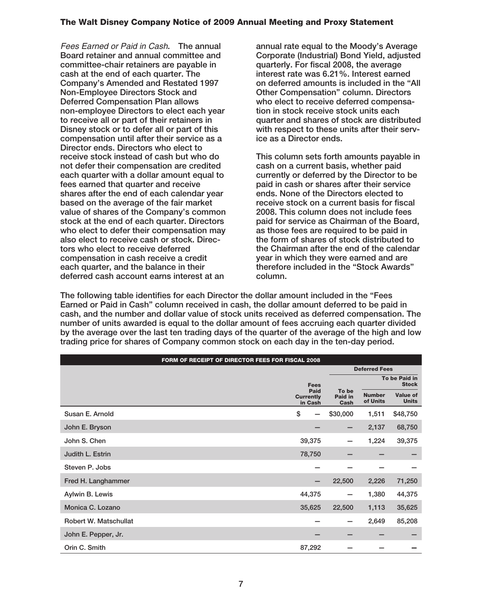Fees Earned or Paid in Cash**. The annual Board retainer and annual committee and committee-chair retainers are payable in cash at the end of each quarter. The Company's Amended and Restated 1997 Non-Employee Directors Stock and Deferred Compensation Plan allows non-employee Directors to elect each year to receive all or part of their retainers in Disney stock or to defer all or part of this compensation until after their service as a Director ends. Directors who elect to receive stock instead of cash but who do not defer their compensation are credited each quarter with a dollar amount equal to fees earned that quarter and receive shares after the end of each calendar year based on the average of the fair market value of shares of the Company's common stock at the end of each quarter. Directors who elect to defer their compensation may also elect to receive cash or stock. Directors who elect to receive deferred compensation in cash receive a credit each quarter, and the balance in their deferred cash account earns interest at an**

**annual rate equal to the Moody's Average Corporate (Industrial) Bond Yield, adjusted quarterly. For fiscal 2008, the average interest rate was 6.21%. Interest earned on deferred amounts is included in the "All Other Compensation" column. Directors who elect to receive deferred compensation in stock receive stock units each quarter and shares of stock are distributed with respect to these units after their service as a Director ends.**

**This column sets forth amounts payable in cash on a current basis, whether paid currently or deferred by the Director to be paid in cash or shares after their service ends. None of the Directors elected to receive stock on a current basis for fiscal 2008. This column does not include fees paid for service as Chairman of the Board, as those fees are required to be paid in the form of shares of stock distributed to the Chairman after the end of the calendar year in which they were earned and are therefore included in the "Stock Awards" column.**

**The following table identifies for each Director the dollar amount included in the "Fees Earned or Paid in Cash" column received in cash, the dollar amount deferred to be paid in cash, and the number and dollar value of stock units received as deferred compensation. The number of units awarded is equal to the dollar amount of fees accruing each quarter divided by the average over the last ten trading days of the quarter of the average of the high and low trading price for shares of Company common stock on each day in the ten-day period.**

| FORM OF RECEIPT OF DIRECTOR FEES FOR FISCAL 2008 |                                     |                          |                           |                                 |  |  |  |
|--------------------------------------------------|-------------------------------------|--------------------------|---------------------------|---------------------------------|--|--|--|
|                                                  |                                     |                          | <b>Deferred Fees</b>      |                                 |  |  |  |
|                                                  | <b>Fees</b>                         |                          |                           | To be Paid in<br><b>Stock</b>   |  |  |  |
|                                                  | Paid<br><b>Currently</b><br>in Cash | To be<br>Paid in<br>Cash | <b>Number</b><br>of Units | <b>Value of</b><br><b>Units</b> |  |  |  |
| Susan E. Arnold                                  | \$                                  | \$30,000                 | 1,511                     | \$48,750                        |  |  |  |
| John E. Bryson                                   |                                     | -                        | 2,137                     | 68,750                          |  |  |  |
| John S. Chen                                     | 39,375                              | -                        | 1,224                     | 39,375                          |  |  |  |
| Judith L. Estrin                                 | 78,750                              |                          |                           |                                 |  |  |  |
| Steven P. Jobs                                   |                                     |                          |                           |                                 |  |  |  |
| Fred H. Langhammer                               |                                     | 22,500                   | 2,226                     | 71,250                          |  |  |  |
| Aylwin B. Lewis                                  | 44,375                              | —                        | 1,380                     | 44,375                          |  |  |  |
| Monica C. Lozano                                 | 35,625                              | 22,500                   | 1,113                     | 35,625                          |  |  |  |
| Robert W. Matschullat                            |                                     | -                        | 2,649                     | 85,208                          |  |  |  |
| John E. Pepper, Jr.                              |                                     |                          |                           |                                 |  |  |  |
| Orin C. Smith                                    | 87,292                              |                          |                           |                                 |  |  |  |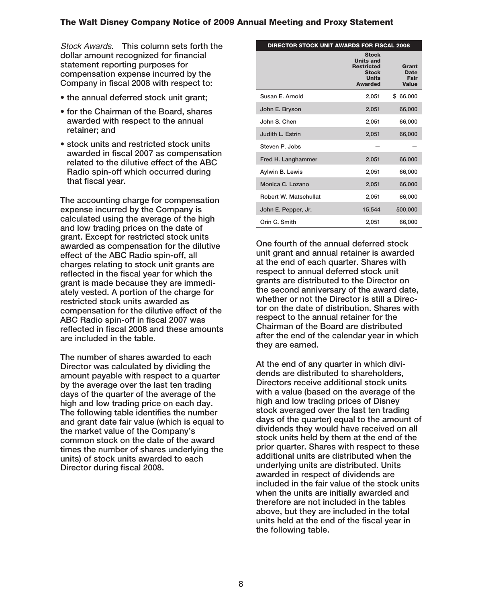Stock Awards**. This column sets forth the dollar amount recognized for financial statement reporting purposes for compensation expense incurred by the Company in fiscal 2008 with respect to:**

- **the annual deferred stock unit grant;**
- **for the Chairman of the Board, shares awarded with respect to the annual retainer; and**
- **stock units and restricted stock units awarded in fiscal 2007 as compensation related to the dilutive effect of the ABC Radio spin-off which occurred during that fiscal year.**

**The accounting charge for compensation expense incurred by the Company is calculated using the average of the high and low trading prices on the date of grant. Except for restricted stock units awarded as compensation for the dilutive effect of the ABC Radio spin-off, all charges relating to stock unit grants are reflected in the fiscal year for which the grant is made because they are immediately vested. A portion of the charge for restricted stock units awarded as compensation for the dilutive effect of the ABC Radio spin-off in fiscal 2007 was reflected in fiscal 2008 and these amounts are included in the table.**

**The number of shares awarded to each Director was calculated by dividing the amount payable with respect to a quarter by the average over the last ten trading days of the quarter of the average of the high and low trading price on each day. The following table identifies the number and grant date fair value (which is equal to the market value of the Company's common stock on the date of the award times the number of shares underlying the units) of stock units awarded to each Director during fiscal 2008.**

| <b>DIRECTOR STOCK UNIT AWARDS FOR FISCAL 2008</b> |                                                                                                         |                                              |
|---------------------------------------------------|---------------------------------------------------------------------------------------------------------|----------------------------------------------|
|                                                   | <b>Stock</b><br><b>Units and</b><br><b>Restricted</b><br><b>Stock</b><br><b>Units</b><br><b>Awarded</b> | Grant<br><b>Date</b><br>Fair<br><b>Value</b> |
| Susan E. Arnold                                   | 2,051                                                                                                   | \$66,000                                     |
| John E. Bryson                                    | 2,051                                                                                                   | 66,000                                       |
| John S. Chen                                      | 2,051                                                                                                   | 66,000                                       |
| Judith L. Estrin                                  | 2.051                                                                                                   | 66,000                                       |
| Steven P. Jobs                                    |                                                                                                         |                                              |
| Fred H. Langhammer                                | 2,051                                                                                                   | 66,000                                       |
| Aylwin B. Lewis                                   | 2,051                                                                                                   | 66,000                                       |
| Monica C. Lozano                                  | 2,051                                                                                                   | 66,000                                       |
| Robert W. Matschullat                             | 2,051                                                                                                   | 66,000                                       |
| John E. Pepper, Jr.                               | 15,544                                                                                                  | 500,000                                      |
| Orin C. Smith                                     | 2,051                                                                                                   | 66,000                                       |

**One fourth of the annual deferred stock unit grant and annual retainer is awarded at the end of each quarter. Shares with respect to annual deferred stock unit grants are distributed to the Director on the second anniversary of the award date, whether or not the Director is still a Director on the date of distribution. Shares with respect to the annual retainer for the Chairman of the Board are distributed after the end of the calendar year in which they are earned.**

**At the end of any quarter in which dividends are distributed to shareholders, Directors receive additional stock units with a value (based on the average of the high and low trading prices of Disney stock averaged over the last ten trading days of the quarter) equal to the amount of dividends they would have received on all stock units held by them at the end of the prior quarter. Shares with respect to these additional units are distributed when the underlying units are distributed. Units awarded in respect of dividends are included in the fair value of the stock units when the units are initially awarded and therefore are not included in the tables above, but they are included in the total units held at the end of the fiscal year in the following table.**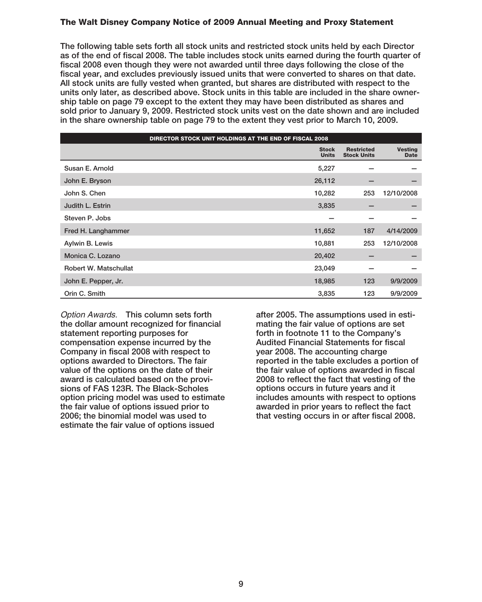**The following table sets forth all stock units and restricted stock units held by each Director as of the end of fiscal 2008. The table includes stock units earned during the fourth quarter of fiscal 2008 even though they were not awarded until three days following the close of the fiscal year, and excludes previously issued units that were converted to shares on that date. All stock units are fully vested when granted, but shares are distributed with respect to the units only later, as described above. Stock units in this table are included in the share ownership table on page 79 except to the extent they may have been distributed as shares and sold prior to January 9, 2009. Restricted stock units vest on the date shown and are included in the share ownership table on page 79 to the extent they vest prior to March 10, 2009.**

| DIRECTOR STOCK UNIT HOLDINGS AT THE END OF FISCAL 2008 |                              |                                         |                               |  |  |  |
|--------------------------------------------------------|------------------------------|-----------------------------------------|-------------------------------|--|--|--|
|                                                        | <b>Stock</b><br><b>Units</b> | <b>Restricted</b><br><b>Stock Units</b> | <b>Vesting</b><br><b>Date</b> |  |  |  |
| Susan E. Arnold                                        | 5,227                        |                                         |                               |  |  |  |
| John E. Bryson                                         | 26,112                       |                                         |                               |  |  |  |
| John S. Chen                                           | 10,282                       | 253                                     | 12/10/2008                    |  |  |  |
| Judith L. Estrin                                       | 3,835                        |                                         |                               |  |  |  |
| Steven P. Jobs                                         |                              |                                         |                               |  |  |  |
| Fred H. Langhammer                                     | 11,652                       | 187                                     | 4/14/2009                     |  |  |  |
| Aylwin B. Lewis                                        | 10,881                       | 253                                     | 12/10/2008                    |  |  |  |
| Monica C. Lozano                                       | 20,402                       |                                         |                               |  |  |  |
| Robert W. Matschullat                                  | 23,049                       |                                         |                               |  |  |  |
| John E. Pepper, Jr.                                    | 18,985                       | 123                                     | 9/9/2009                      |  |  |  |
| Orin C. Smith                                          | 3,835                        | 123                                     | 9/9/2009                      |  |  |  |

Option Awards. **This column sets forth the dollar amount recognized for financial statement reporting purposes for compensation expense incurred by the Company in fiscal 2008 with respect to options awarded to Directors. The fair value of the options on the date of their award is calculated based on the provisions of FAS 123R. The Black-Scholes option pricing model was used to estimate the fair value of options issued prior to 2006; the binomial model was used to estimate the fair value of options issued**

**after 2005. The assumptions used in estimating the fair value of options are set forth in footnote 11 to the Company's Audited Financial Statements for fiscal year 2008. The accounting charge reported in the table excludes a portion of the fair value of options awarded in fiscal 2008 to reflect the fact that vesting of the options occurs in future years and it includes amounts with respect to options awarded in prior years to reflect the fact that vesting occurs in or after fiscal 2008.**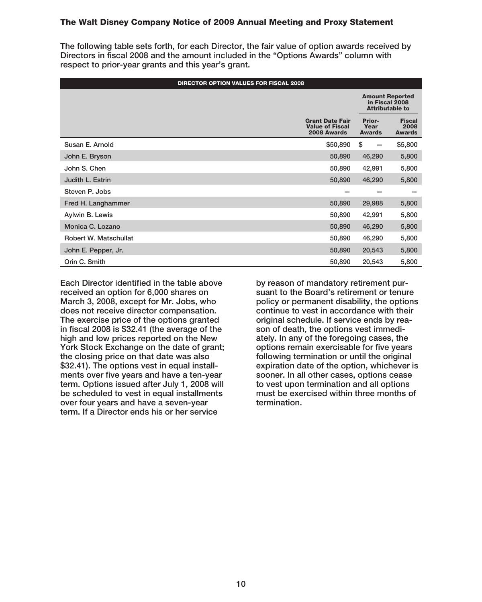**The following table sets forth, for each Director, the fair value of option awards received by Directors in fiscal 2008 and the amount included in the "Options Awards" column with respect to prior-year grants and this year's grant.**

|                       | <b>DIRECTOR OPTION VALUES FOR FISCAL 2008</b>                   |                                                                    |                                        |  |  |  |
|-----------------------|-----------------------------------------------------------------|--------------------------------------------------------------------|----------------------------------------|--|--|--|
|                       |                                                                 | <b>Amount Reported</b><br>in Fiscal 2008<br><b>Attributable to</b> |                                        |  |  |  |
|                       | <b>Grant Date Fair</b><br><b>Value of Fiscal</b><br>2008 Awards | <b>Prior-</b><br>Year<br><b>Awards</b>                             | <b>Fiscal</b><br>2008<br><b>Awards</b> |  |  |  |
| Susan E. Arnold       | \$50,890                                                        | \$                                                                 | \$5,800                                |  |  |  |
| John E. Bryson        | 50,890                                                          | 46,290                                                             | 5,800                                  |  |  |  |
| John S. Chen          | 50,890                                                          | 42,991                                                             | 5,800                                  |  |  |  |
| Judith L. Estrin      | 50,890                                                          | 46,290                                                             | 5,800                                  |  |  |  |
| Steven P. Jobs        |                                                                 |                                                                    |                                        |  |  |  |
| Fred H. Langhammer    | 50,890                                                          | 29,988                                                             | 5,800                                  |  |  |  |
| Aylwin B. Lewis       | 50,890                                                          | 42,991                                                             | 5,800                                  |  |  |  |
| Monica C. Lozano      | 50,890                                                          | 46,290                                                             | 5,800                                  |  |  |  |
| Robert W. Matschullat | 50,890                                                          | 46,290                                                             | 5,800                                  |  |  |  |
| John E. Pepper, Jr.   | 50,890                                                          | 20,543                                                             | 5,800                                  |  |  |  |
| Orin C. Smith         | 50,890                                                          | 20,543                                                             | 5,800                                  |  |  |  |

**Each Director identified in the table above received an option for 6,000 shares on March 3, 2008, except for Mr. Jobs, who does not receive director compensation. The exercise price of the options granted in fiscal 2008 is \$32.41 (the average of the high and low prices reported on the New York Stock Exchange on the date of grant; the closing price on that date was also \$32.41). The options vest in equal installments over five years and have a ten-year term. Options issued after July 1, 2008 will be scheduled to vest in equal installments over four years and have a seven-year term. If a Director ends his or her service**

**by reason of mandatory retirement pursuant to the Board's retirement or tenure policy or permanent disability, the options continue to vest in accordance with their original schedule. If service ends by reason of death, the options vest immediately. In any of the foregoing cases, the options remain exercisable for five years following termination or until the original expiration date of the option, whichever is sooner. In all other cases, options cease to vest upon termination and all options must be exercised within three months of termination.**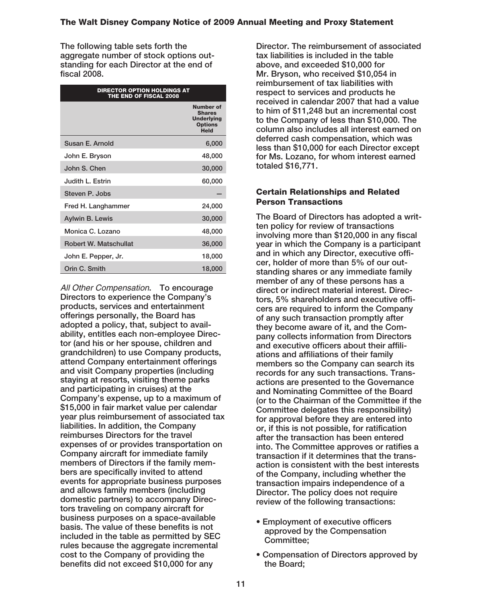**The following table sets forth the aggregate number of stock options outstanding for each Director at the end of fiscal 2008.**

| <b>DIRECTOR OPTION HOLDINGS AT</b><br>THE END OF FISCAL 2008 |                                                                                  |
|--------------------------------------------------------------|----------------------------------------------------------------------------------|
|                                                              | <b>Number of</b><br><b>Shares</b><br><b>Underlying</b><br><b>Options</b><br>Held |
| Susan E. Arnold                                              | 6,000                                                                            |
| John E. Bryson                                               | 48,000                                                                           |
| John S. Chen                                                 | 30,000                                                                           |
| Judith L. Estrin                                             | 60,000                                                                           |
| Steven P. Jobs                                               |                                                                                  |
| Fred H. Langhammer                                           | 24,000                                                                           |
| <b>Aylwin B. Lewis</b>                                       | 30,000                                                                           |
| Monica C. Lozano                                             | 48,000                                                                           |
| Robert W. Matschullat                                        | 36,000                                                                           |
| John E. Pepper, Jr.                                          | 18,000                                                                           |
| Orin C. Smith                                                | 18,000                                                                           |

All Other Compensation**. To encourage Directors to experience the Company's products, services and entertainment offerings personally, the Board has adopted a policy, that, subject to availability, entitles each non-employee Director (and his or her spouse, children and grandchildren) to use Company products, attend Company entertainment offerings and visit Company properties (including staying at resorts, visiting theme parks and participating in cruises) at the Company's expense, up to a maximum of \$15,000 in fair market value per calendar year plus reimbursement of associated tax liabilities. In addition, the Company reimburses Directors for the travel expenses of or provides transportation on Company aircraft for immediate family members of Directors if the family members are specifically invited to attend events for appropriate business purposes and allows family members (including domestic partners) to accompany Directors traveling on company aircraft for business purposes on a space-available basis. The value of these benefits is not included in the table as permitted by SEC rules because the aggregate incremental cost to the Company of providing the benefits did not exceed \$10,000 for any**

**Director. The reimbursement of associated tax liabilities is included in the table above, and exceeded \$10,000 for Mr. Bryson, who received \$10,054 in reimbursement of tax liabilities with respect to services and products he received in calendar 2007 that had a value to him of \$11,248 but an incremental cost to the Company of less than \$10,000. The column also includes all interest earned on deferred cash compensation, which was less than \$10,000 for each Director except for Ms. Lozano, for whom interest earned totaled \$16,771.**

#### **Certain Relationships and Related Person Transactions**

**The Board of Directors has adopted a written policy for review of transactions involving more than \$120,000 in any fiscal year in which the Company is a participant and in which any Director, executive officer, holder of more than 5% of our outstanding shares or any immediate family member of any of these persons has a direct or indirect material interest. Directors, 5% shareholders and executive officers are required to inform the Company of any such transaction promptly after they become aware of it, and the Company collects information from Directors and executive officers about their affiliations and affiliations of their family members so the Company can search its records for any such transactions. Transactions are presented to the Governance and Nominating Committee of the Board (or to the Chairman of the Committee if the Committee delegates this responsibility) for approval before they are entered into or, if this is not possible, for ratification after the transaction has been entered into. The Committee approves or ratifies a transaction if it determines that the transaction is consistent with the best interests of the Company, including whether the transaction impairs independence of a Director. The policy does not require review of the following transactions:**

- **Employment of executive officers approved by the Compensation Committee;**
- **Compensation of Directors approved by the Board;**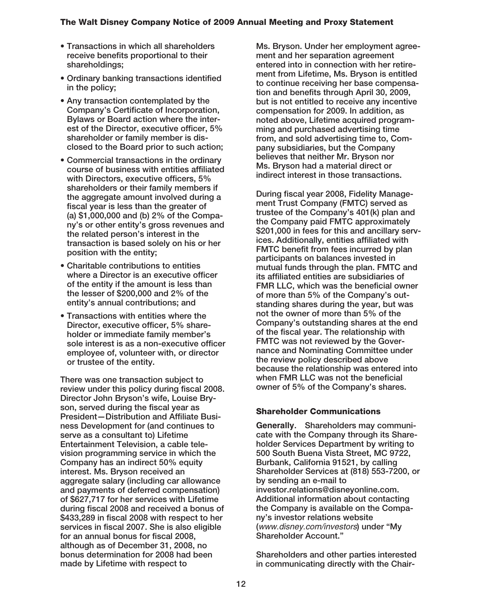- **Transactions in which all shareholders receive benefits proportional to their shareholdings;**
- **Ordinary banking transactions identified in the policy;**
- **Any transaction contemplated by the Company's Certificate of Incorporation, Bylaws or Board action where the interest of the Director, executive officer, 5% shareholder or family member is disclosed to the Board prior to such action;**
- **Commercial transactions in the ordinary course of business with entities affiliated with Directors, executive officers, 5% shareholders or their family members if the aggregate amount involved during a fiscal year is less than the greater of (a) \$1,000,000 and (b) 2% of the Company's or other entity's gross revenues and the related person's interest in the transaction is based solely on his or her position with the entity;**
- **Charitable contributions to entities where a Director is an executive officer of the entity if the amount is less than the lesser of \$200,000 and 2% of the entity's annual contributions; and**
- **Transactions with entities where the Director, executive officer, 5% shareholder or immediate family member's sole interest is as a non-executive officer employee of, volunteer with, or director or trustee of the entity.**

**There was one transaction subject to review under this policy during fiscal 2008. Director John Bryson's wife, Louise Bryson, served during the fiscal year as President—Distribution and Affiliate Business Development for (and continues to serve as a consultant to) Lifetime Entertainment Television, a cable television programming service in which the Company has an indirect 50% equity interest. Ms. Bryson received an aggregate salary (including car allowance and payments of deferred compensation) of \$627,717 for her services with Lifetime during fiscal 2008 and received a bonus of \$433,289 in fiscal 2008 with respect to her services in fiscal 2007. She is also eligible for an annual bonus for fiscal 2008, although as of December 31, 2008, no bonus determination for 2008 had been made by Lifetime with respect to**

**Ms. Bryson. Under her employment agreement and her separation agreement entered into in connection with her retirement from Lifetime, Ms. Bryson is entitled to continue receiving her base compensation and benefits through April 30, 2009, but is not entitled to receive any incentive compensation for 2009. In addition, as noted above, Lifetime acquired programming and purchased advertising time from, and sold advertising time to, Company subsidiaries, but the Company believes that neither Mr. Bryson nor Ms. Bryson had a material direct or indirect interest in those transactions.**

**During fiscal year 2008, Fidelity Management Trust Company (FMTC) served as trustee of the Company's 401(k) plan and the Company paid FMTC approximately \$201,000 in fees for this and ancillary services. Additionally, entities affiliated with FMTC benefit from fees incurred by plan participants on balances invested in mutual funds through the plan. FMTC and its affiliated entities are subsidiaries of FMR LLC, which was the beneficial owner of more than 5% of the Company's outstanding shares during the year, but was not the owner of more than 5% of the Company's outstanding shares at the end of the fiscal year. The relationship with FMTC was not reviewed by the Governance and Nominating Committee under the review policy described above because the relationship was entered into when FMR LLC was not the beneficial owner of 5% of the Company's shares.**

### **Shareholder Communications**

**Generally. Shareholders may communicate with the Company through its Shareholder Services Department by writing to 500 South Buena Vista Street, MC 9722, Burbank, California 91521, by calling Shareholder Services at (818) 553-7200, or by sending an e-mail to investor.relations@disneyonline.com. Additional information about contacting the Company is available on the Company's investor relations website (**www.disney.com/investors**) under "My Shareholder Account."**

**Shareholders and other parties interested in communicating directly with the Chair-**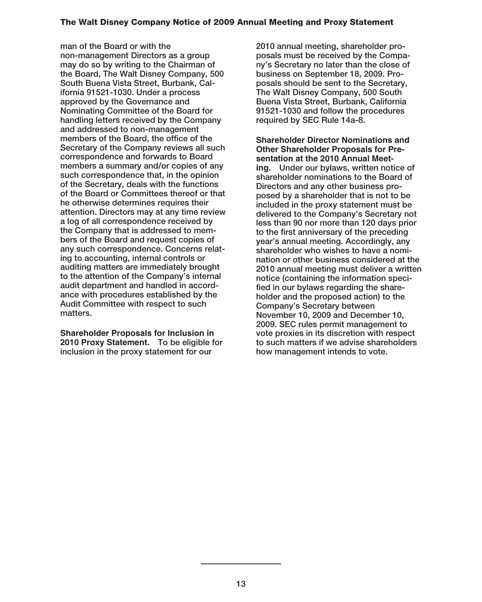**man of the Board or with the non-management Directors as a group may do so by writing to the Chairman of the Board, The Walt Disney Company, 500 South Buena Vista Street, Burbank, California 91521-1030. Under a process approved by the Governance and Nominating Committee of the Board for handling letters received by the Company and addressed to non-management members of the Board, the office of the Secretary of the Company reviews all such correspondence and forwards to Board members a summary and/or copies of any such correspondence that, in the opinion of the Secretary, deals with the functions of the Board or Committees thereof or that he otherwise determines requires their attention. Directors may at any time review a log of all correspondence received by the Company that is addressed to members of the Board and request copies of any such correspondence. Concerns relating to accounting, internal controls or auditing matters are immediately brought to the attention of the Company's internal audit department and handled in accordance with procedures established by the Audit Committee with respect to such matters.**

**Shareholder Proposals for Inclusion in 2010 Proxy Statement. To be eligible for inclusion in the proxy statement for our**

**2010 annual meeting, shareholder proposals must be received by the Company's Secretary no later than the close of business on September 18, 2009. Proposals should be sent to the Secretary, The Walt Disney Company, 500 South Buena Vista Street, Burbank, California 91521-1030 and follow the procedures required by SEC Rule 14a-8.**

**Shareholder Director Nominations and Other Shareholder Proposals for Presentation at the 2010 Annual Meeting. Under our bylaws, written notice of shareholder nominations to the Board of Directors and any other business proposed by a shareholder that is not to be included in the proxy statement must be delivered to the Company's Secretary not less than 90 nor more than 120 days prior to the first anniversary of the preceding year's annual meeting. Accordingly, any shareholder who wishes to have a nomination or other business considered at the 2010 annual meeting must deliver a written notice (containing the information specified in our bylaws regarding the shareholder and the proposed action) to the Company's Secretary between November 10, 2009 and December 10, 2009. SEC rules permit management to vote proxies in its discretion with respect to such matters if we advise shareholders how management intends to vote.**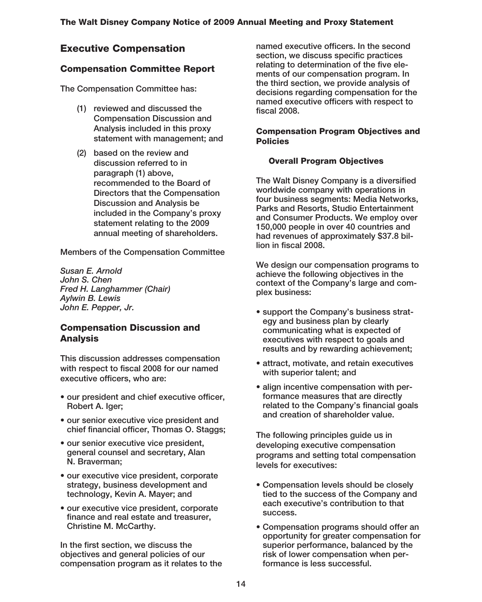# **Executive Compensation**

# **Compensation Committee Report**

**The Compensation Committee has:**

- **(1) reviewed and discussed the Compensation Discussion and Analysis included in this proxy statement with management; and**
- **(2) based on the review and discussion referred to in paragraph (1) above, recommended to the Board of Directors that the Compensation Discussion and Analysis be included in the Company's proxy statement relating to the 2009 annual meeting of shareholders.**

**Members of the Compensation Committee**

*Susan E. Arnold John S. Chen Fred H. Langhammer (Chair) Aylwin B. Lewis John E. Pepper, Jr.*

## **Compensation Discussion and Analysis**

**This discussion addresses compensation with respect to fiscal 2008 for our named executive officers, who are:**

- **our president and chief executive officer, Robert A. Iger;**
- **our senior executive vice president and chief financial officer, Thomas O. Staggs;**
- **our senior executive vice president, general counsel and secretary, Alan N. Braverman;**
- **our executive vice president, corporate strategy, business development and technology, Kevin A. Mayer; and**
- **our executive vice president, corporate finance and real estate and treasurer, Christine M. McCarthy.**

**In the first section, we discuss the objectives and general policies of our compensation program as it relates to the** **named executive officers. In the second section, we discuss specific practices relating to determination of the five elements of our compensation program. In the third section, we provide analysis of decisions regarding compensation for the named executive officers with respect to fiscal 2008.**

### **Compensation Program Objectives and Policies**

## **Overall Program Objectives**

**The Walt Disney Company is a diversified worldwide company with operations in four business segments: Media Networks, Parks and Resorts, Studio Entertainment and Consumer Products. We employ over 150,000 people in over 40 countries and had revenues of approximately \$37.8 billion in fiscal 2008.**

**We design our compensation programs to achieve the following objectives in the context of the Company's large and complex business:**

- **support the Company's business strategy and business plan by clearly communicating what is expected of executives with respect to goals and results and by rewarding achievement;**
- **attract, motivate, and retain executives with superior talent; and**
- **align incentive compensation with performance measures that are directly related to the Company's financial goals and creation of shareholder value.**

**The following principles guide us in developing executive compensation programs and setting total compensation levels for executives:**

- **Compensation levels should be closely tied to the success of the Company and each executive's contribution to that success.**
- **Compensation programs should offer an opportunity for greater compensation for superior performance, balanced by the risk of lower compensation when performance is less successful.**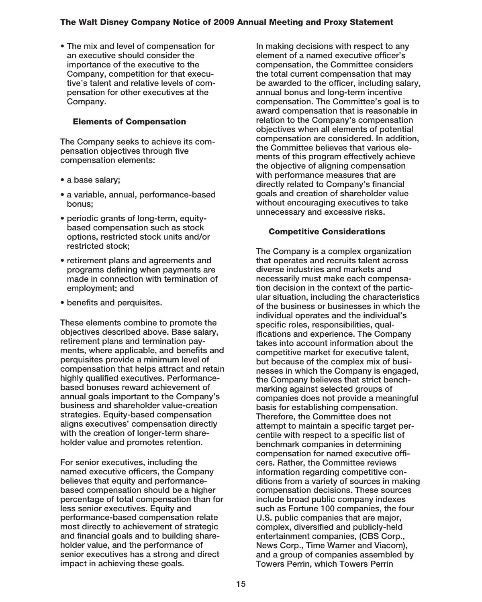**• The mix and level of compensation for an executive should consider the importance of the executive to the Company, competition for that executive's talent and relative levels of compensation for other executives at the Company.**

### **Elements of Compensation**

**The Company seeks to achieve its compensation objectives through five compensation elements:**

- **a base salary;**
- **a variable, annual, performance-based bonus;**
- **periodic grants of long-term, equitybased compensation such as stock options, restricted stock units and/or restricted stock;**
- **retirement plans and agreements and programs defining when payments are made in connection with termination of employment; and**
- **benefits and perquisites.**

**These elements combine to promote the objectives described above. Base salary, retirement plans and termination payments, where applicable, and benefits and perquisites provide a minimum level of compensation that helps attract and retain highly qualified executives. Performancebased bonuses reward achievement of annual goals important to the Company's business and shareholder value-creation strategies. Equity-based compensation aligns executives' compensation directly with the creation of longer-term shareholder value and promotes retention.**

**For senior executives, including the named executive officers, the Company believes that equity and performancebased compensation should be a higher percentage of total compensation than for less senior executives. Equity and performance-based compensation relate most directly to achievement of strategic and financial goals and to building shareholder value, and the performance of senior executives has a strong and direct impact in achieving these goals.**

**In making decisions with respect to any element of a named executive officer's compensation, the Committee considers the total current compensation that may be awarded to the officer, including salary, annual bonus and long-term incentive compensation. The Committee's goal is to award compensation that is reasonable in relation to the Company's compensation objectives when all elements of potential compensation are considered. In addition, the Committee believes that various elements of this program effectively achieve the objective of aligning compensation with performance measures that are directly related to Company's financial goals and creation of shareholder value without encouraging executives to take unnecessary and excessive risks.**

### **Competitive Considerations**

**The Company is a complex organization that operates and recruits talent across diverse industries and markets and necessarily must make each compensation decision in the context of the particular situation, including the characteristics of the business or businesses in which the individual operates and the individual's specific roles, responsibilities, qualifications and experience. The Company takes into account information about the competitive market for executive talent, but because of the complex mix of businesses in which the Company is engaged, the Company believes that strict benchmarking against selected groups of companies does not provide a meaningful basis for establishing compensation. Therefore, the Committee does not attempt to maintain a specific target percentile with respect to a specific list of benchmark companies in determining compensation for named executive officers. Rather, the Committee reviews information regarding competitive conditions from a variety of sources in making compensation decisions. These sources include broad public company indexes such as Fortune 100 companies, the four U.S. public companies that are major, complex, diversified and publicly-held entertainment companies, (CBS Corp., News Corp., Time Warner and Viacom), and a group of companies assembled by Towers Perrin, which Towers Perrin**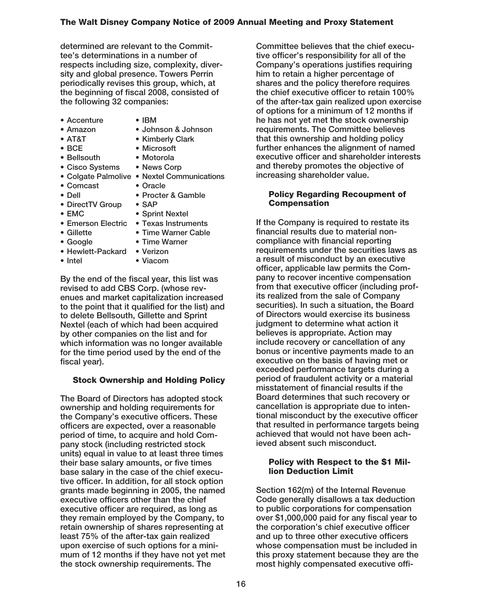**determined are relevant to the Committee's determinations in a number of respects including size, complexity, diversity and global presence. Towers Perrin periodically revises this group, which, at the beginning of fiscal 2008, consisted of the following 32 companies:**

- **Accenture IBM**
	-
- 
- **Amazon Johnson & Johnson**
- 
- **AT&T Kimberly Clark**
- **BCE Microsoft**
- **Bellsouth Motorola**
- **Cisco Systems News Corp**
- 
- **Colgate Palmolive Nextel Communications**
- **Comcast Oracle**
- **Dell Procter & Gamble**
- **DirectTV Group SAP**
- **EMC Sprint Nextel**
	-
- 
- **Emerson Electric Texas Instruments • Time Warner Cable**
- 
- **Google Time Warner**
- **Hewlett-Packard Verizon**
- **Intel Viacom**

**By the end of the fiscal year, this list was revised to add CBS Corp. (whose revenues and market capitalization increased to the point that it qualified for the list) and to delete Bellsouth, Gillette and Sprint Nextel (each of which had been acquired by other companies on the list and for which information was no longer available for the time period used by the end of the fiscal year).**

## **Stock Ownership and Holding Policy**

**The Board of Directors has adopted stock ownership and holding requirements for the Company's executive officers. These officers are expected, over a reasonable period of time, to acquire and hold Company stock (including restricted stock units) equal in value to at least three times their base salary amounts, or five times base salary in the case of the chief executive officer. In addition, for all stock option grants made beginning in 2005, the named executive officers other than the chief executive officer are required, as long as they remain employed by the Company, to retain ownership of shares representing at least 75% of the after-tax gain realized upon exercise of such options for a minimum of 12 months if they have not yet met the stock ownership requirements. The**

**Committee believes that the chief executive officer's responsibility for all of the Company's operations justifies requiring him to retain a higher percentage of shares and the policy therefore requires the chief executive officer to retain 100% of the after-tax gain realized upon exercise of options for a minimum of 12 months if he has not yet met the stock ownership requirements. The Committee believes that this ownership and holding policy further enhances the alignment of named executive officer and shareholder interests and thereby promotes the objective of increasing shareholder value.**

### **Policy Regarding Recoupment of Compensation**

**If the Company is required to restate its financial results due to material noncompliance with financial reporting requirements under the securities laws as a result of misconduct by an executive officer, applicable law permits the Company to recover incentive compensation from that executive officer (including profits realized from the sale of Company securities). In such a situation, the Board of Directors would exercise its business judgment to determine what action it believes is appropriate. Action may include recovery or cancellation of any bonus or incentive payments made to an executive on the basis of having met or exceeded performance targets during a period of fraudulent activity or a material misstatement of financial results if the Board determines that such recovery or cancellation is appropriate due to intentional misconduct by the executive officer that resulted in performance targets being achieved that would not have been achieved absent such misconduct.**

### **Policy with Respect to the \$1 Million Deduction Limit**

**Section 162(m) of the Internal Revenue Code generally disallows a tax deduction to public corporations for compensation over \$1,000,000 paid for any fiscal year to the corporation's chief executive officer and up to three other executive officers whose compensation must be included in this proxy statement because they are the most highly compensated executive offi-**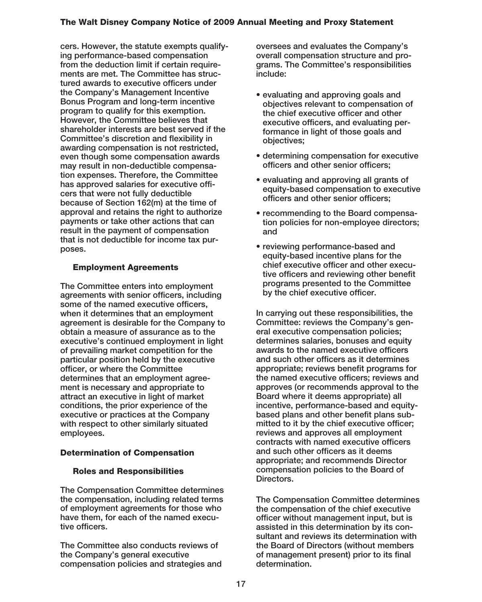**cers. However, the statute exempts qualifying performance-based compensation from the deduction limit if certain requirements are met. The Committee has structured awards to executive officers under the Company's Management Incentive Bonus Program and long-term incentive program to qualify for this exemption. However, the Committee believes that shareholder interests are best served if the Committee's discretion and flexibility in awarding compensation is not restricted, even though some compensation awards may result in non-deductible compensation expenses. Therefore, the Committee has approved salaries for executive officers that were not fully deductible because of Section 162(m) at the time of approval and retains the right to authorize payments or take other actions that can result in the payment of compensation that is not deductible for income tax purposes.**

### **Employment Agreements**

**The Committee enters into employment agreements with senior officers, including some of the named executive officers, when it determines that an employment agreement is desirable for the Company to obtain a measure of assurance as to the executive's continued employment in light of prevailing market competition for the particular position held by the executive officer, or where the Committee determines that an employment agreement is necessary and appropriate to attract an executive in light of market conditions, the prior experience of the executive or practices at the Company with respect to other similarly situated employees.**

### **Determination of Compensation**

#### **Roles and Responsibilities**

**The Compensation Committee determines the compensation, including related terms of employment agreements for those who have them, for each of the named executive officers.**

**The Committee also conducts reviews of the Company's general executive compensation policies and strategies and** **oversees and evaluates the Company's overall compensation structure and programs. The Committee's responsibilities include:**

- **evaluating and approving goals and objectives relevant to compensation of the chief executive officer and other executive officers, and evaluating performance in light of those goals and objectives;**
- **determining compensation for executive officers and other senior officers;**
- **evaluating and approving all grants of equity-based compensation to executive officers and other senior officers;**
- **recommending to the Board compensation policies for non-employee directors; and**
- **reviewing performance-based and equity-based incentive plans for the chief executive officer and other executive officers and reviewing other benefit programs presented to the Committee by the chief executive officer.**

**In carrying out these responsibilities, the Committee: reviews the Company's general executive compensation policies; determines salaries, bonuses and equity awards to the named executive officers and such other officers as it determines appropriate; reviews benefit programs for the named executive officers; reviews and approves (or recommends approval to the Board where it deems appropriate) all incentive, performance-based and equitybased plans and other benefit plans submitted to it by the chief executive officer; reviews and approves all employment contracts with named executive officers and such other officers as it deems appropriate; and recommends Director compensation policies to the Board of Directors.**

**The Compensation Committee determines the compensation of the chief executive officer without management input, but is assisted in this determination by its consultant and reviews its determination with the Board of Directors (without members of management present) prior to its final determination.**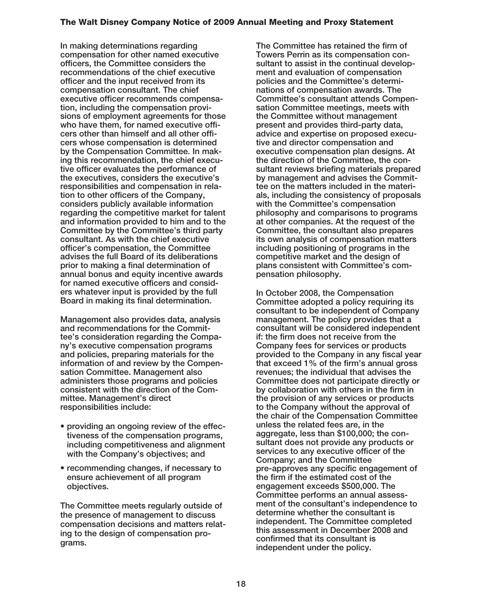**In making determinations regarding compensation for other named executive officers, the Committee considers the recommendations of the chief executive officer and the input received from its compensation consultant. The chief executive officer recommends compensation, including the compensation provisions of employment agreements for those who have them, for named executive officers other than himself and all other officers whose compensation is determined by the Compensation Committee. In making this recommendation, the chief executive officer evaluates the performance of the executives, considers the executive's responsibilities and compensation in relation to other officers of the Company, considers publicly available information regarding the competitive market for talent and information provided to him and to the Committee by the Committee's third party consultant. As with the chief executive officer's compensation, the Committee advises the full Board of its deliberations prior to making a final determination of annual bonus and equity incentive awards for named executive officers and considers whatever input is provided by the full Board in making its final determination.**

**Management also provides data, analysis and recommendations for the Committee's consideration regarding the Company's executive compensation programs and policies, preparing materials for the information of and review by the Compensation Committee. Management also administers those programs and policies consistent with the direction of the Committee. Management's direct responsibilities include:**

- **providing an ongoing review of the effectiveness of the compensation programs, including competitiveness and alignment with the Company's objectives; and**
- **recommending changes, if necessary to ensure achievement of all program objectives.**

**The Committee meets regularly outside of the presence of management to discuss compensation decisions and matters relating to the design of compensation programs.**

**The Committee has retained the firm of Towers Perrin as its compensation consultant to assist in the continual development and evaluation of compensation policies and the Committee's determinations of compensation awards. The Committee's consultant attends Compensation Committee meetings, meets with the Committee without management present and provides third-party data, advice and expertise on proposed executive and director compensation and executive compensation plan designs. At the direction of the Committee, the consultant reviews briefing materials prepared by management and advises the Committee on the matters included in the materials, including the consistency of proposals with the Committee's compensation philosophy and comparisons to programs at other companies. At the request of the Committee, the consultant also prepares its own analysis of compensation matters including positioning of programs in the competitive market and the design of plans consistent with Committee's compensation philosophy.**

**In October 2008, the Compensation Committee adopted a policy requiring its consultant to be independent of Company management. The policy provides that a consultant will be considered independent if: the firm does not receive from the Company fees for services or products provided to the Company in any fiscal year that exceed 1% of the firm's annual gross revenues; the individual that advises the Committee does not participate directly or by collaboration with others in the firm in the provision of any services or products to the Company without the approval of the chair of the Compensation Committee unless the related fees are, in the aggregate, less than \$100,000; the consultant does not provide any products or services to any executive officer of the Company; and the Committee pre-approves any specific engagement of the firm if the estimated cost of the engagement exceeds \$500,000. The Committee performs an annual assessment of the consultant's independence to determine whether the consultant is independent. The Committee completed this assessment in December 2008 and confirmed that its consultant is independent under the policy.**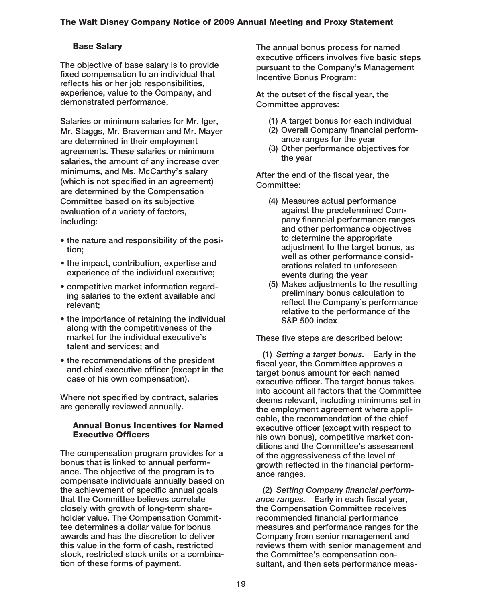## **Base Salary**

**The objective of base salary is to provide fixed compensation to an individual that reflects his or her job responsibilities, experience, value to the Company, and demonstrated performance.**

**Salaries or minimum salaries for Mr. Iger, Mr. Staggs, Mr. Braverman and Mr. Mayer are determined in their employment agreements. These salaries or minimum salaries, the amount of any increase over minimums, and Ms. McCarthy's salary (which is not specified in an agreement) are determined by the Compensation Committee based on its subjective evaluation of a variety of factors, including:**

- **the nature and responsibility of the position;**
- **the impact, contribution, expertise and experience of the individual executive;**
- **competitive market information regarding salaries to the extent available and relevant;**
- **the importance of retaining the individual along with the competitiveness of the market for the individual executive's talent and services; and**
- **the recommendations of the president and chief executive officer (except in the case of his own compensation).**

**Where not specified by contract, salaries are generally reviewed annually.**

#### **Annual Bonus Incentives for Named Executive Officers**

**The compensation program provides for a bonus that is linked to annual performance. The objective of the program is to compensate individuals annually based on the achievement of specific annual goals that the Committee believes correlate closely with growth of long-term shareholder value. The Compensation Committee determines a dollar value for bonus awards and has the discretion to deliver this value in the form of cash, restricted stock, restricted stock units or a combination of these forms of payment.**

**The annual bonus process for named executive officers involves five basic steps pursuant to the Company's Management Incentive Bonus Program:**

**At the outset of the fiscal year, the Committee approves:**

- **(1) A target bonus for each individual**
- **(2) Overall Company financial performance ranges for the year**
- **(3) Other performance objectives for the year**

**After the end of the fiscal year, the Committee:**

- **(4) Measures actual performance against the predetermined Company financial performance ranges and other performance objectives to determine the appropriate adjustment to the target bonus, as well as other performance considerations related to unforeseen events during the year**
- **(5) Makes adjustments to the resulting preliminary bonus calculation to reflect the Company's performance relative to the performance of the S&P 500 index**

**These five steps are described below:**

**(1)** *Setting a target bonus.* **Early in the fiscal year, the Committee approves a target bonus amount for each named executive officer. The target bonus takes into account all factors that the Committee deems relevant, including minimums set in the employment agreement where applicable, the recommendation of the chief executive officer (except with respect to his own bonus), competitive market conditions and the Committee's assessment of the aggressiveness of the level of growth reflected in the financial performance ranges.**

**(2)** *Setting Company financial performance ranges.* **Early in each fiscal year, the Compensation Committee receives recommended financial performance measures and performance ranges for the Company from senior management and reviews them with senior management and the Committee's compensation consultant, and then sets performance meas-**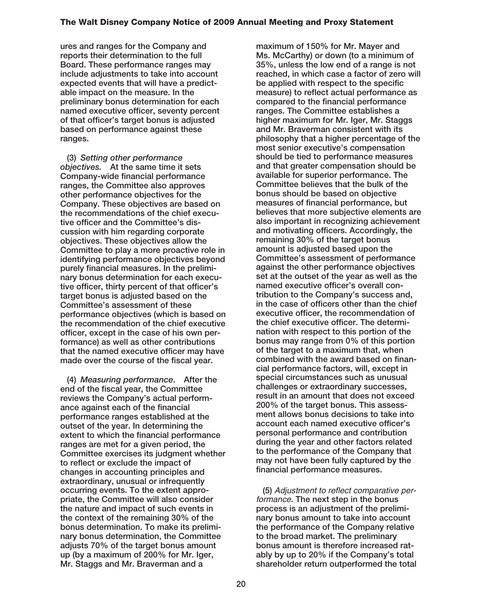**ures and ranges for the Company and reports their determination to the full Board. These performance ranges may include adjustments to take into account expected events that will have a predictable impact on the measure. In the preliminary bonus determination for each named executive officer, seventy percent of that officer's target bonus is adjusted based on performance against these ranges.**

**(3)** *Setting other performance objectives.* **At the same time it sets Company-wide financial performance ranges, the Committee also approves other performance objectives for the Company. These objectives are based on the recommendations of the chief executive officer and the Committee's discussion with him regarding corporate objectives. These objectives allow the Committee to play a more proactive role in identifying performance objectives beyond purely financial measures. In the preliminary bonus determination for each executive officer, thirty percent of that officer's target bonus is adjusted based on the Committee's assessment of these performance objectives (which is based on the recommendation of the chief executive officer, except in the case of his own performance) as well as other contributions that the named executive officer may have made over the course of the fiscal year.**

**(4)** *Measuring performance***. After the end of the fiscal year, the Committee reviews the Company's actual performance against each of the financial performance ranges established at the outset of the year. In determining the extent to which the financial performance ranges are met for a given period, the Committee exercises its judgment whether to reflect or exclude the impact of changes in accounting principles and extraordinary, unusual or infrequently occurring events. To the extent appropriate, the Committee will also consider the nature and impact of such events in the context of the remaining 30% of the bonus determination. To make its preliminary bonus determination, the Committee adjusts 70% of the target bonus amount up (by a maximum of 200% for Mr. Iger, Mr. Staggs and Mr. Braverman and a**

**maximum of 150% for Mr. Mayer and Ms. McCarthy) or down (to a minimum of 35%, unless the low end of a range is not reached, in which case a factor of zero will be applied with respect to the specific measure) to reflect actual performance as compared to the financial performance ranges. The Committee establishes a higher maximum for Mr. Iger, Mr. Staggs and Mr. Braverman consistent with its philosophy that a higher percentage of the most senior executive's compensation should be tied to performance measures and that greater compensation should be available for superior performance. The Committee believes that the bulk of the bonus should be based on objective measures of financial performance, but believes that more subjective elements are also important in recognizing achievement and motivating officers. Accordingly, the remaining 30% of the target bonus amount is adjusted based upon the Committee's assessment of performance against the other performance objectives set at the outset of the year as well as the named executive officer's overall contribution to the Company's success and, in the case of officers other than the chief executive officer, the recommendation of the chief executive officer. The determination with respect to this portion of the bonus may range from 0% of this portion of the target to a maximum that, when combined with the award based on financial performance factors, will, except in special circumstances such as unusual challenges or extraordinary successes, result in an amount that does not exceed 200% of the target bonus. This assessment allows bonus decisions to take into account each named executive officer's personal performance and contribution during the year and other factors related to the performance of the Company that may not have been fully captured by the financial performance measures.**

**(5)** Adjustment to reflect comparative performance**. The next step in the bonus process is an adjustment of the preliminary bonus amount to take into account the performance of the Company relative to the broad market. The preliminary bonus amount is therefore increased ratably by up to 20% if the Company's total shareholder return outperformed the total**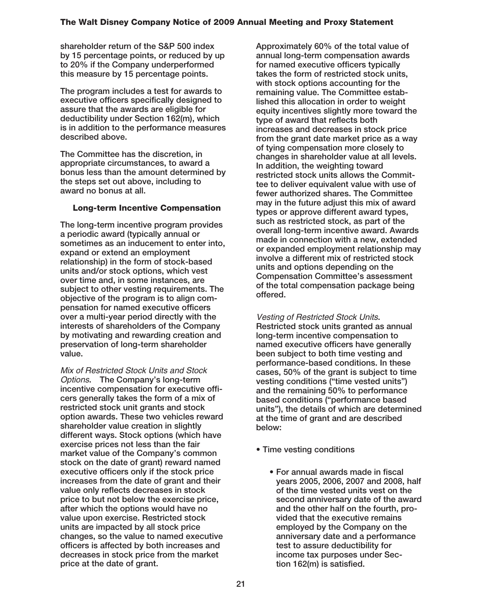**shareholder return of the S&P 500 index by 15 percentage points, or reduced by up to 20% if the Company underperformed this measure by 15 percentage points.**

**The program includes a test for awards to executive officers specifically designed to assure that the awards are eligible for deductibility under Section 162(m), which is in addition to the performance measures described above.**

**The Committee has the discretion, in appropriate circumstances, to award a bonus less than the amount determined by the steps set out above, including to award no bonus at all.**

#### **Long-term Incentive Compensation**

**The long-term incentive program provides a periodic award (typically annual or sometimes as an inducement to enter into, expand or extend an employment relationship) in the form of stock-based units and/or stock options, which vest over time and, in some instances, are subject to other vesting requirements. The objective of the program is to align compensation for named executive officers over a multi-year period directly with the interests of shareholders of the Company by motivating and rewarding creation and preservation of long-term shareholder value.**

Mix of Restricted Stock Units and Stock Options**. The Company's long-term incentive compensation for executive officers generally takes the form of a mix of restricted stock unit grants and stock option awards. These two vehicles reward shareholder value creation in slightly different ways. Stock options (which have exercise prices not less than the fair market value of the Company's common stock on the date of grant) reward named executive officers only if the stock price increases from the date of grant and their value only reflects decreases in stock price to but not below the exercise price, after which the options would have no value upon exercise. Restricted stock units are impacted by all stock price changes, so the value to named executive officers is affected by both increases and decreases in stock price from the market price at the date of grant.**

**Approximately 60% of the total value of annual long-term compensation awards for named executive officers typically takes the form of restricted stock units, with stock options accounting for the remaining value. The Committee established this allocation in order to weight equity incentives slightly more toward the type of award that reflects both increases and decreases in stock price from the grant date market price as a way of tying compensation more closely to changes in shareholder value at all levels. In addition, the weighting toward restricted stock units allows the Committee to deliver equivalent value with use of fewer authorized shares. The Committee may in the future adjust this mix of award types or approve different award types, such as restricted stock, as part of the overall long-term incentive award. Awards made in connection with a new, extended or expanded employment relationship may involve a different mix of restricted stock units and options depending on the Compensation Committee's assessment of the total compensation package being offered.**

Vesting of Restricted Stock Units**. Restricted stock units granted as annual long-term incentive compensation to named executive officers have generally been subject to both time vesting and performance-based conditions. In these cases, 50% of the grant is subject to time vesting conditions ("time vested units") and the remaining 50% to performance based conditions ("performance based units"), the details of which are determined at the time of grant and are described below:**

- **Time vesting conditions**
	- **For annual awards made in fiscal years 2005, 2006, 2007 and 2008, half of the time vested units vest on the second anniversary date of the award and the other half on the fourth, provided that the executive remains employed by the Company on the anniversary date and a performance test to assure deductibility for income tax purposes under Section 162(m) is satisfied.**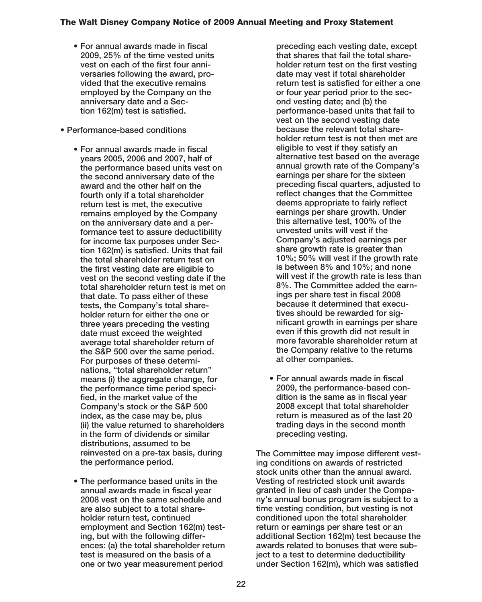- **For annual awards made in fiscal 2009, 25% of the time vested units vest on each of the first four anniversaries following the award, provided that the executive remains employed by the Company on the anniversary date and a Section 162(m) test is satisfied.**
- **Performance-based conditions**
	- **For annual awards made in fiscal years 2005, 2006 and 2007, half of the performance based units vest on the second anniversary date of the award and the other half on the fourth only if a total shareholder return test is met, the executive remains employed by the Company on the anniversary date and a performance test to assure deductibility for income tax purposes under Section 162(m) is satisfied. Units that fail the total shareholder return test on the first vesting date are eligible to vest on the second vesting date if the total shareholder return test is met on that date. To pass either of these tests, the Company's total shareholder return for either the one or three years preceding the vesting date must exceed the weighted average total shareholder return of the S&P 500 over the same period. For purposes of these determinations, "total shareholder return" means (i) the aggregate change, for the performance time period specified, in the market value of the Company's stock or the S&P 500 index, as the case may be, plus (ii) the value returned to shareholders in the form of dividends or similar distributions, assumed to be reinvested on a pre-tax basis, during the performance period.**
	- **The performance based units in the annual awards made in fiscal year 2008 vest on the same schedule and are also subject to a total shareholder return test, continued employment and Section 162(m) testing, but with the following differences: (a) the total shareholder return test is measured on the basis of a one or two year measurement period**

**preceding each vesting date, except that shares that fail the total shareholder return test on the first vesting date may vest if total shareholder return test is satisfied for either a one or four year period prior to the second vesting date; and (b) the performance-based units that fail to vest on the second vesting date because the relevant total shareholder return test is not then met are eligible to vest if they satisfy an alternative test based on the average annual growth rate of the Company's earnings per share for the sixteen preceding fiscal quarters, adjusted to reflect changes that the Committee deems appropriate to fairly reflect earnings per share growth. Under this alternative test, 100% of the unvested units will vest if the Company's adjusted earnings per share growth rate is greater than 10%; 50% will vest if the growth rate is between 8% and 10%; and none will vest if the growth rate is less than 8%. The Committee added the earnings per share test in fiscal 2008 because it determined that executives should be rewarded for significant growth in earnings per share even if this growth did not result in more favorable shareholder return at the Company relative to the returns at other companies.**

**• For annual awards made in fiscal 2009, the performance-based condition is the same as in fiscal year 2008 except that total shareholder return is measured as of the last 20 trading days in the second month preceding vesting.**

**The Committee may impose different vesting conditions on awards of restricted stock units other than the annual award. Vesting of restricted stock unit awards granted in lieu of cash under the Company's annual bonus program is subject to a time vesting condition, but vesting is not conditioned upon the total shareholder return or earnings per share test or an additional Section 162(m) test because the awards related to bonuses that were subject to a test to determine deductibility under Section 162(m), which was satisfied**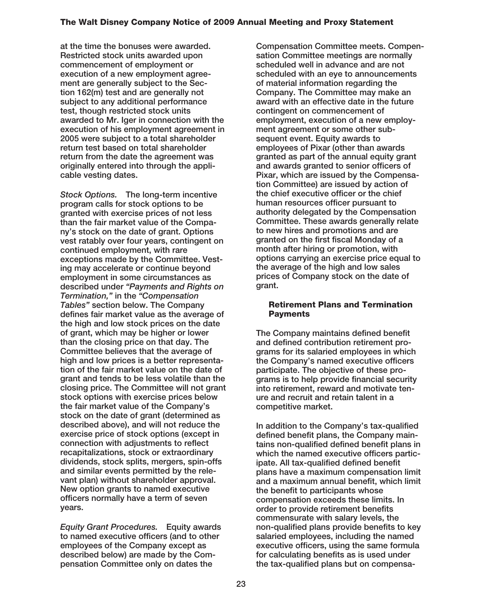**at the time the bonuses were awarded. Restricted stock units awarded upon commencement of employment or execution of a new employment agreement are generally subject to the Section 162(m) test and are generally not subject to any additional performance test, though restricted stock units awarded to Mr. Iger in connection with the execution of his employment agreement in 2005 were subject to a total shareholder return test based on total shareholder return from the date the agreement was originally entered into through the applicable vesting dates.**

*Stock Options.* **The long-term incentive program calls for stock options to be granted with exercise prices of not less than the fair market value of the Company's stock on the date of grant. Options vest ratably over four years, contingent on continued employment, with rare exceptions made by the Committee. Vesting may accelerate or continue beyond employment in some circumstances as described under** *"Payments and Rights on Termination,"* **in the** *"Compensation Tables"* **section below. The Company defines fair market value as the average of the high and low stock prices on the date of grant, which may be higher or lower than the closing price on that day. The Committee believes that the average of high and low prices is a better representation of the fair market value on the date of grant and tends to be less volatile than the closing price. The Committee will not grant stock options with exercise prices below the fair market value of the Company's stock on the date of grant (determined as described above), and will not reduce the exercise price of stock options (except in connection with adjustments to reflect recapitalizations, stock or extraordinary dividends, stock splits, mergers, spin-offs and similar events permitted by the relevant plan) without shareholder approval. New option grants to named executive officers normally have a term of seven years.**

*Equity Grant Procedures.* **Equity awards to named executive officers (and to other employees of the Company except as described below) are made by the Compensation Committee only on dates the**

**Compensation Committee meets. Compensation Committee meetings are normally scheduled well in advance and are not scheduled with an eye to announcements of material information regarding the Company. The Committee may make an award with an effective date in the future contingent on commencement of employment, execution of a new employment agreement or some other subsequent event. Equity awards to employees of Pixar (other than awards granted as part of the annual equity grant and awards granted to senior officers of Pixar, which are issued by the Compensation Committee) are issued by action of the chief executive officer or the chief human resources officer pursuant to authority delegated by the Compensation Committee. These awards generally relate to new hires and promotions and are granted on the first fiscal Monday of a month after hiring or promotion, with options carrying an exercise price equal to the average of the high and low sales prices of Company stock on the date of grant.**

#### **Retirement Plans and Termination Payments**

**The Company maintains defined benefit and defined contribution retirement programs for its salaried employees in which the Company's named executive officers participate. The objective of these programs is to help provide financial security into retirement, reward and motivate tenure and recruit and retain talent in a competitive market.**

**In addition to the Company's tax-qualified defined benefit plans, the Company maintains non-qualified defined benefit plans in which the named executive officers participate. All tax-qualified defined benefit plans have a maximum compensation limit and a maximum annual benefit, which limit the benefit to participants whose compensation exceeds these limits. In order to provide retirement benefits commensurate with salary levels, the non-qualified plans provide benefits to key salaried employees, including the named executive officers, using the same formula for calculating benefits as is used under the tax-qualified plans but on compensa-**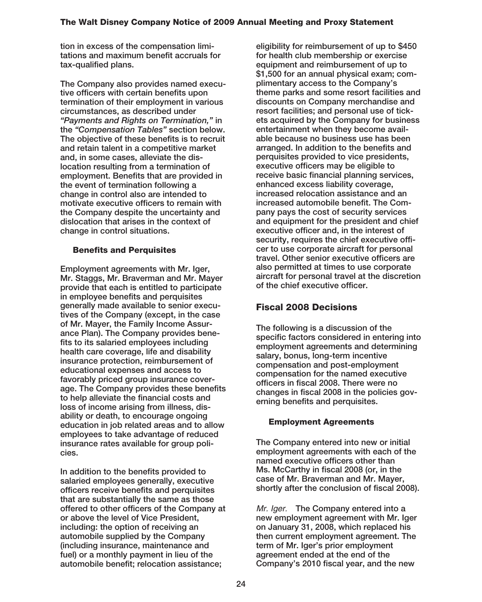**tion in excess of the compensation limitations and maximum benefit accruals for tax-qualified plans.**

**The Company also provides named executive officers with certain benefits upon termination of their employment in various circumstances, as described under** *"Payments and Rights on Termination,"* **in the** *"Compensation Tables"* **section below. The objective of these benefits is to recruit and retain talent in a competitive market and, in some cases, alleviate the dislocation resulting from a termination of employment. Benefits that are provided in the event of termination following a change in control also are intended to motivate executive officers to remain with the Company despite the uncertainty and dislocation that arises in the context of change in control situations.**

## **Benefits and Perquisites**

**Employment agreements with Mr. Iger, Mr. Staggs, Mr. Braverman and Mr. Mayer provide that each is entitled to participate in employee benefits and perquisites generally made available to senior executives of the Company (except, in the case of Mr. Mayer, the Family Income Assurance Plan). The Company provides benefits to its salaried employees including health care coverage, life and disability insurance protection, reimbursement of educational expenses and access to favorably priced group insurance coverage. The Company provides these benefits to help alleviate the financial costs and loss of income arising from illness, disability or death, to encourage ongoing education in job related areas and to allow employees to take advantage of reduced insurance rates available for group policies.**

**In addition to the benefits provided to salaried employees generally, executive officers receive benefits and perquisites that are substantially the same as those offered to other officers of the Company at or above the level of Vice President, including: the option of receiving an automobile supplied by the Company (including insurance, maintenance and fuel) or a monthly payment in lieu of the automobile benefit; relocation assistance;**

**eligibility for reimbursement of up to \$450 for health club membership or exercise equipment and reimbursement of up to \$1,500 for an annual physical exam; complimentary access to the Company's theme parks and some resort facilities and discounts on Company merchandise and resort facilities; and personal use of tickets acquired by the Company for business entertainment when they become available because no business use has been arranged. In addition to the benefits and perquisites provided to vice presidents, executive officers may be eligible to receive basic financial planning services, enhanced excess liability coverage, increased relocation assistance and an increased automobile benefit. The Company pays the cost of security services and equipment for the president and chief executive officer and, in the interest of security, requires the chief executive officer to use corporate aircraft for personal travel. Other senior executive officers are also permitted at times to use corporate aircraft for personal travel at the discretion of the chief executive officer.**

# **Fiscal 2008 Decisions**

**The following is a discussion of the specific factors considered in entering into employment agreements and determining salary, bonus, long-term incentive compensation and post-employment compensation for the named executive officers in fiscal 2008. There were no changes in fiscal 2008 in the policies governing benefits and perquisites.**

## **Employment Agreements**

**The Company entered into new or initial employment agreements with each of the named executive officers other than Ms. McCarthy in fiscal 2008 (or, in the case of Mr. Braverman and Mr. Mayer, shortly after the conclusion of fiscal 2008).**

Mr. Iger. **The Company entered into a new employment agreement with Mr. Iger on January 31, 2008, which replaced his then current employment agreement. The term of Mr. Iger's prior employment agreement ended at the end of the Company's 2010 fiscal year, and the new**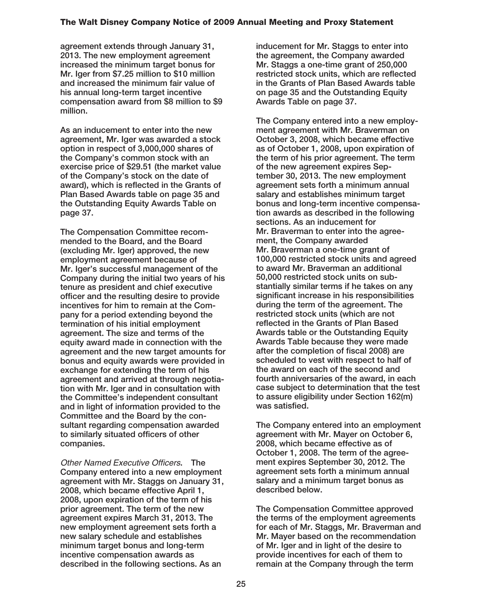**agreement extends through January 31, 2013. The new employment agreement increased the minimum target bonus for Mr. Iger from \$7.25 million to \$10 million and increased the minimum fair value of his annual long-term target incentive compensation award from \$8 million to \$9 million.**

**As an inducement to enter into the new agreement, Mr. Iger was awarded a stock option in respect of 3,000,000 shares of the Company's common stock with an exercise price of \$29.51 (the market value of the Company's stock on the date of award), which is reflected in the Grants of Plan Based Awards table on page 35 and the Outstanding Equity Awards Table on page 37.**

**The Compensation Committee recommended to the Board, and the Board (excluding Mr. Iger) approved, the new employment agreement because of Mr. Iger's successful management of the Company during the initial two years of his tenure as president and chief executive officer and the resulting desire to provide incentives for him to remain at the Company for a period extending beyond the termination of his initial employment agreement. The size and terms of the equity award made in connection with the agreement and the new target amounts for bonus and equity awards were provided in exchange for extending the term of his agreement and arrived at through negotiation with Mr. Iger and in consultation with the Committee's independent consultant and in light of information provided to the Committee and the Board by the consultant regarding compensation awarded to similarly situated officers of other companies.**

Other Named Executive Officers**. The Company entered into a new employment agreement with Mr. Staggs on January 31, 2008, which became effective April 1, 2008, upon expiration of the term of his prior agreement. The term of the new agreement expires March 31, 2013. The new employment agreement sets forth a new salary schedule and establishes minimum target bonus and long-term incentive compensation awards as described in the following sections. As an**

**inducement for Mr. Staggs to enter into the agreement, the Company awarded Mr. Staggs a one-time grant of 250,000 restricted stock units, which are reflected in the Grants of Plan Based Awards table on page 35 and the Outstanding Equity Awards Table on page 37.**

**The Company entered into a new employment agreement with Mr. Braverman on October 3, 2008, which became effective as of October 1, 2008, upon expiration of the term of his prior agreement. The term of the new agreement expires September 30, 2013. The new employment agreement sets forth a minimum annual salary and establishes minimum target bonus and long-term incentive compensation awards as described in the following sections. As an inducement for Mr. Braverman to enter into the agreement, the Company awarded Mr. Braverman a one-time grant of 100,000 restricted stock units and agreed to award Mr. Braverman an additional 50,000 restricted stock units on substantially similar terms if he takes on any significant increase in his responsibilities during the term of the agreement. The restricted stock units (which are not reflected in the Grants of Plan Based Awards table or the Outstanding Equity Awards Table because they were made after the completion of fiscal 2008) are scheduled to vest with respect to half of the award on each of the second and fourth anniversaries of the award, in each case subject to determination that the test to assure eligibility under Section 162(m) was satisfied.**

**The Company entered into an employment agreement with Mr. Mayer on October 6, 2008, which became effective as of October 1, 2008. The term of the agreement expires September 30, 2012. The agreement sets forth a minimum annual salary and a minimum target bonus as described below.**

**The Compensation Committee approved the terms of the employment agreements for each of Mr. Staggs, Mr. Braverman and Mr. Mayer based on the recommendation of Mr. Iger and in light of the desire to provide incentives for each of them to remain at the Company through the term**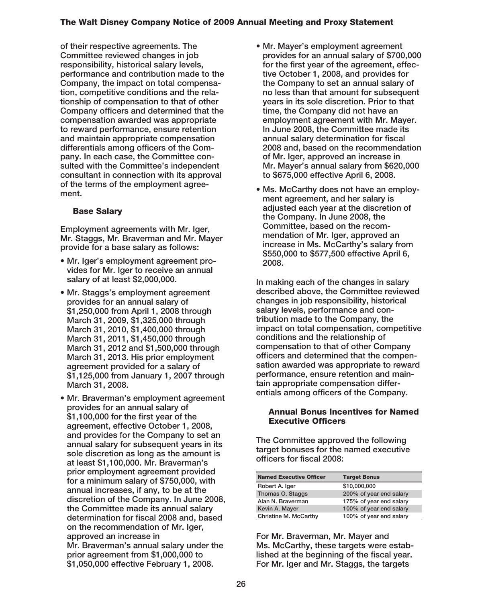**of their respective agreements. The Committee reviewed changes in job responsibility, historical salary levels, performance and contribution made to the Company, the impact on total compensation, competitive conditions and the relationship of compensation to that of other Company officers and determined that the compensation awarded was appropriate to reward performance, ensure retention and maintain appropriate compensation differentials among officers of the Company. In each case, the Committee consulted with the Committee's independent consultant in connection with its approval of the terms of the employment agreement.**

## **Base Salary**

**Employment agreements with Mr. Iger, Mr. Staggs, Mr. Braverman and Mr. Mayer provide for a base salary as follows:**

- **Mr. Iger's employment agreement provides for Mr. Iger to receive an annual salary of at least \$2,000,000.**
- **Mr. Staggs's employment agreement provides for an annual salary of \$1,250,000 from April 1, 2008 through March 31, 2009, \$1,325,000 through March 31, 2010, \$1,400,000 through March 31, 2011, \$1,450,000 through March 31, 2012 and \$1,500,000 through March 31, 2013. His prior employment agreement provided for a salary of \$1,125,000 from January 1, 2007 through March 31, 2008.**
- **Mr. Braverman's employment agreement provides for an annual salary of \$1,100,000 for the first year of the agreement, effective October 1, 2008, and provides for the Company to set an annual salary for subsequent years in its sole discretion as long as the amount is at least \$1,100,000. Mr. Braverman's prior employment agreement provided for a minimum salary of \$750,000, with annual increases, if any, to be at the discretion of the Company. In June 2008, the Committee made its annual salary determination for fiscal 2008 and, based on the recommendation of Mr. Iger, approved an increase in Mr. Braverman's annual salary under the prior agreement from \$1,000,000 to \$1,050,000 effective February 1, 2008.**
- **Mr. Mayer's employment agreement provides for an annual salary of \$700,000 for the first year of the agreement, effective October 1, 2008, and provides for the Company to set an annual salary of no less than that amount for subsequent years in its sole discretion. Prior to that time, the Company did not have an employment agreement with Mr. Mayer. In June 2008, the Committee made its annual salary determination for fiscal 2008 and, based on the recommendation of Mr. Iger, approved an increase in Mr. Mayer's annual salary from \$620,000 to \$675,000 effective April 6, 2008.**
- **Ms. McCarthy does not have an employment agreement, and her salary is adjusted each year at the discretion of the Company. In June 2008, the Committee, based on the recommendation of Mr. Iger, approved an increase in Ms. McCarthy's salary from \$550,000 to \$577,500 effective April 6, 2008.**

**In making each of the changes in salary described above, the Committee reviewed changes in job responsibility, historical salary levels, performance and contribution made to the Company, the impact on total compensation, competitive conditions and the relationship of compensation to that of other Company officers and determined that the compensation awarded was appropriate to reward performance, ensure retention and maintain appropriate compensation differentials among officers of the Company.**

#### **Annual Bonus Incentives for Named Executive Officers**

**The Committee approved the following target bonuses for the named executive officers for fiscal 2008:**

| <b>Named Executive Officer</b> | <b>Target Bonus</b>     |
|--------------------------------|-------------------------|
| Robert A. Iger                 | \$10,000,000            |
| Thomas O. Staggs               | 200% of year end salary |
| Alan N. Braverman              | 175% of year end salary |
| Kevin A. Mayer                 | 100% of year end salary |
| Christine M. McCarthy          | 100% of year end salary |

**For Mr. Braverman, Mr. Mayer and Ms. McCarthy, these targets were established at the beginning of the fiscal year. For Mr. Iger and Mr. Staggs, the targets**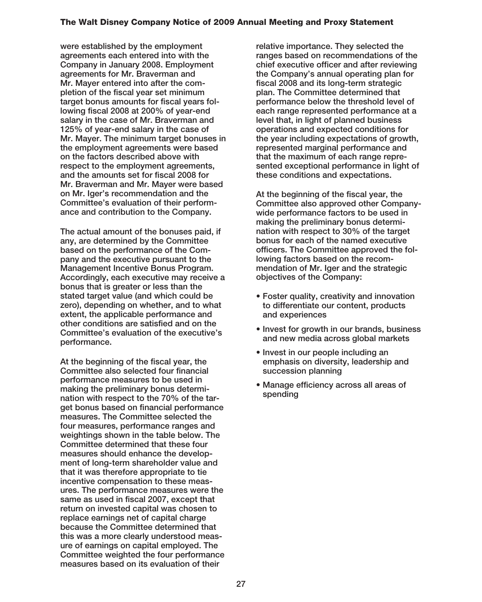**were established by the employment agreements each entered into with the Company in January 2008. Employment agreements for Mr. Braverman and Mr. Mayer entered into after the completion of the fiscal year set minimum target bonus amounts for fiscal years following fiscal 2008 at 200% of year-end salary in the case of Mr. Braverman and 125% of year-end salary in the case of Mr. Mayer. The minimum target bonuses in the employment agreements were based on the factors described above with respect to the employment agreements, and the amounts set for fiscal 2008 for Mr. Braverman and Mr. Mayer were based on Mr. Iger's recommendation and the Committee's evaluation of their performance and contribution to the Company.**

**The actual amount of the bonuses paid, if any, are determined by the Committee based on the performance of the Company and the executive pursuant to the Management Incentive Bonus Program. Accordingly, each executive may receive a bonus that is greater or less than the stated target value (and which could be zero), depending on whether, and to what extent, the applicable performance and other conditions are satisfied and on the Committee's evaluation of the executive's performance.**

**At the beginning of the fiscal year, the Committee also selected four financial performance measures to be used in making the preliminary bonus determination with respect to the 70% of the target bonus based on financial performance measures. The Committee selected the four measures, performance ranges and weightings shown in the table below. The Committee determined that these four measures should enhance the development of long-term shareholder value and that it was therefore appropriate to tie incentive compensation to these measures. The performance measures were the same as used in fiscal 2007, except that return on invested capital was chosen to replace earnings net of capital charge because the Committee determined that this was a more clearly understood measure of earnings on capital employed. The Committee weighted the four performance measures based on its evaluation of their**

**relative importance. They selected the ranges based on recommendations of the chief executive officer and after reviewing the Company's annual operating plan for fiscal 2008 and its long-term strategic plan. The Committee determined that performance below the threshold level of each range represented performance at a level that, in light of planned business operations and expected conditions for the year including expectations of growth, represented marginal performance and that the maximum of each range represented exceptional performance in light of these conditions and expectations.**

**At the beginning of the fiscal year, the Committee also approved other Companywide performance factors to be used in making the preliminary bonus determination with respect to 30% of the target bonus for each of the named executive officers. The Committee approved the following factors based on the recommendation of Mr. Iger and the strategic objectives of the Company:**

- **Foster quality, creativity and innovation to differentiate our content, products and experiences**
- **Invest for growth in our brands, business and new media across global markets**
- **Invest in our people including an emphasis on diversity, leadership and succession planning**
- **Manage efficiency across all areas of spending**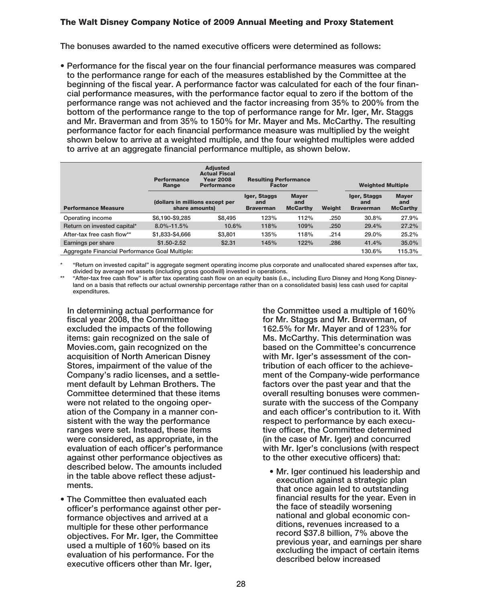**The bonuses awarded to the named executive officers were determined as follows:**

**• Performance for the fiscal year on the four financial performance measures was compared to the performance range for each of the measures established by the Committee at the beginning of the fiscal year. A performance factor was calculated for each of the four financial performance measures, with the performance factor equal to zero if the bottom of the performance range was not achieved and the factor increasing from 35% to 200% from the bottom of the performance range to the top of performance range for Mr. Iger, Mr. Staggs and Mr. Braverman and from 35% to 150% for Mr. Mayer and Ms. McCarthy. The resulting performance factor for each financial performance measure was multiplied by the weight shown below to arrive at a weighted multiple, and the four weighted multiples were added to arrive at an aggregate financial performance multiple, as shown below.**

|                                                | <b>Adjusted</b><br><b>Actual Fiscal</b><br><b>Year 2008</b><br><b>Performance</b><br><b>Performance</b><br>Range |                                                   | <b>Resulting Performance</b><br><b>Factor</b> |                                        |        | <b>Weighted Multiple</b>                |                                        |
|------------------------------------------------|------------------------------------------------------------------------------------------------------------------|---------------------------------------------------|-----------------------------------------------|----------------------------------------|--------|-----------------------------------------|----------------------------------------|
| <b>Performance Measure</b>                     |                                                                                                                  | (dollars in millions except per<br>share amounts) |                                               | <b>Maver</b><br>and<br><b>McCarthy</b> | Weight | Iger, Staggs<br>and<br><b>Braverman</b> | <b>Maver</b><br>and<br><b>McCarthy</b> |
| Operating income                               | \$6,190-\$9,285                                                                                                  | \$8.495                                           | 123%                                          | 112%                                   | .250   | 30.8%                                   | 27.9%                                  |
| Return on invested capital*                    | $8.0\% - 11.5\%$                                                                                                 | 10.6%                                             | 118%                                          | 109%                                   | .250   | 29.4%                                   | 27.2%                                  |
| After-tax free cash flow**                     | \$1,833-\$4,666                                                                                                  | \$3,801                                           | 135%                                          | 118%                                   | .214   | 29.0%                                   | 25.2%                                  |
| Earnings per share                             | $$1,50-2.52$                                                                                                     | \$2.31                                            | 145%                                          | 122%                                   | .286   | 41.4%                                   | 35.0%                                  |
| Aggregate Financial Performance Goal Multiple: |                                                                                                                  |                                                   |                                               |                                        |        | 130.6%                                  | 115.3%                                 |

**\* "Return on invested capital" is aggregate segment operating income plus corporate and unallocated shared expenses after tax, divided by average net assets (including gross goodwill) invested in operations.**

**\*\* "After-tax free cash flow" is after tax operating cash flow on an equity basis (i.e., including Euro Disney and Hong Kong Disneyland on a basis that reflects our actual ownership percentage rather than on a consolidated basis) less cash used for capital expenditures.**

**In determining actual performance for fiscal year 2008, the Committee excluded the impacts of the following items: gain recognized on the sale of Movies.com, gain recognized on the acquisition of North American Disney Stores, impairment of the value of the Company's radio licenses, and a settlement default by Lehman Brothers. The Committee determined that these items were not related to the ongoing operation of the Company in a manner consistent with the way the performance ranges were set. Instead, these items were considered, as appropriate, in the evaluation of each officer's performance against other performance objectives as described below. The amounts included in the table above reflect these adjustments.**

**• The Committee then evaluated each officer's performance against other performance objectives and arrived at a multiple for these other performance objectives. For Mr. Iger, the Committee used a multiple of 160% based on its evaluation of his performance. For the executive officers other than Mr. Iger,**

**the Committee used a multiple of 160% for Mr. Staggs and Mr. Braverman, of 162.5% for Mr. Mayer and of 123% for Ms. McCarthy. This determination was based on the Committee's concurrence with Mr. Iger's assessment of the contribution of each officer to the achievement of the Company-wide performance factors over the past year and that the overall resulting bonuses were commensurate with the success of the Company and each officer's contribution to it. With respect to performance by each executive officer, the Committee determined (in the case of Mr. Iger) and concurred with Mr. Iger's conclusions (with respect to the other executive officers) that:**

**• Mr. Iger continued his leadership and execution against a strategic plan that once again led to outstanding financial results for the year. Even in the face of steadily worsening national and global economic conditions, revenues increased to a record \$37.8 billion, 7% above the previous year, and earnings per share excluding the impact of certain items described below increased**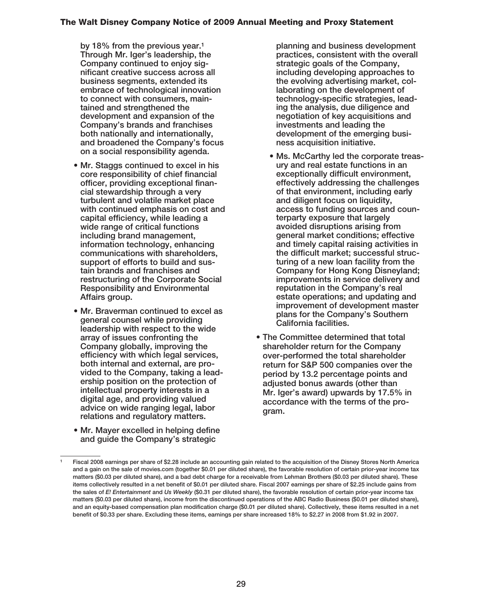**by 18% from the previous year.1 Through Mr. Iger's leadership, the Company continued to enjoy significant creative success across all business segments, extended its embrace of technological innovation to connect with consumers, maintained and strengthened the development and expansion of the Company's brands and franchises both nationally and internationally, and broadened the Company's focus on a social responsibility agenda.**

- **Mr. Staggs continued to excel in his core responsibility of chief financial officer, providing exceptional financial stewardship through a very turbulent and volatile market place with continued emphasis on cost and capital efficiency, while leading a wide range of critical functions including brand management, information technology, enhancing communications with shareholders, support of efforts to build and sustain brands and franchises and restructuring of the Corporate Social Responsibility and Environmental Affairs group.**
- **Mr. Braverman continued to excel as general counsel while providing leadership with respect to the wide array of issues confronting the Company globally, improving the efficiency with which legal services, both internal and external, are provided to the Company, taking a leadership position on the protection of intellectual property interests in a digital age, and providing valued advice on wide ranging legal, labor relations and regulatory matters.**
- **Mr. Mayer excelled in helping define and guide the Company's strategic**

**planning and business development practices, consistent with the overall strategic goals of the Company, including developing approaches to the evolving advertising market, collaborating on the development of technology-specific strategies, leading the analysis, due diligence and negotiation of key acquisitions and investments and leading the development of the emerging business acquisition initiative.**

- **Ms. McCarthy led the corporate treasury and real estate functions in an exceptionally difficult environment, effectively addressing the challenges of that environment, including early and diligent focus on liquidity, access to funding sources and counterparty exposure that largely avoided disruptions arising from general market conditions; effective and timely capital raising activities in the difficult market; successful structuring of a new loan facility from the Company for Hong Kong Disneyland; improvements in service delivery and reputation in the Company's real estate operations; and updating and improvement of development master plans for the Company's Southern California facilities.**
- **The Committee determined that total shareholder return for the Company over-performed the total shareholder return for S&P 500 companies over the period by 13.2 percentage points and adjusted bonus awards (other than Mr. Iger's award) upwards by 17.5% in accordance with the terms of the program.**

**<sup>1</sup> Fiscal 2008 earnings per share of \$2.28 include an accounting gain related to the acquisition of the Disney Stores North America and a gain on the sale of movies.com (together \$0.01 per diluted share), the favorable resolution of certain prior-year income tax matters (\$0.03 per diluted share), and a bad debt charge for a receivable from Lehman Brothers (\$0.03 per diluted share). These items collectively resulted in a net benefit of \$0.01 per diluted share. Fiscal 2007 earnings per share of \$2.25 include gains from the sales of** *E! Entertainment* **and** *Us Weekly* **(\$0.31 per diluted share), the favorable resolution of certain prior-year income tax matters (\$0.03 per diluted share), income from the discontinued operations of the ABC Radio Business (\$0.01 per diluted share), and an equity-based compensation plan modification charge (\$0.01 per diluted share). Collectively, these items resulted in a net benefit of \$0.33 per share. Excluding these items, earnings per share increased 18% to \$2.27 in 2008 from \$1.92 in 2007.**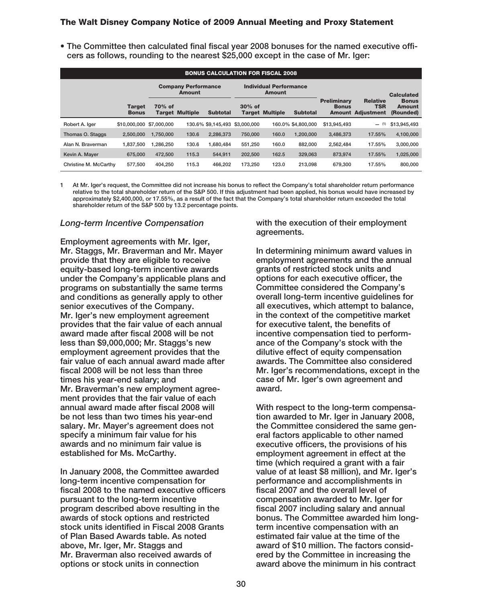**• The Committee then calculated final fiscal year 2008 bonuses for the named executive officers as follows, rounding to the nearest \$25,000 except in the case of Mr. Iger:**

| <b>BONUS CALCULATION FOR FISCAL 2008</b> |                               |                                             |                        |                 |                                         |                        |                    |                                    |                                                           |                                     |
|------------------------------------------|-------------------------------|---------------------------------------------|------------------------|-----------------|-----------------------------------------|------------------------|--------------------|------------------------------------|-----------------------------------------------------------|-------------------------------------|
|                                          |                               | <b>Company Performance</b><br><b>Amount</b> |                        |                 | <b>Individual Performance</b><br>Amount |                        |                    |                                    | <b>Calculated</b>                                         |                                     |
|                                          | <b>Target</b><br><b>Bonus</b> | 70% of                                      | <b>Target Multiple</b> | <b>Subtotal</b> | $30%$ of                                | <b>Target Multiple</b> | <b>Subtotal</b>    | <b>Preliminary</b><br><b>Bonus</b> | <b>Relative</b><br><b>TSR</b><br><b>Amount Adjustment</b> | <b>Bonus</b><br>Amount<br>(Rounded) |
| Robert A. laer                           | \$10,000,000 \$7,000,000      |                                             |                        |                 | 130.6% \$9.145.493 \$3.000.000          |                        | 160.0% \$4.800.000 | \$13,945,493                       | (1)                                                       | \$13,945,493                        |
| Thomas O. Staggs                         | 2.500.000                     | 1.750.000                                   | 130.6                  | 2.286.373       | 750,000                                 | 160.0                  | 1.200.000          | 3,486,373                          | 17.55%                                                    | 4,100,000                           |
| Alan N. Braverman                        | 1,837,500                     | 1.286.250                                   | 130.6                  | 1.680.484       | 551.250                                 | 160.0                  | 882.000            | 2,562,484                          | 17.55%                                                    | 3,000,000                           |
| Kevin A. Maver                           | 675,000                       | 472.500                                     | 115.3                  | 544.911         | 202,500                                 | 162.5                  | 329.063            | 873.974                            | 17.55%                                                    | 1,025,000                           |
| Christine M. McCarthy                    | 577.500                       | 404.250                                     | 115.3                  | 466.202         | 173.250                                 | 123.0                  | 213.098            | 679.300                            | 17.55%                                                    | 800,000                             |

**1 At Mr. Iger's request, the Committee did not increase his bonus to reflect the Company's total shareholder return performance relative to the total shareholder return of the S&P 500. If this adjustment had been applied, his bonus would have increased by approximately \$2,400,000, or 17.55%, as a result of the fact that the Company's total shareholder return exceeded the total shareholder return of the S&P 500 by 13.2 percentage points.**

#### *Long-term Incentive Compensation*

**Employment agreements with Mr. Iger, Mr. Staggs, Mr. Braverman and Mr. Mayer provide that they are eligible to receive equity-based long-term incentive awards under the Company's applicable plans and programs on substantially the same terms and conditions as generally apply to other senior executives of the Company. Mr. Iger's new employment agreement provides that the fair value of each annual award made after fiscal 2008 will be not less than \$9,000,000; Mr. Staggs's new employment agreement provides that the fair value of each annual award made after fiscal 2008 will be not less than three times his year-end salary; and Mr. Braverman's new employment agreement provides that the fair value of each annual award made after fiscal 2008 will be not less than two times his year-end salary. Mr. Mayer's agreement does not specify a minimum fair value for his awards and no minimum fair value is established for Ms. McCarthy.**

**In January 2008, the Committee awarded long-term incentive compensation for fiscal 2008 to the named executive officers pursuant to the long-term incentive program described above resulting in the awards of stock options and restricted stock units identified in Fiscal 2008 Grants of Plan Based Awards table. As noted above, Mr. Iger, Mr. Staggs and Mr. Braverman also received awards of options or stock units in connection**

**with the execution of their employment agreements.**

**In determining minimum award values in employment agreements and the annual grants of restricted stock units and options for each executive officer, the Committee considered the Company's overall long-term incentive guidelines for all executives, which attempt to balance, in the context of the competitive market for executive talent, the benefits of incentive compensation tied to performance of the Company's stock with the dilutive effect of equity compensation awards. The Committee also considered Mr. Iger's recommendations, except in the case of Mr. Iger's own agreement and award.**

**With respect to the long-term compensation awarded to Mr. Iger in January 2008, the Committee considered the same general factors applicable to other named executive officers, the provisions of his employment agreement in effect at the time (which required a grant with a fair value of at least \$8 million), and Mr. Iger's performance and accomplishments in fiscal 2007 and the overall level of compensation awarded to Mr. Iger for fiscal 2007 including salary and annual bonus. The Committee awarded him longterm incentive compensation with an estimated fair value at the time of the award of \$10 million. The factors considered by the Committee in increasing the award above the minimum in his contract**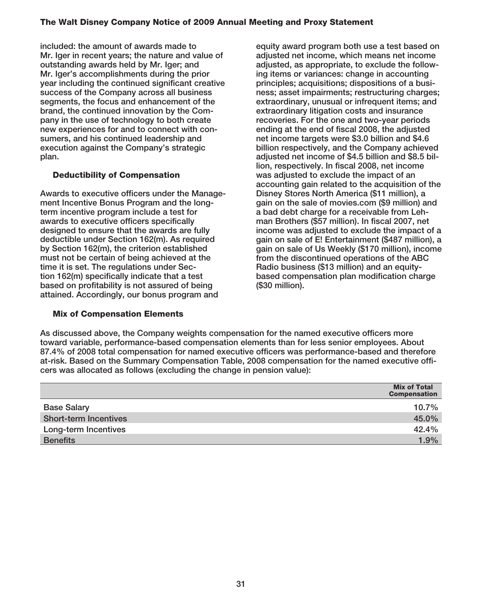**included: the amount of awards made to Mr. Iger in recent years; the nature and value of outstanding awards held by Mr. Iger; and Mr. Iger's accomplishments during the prior year including the continued significant creative success of the Company across all business segments, the focus and enhancement of the brand, the continued innovation by the Company in the use of technology to both create new experiences for and to connect with consumers, and his continued leadership and execution against the Company's strategic plan.**

## **Deductibility of Compensation**

**Awards to executive officers under the Management Incentive Bonus Program and the longterm incentive program include a test for awards to executive officers specifically designed to ensure that the awards are fully deductible under Section 162(m). As required by Section 162(m), the criterion established must not be certain of being achieved at the time it is set. The regulations under Section 162(m) specifically indicate that a test based on profitability is not assured of being attained. Accordingly, our bonus program and**

## **Mix of Compensation Elements**

**equity award program both use a test based on adjusted net income, which means net income adjusted, as appropriate, to exclude the following items or variances: change in accounting principles; acquisitions; dispositions of a business; asset impairments; restructuring charges; extraordinary, unusual or infrequent items; and extraordinary litigation costs and insurance recoveries. For the one and two-year periods ending at the end of fiscal 2008, the adjusted net income targets were \$3.0 billion and \$4.6 billion respectively, and the Company achieved adjusted net income of \$4.5 billion and \$8.5 billion, respectively. In fiscal 2008, net income was adjusted to exclude the impact of an accounting gain related to the acquisition of the Disney Stores North America (\$11 million), a gain on the sale of movies.com (\$9 million) and a bad debt charge for a receivable from Lehman Brothers (\$57 million). In fiscal 2007, net income was adjusted to exclude the impact of a gain on sale of E! Entertainment (\$487 million), a gain on sale of Us Weekly (\$170 million), income from the discontinued operations of the ABC Radio business (\$13 million) and an equitybased compensation plan modification charge (\$30 million).**

**As discussed above, the Company weights compensation for the named executive officers more toward variable, performance-based compensation elements than for less senior employees. About 87.4% of 2008 total compensation for named executive officers was performance-based and therefore at-risk. Based on the Summary Compensation Table, 2008 compensation for the named executive officers was allocated as follows (excluding the change in pension value):**

|                              | <b>Mix of Total</b><br><b>Compensation</b> |
|------------------------------|--------------------------------------------|
| <b>Base Salary</b>           | 10.7%                                      |
| <b>Short-term Incentives</b> | 45.0%                                      |
| Long-term Incentives         | 42.4%                                      |
| <b>Benefits</b>              | 1.9%                                       |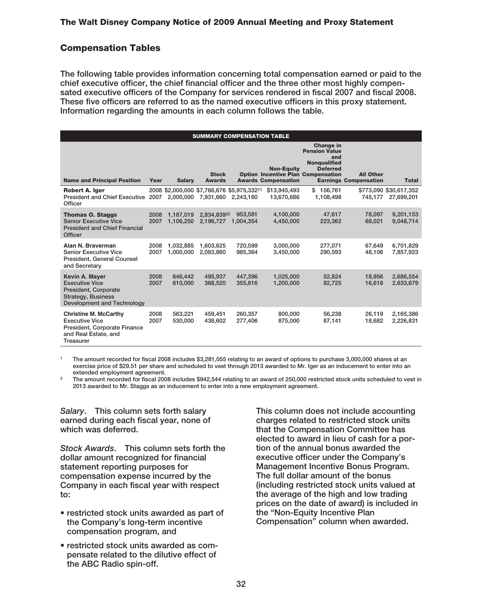## **Compensation Tables**

**The following table provides information concerning total compensation earned or paid to the chief executive officer, the chief financial officer and the three other most highly compensated executive officers of the Company for services rendered in fiscal 2007 and fiscal 2008. These five officers are referred to as the named executive officers in this proxy statement. Information regarding the amounts in each column follows the table.**

| <b>SUMMARY COMPENSATION TABLE</b>                                                                                          |              |                        |                                             |                      |                                                                                              |                                        |                                                  |                                      |
|----------------------------------------------------------------------------------------------------------------------------|--------------|------------------------|---------------------------------------------|----------------------|----------------------------------------------------------------------------------------------|----------------------------------------|--------------------------------------------------|--------------------------------------|
|                                                                                                                            |              |                        |                                             |                      | <b>Change in</b><br><b>Pension Value</b><br>and                                              |                                        |                                                  |                                      |
| <b>Name and Principal Position</b>                                                                                         | Year         | <b>Salary</b>          | <b>Stock</b><br><b>Awards</b>               |                      | <b>Non-Eauity</b><br><b>Option Incentive Plan Compensation</b><br><b>Awards Compensation</b> | <b>Nonqualified</b><br><b>Deferred</b> | <b>All Other</b><br><b>Earnings Compensation</b> | <b>Total</b>                         |
| <b>Robert A. Iger</b><br>President and Chief Executive 2007 2,000,000<br>Officer                                           |              |                        | 2008 \$2,000,000 \$7,766,676 \$5,975,332(1) | 7.931.660 2.243.180  | \$13,945,493<br>13,670,686                                                                   | \$156,761<br>1,108,498                 | 745.177                                          | \$773,090 \$30,617,352<br>27,699,201 |
| <b>Thomas O. Staggs</b><br><b>Senior Executive Vice</b><br><b>President and Chief Financial</b><br><b>Officer</b>          | 2008<br>2007 | 1.187.019<br>1.106.250 | 2.834.839(2)<br>2.196.727                   | 953.581<br>1.004.354 | 4,100,000<br>4.450.000                                                                       | 47.617<br>223.362                      | 78.097<br>68.021                                 | 9,201,153<br>9.048.714               |
| Alan N. Braverman<br><b>Senior Executive Vice</b><br><b>President, General Counsel</b><br>and Secretary                    | 2008<br>2007 | 1.032.885<br>1.000.000 | 1.603.625<br>2.083.860                      | 720.599<br>985.364   | 3,000,000<br>3.450.000                                                                       | 277,071<br>290.593                     | 67.649<br>48.106                                 | 6,701,829<br>7,857,923               |
| Kevin A. Mayer<br><b>Executive Vice</b><br>President, Corporate<br><b>Strategy, Business</b><br>Development and Technology | 2008<br>2007 | 646,442<br>610.000     | 495,937<br>368,520                          | 447,396<br>355,816   | 1,025,000<br>1.200.000                                                                       | 52,824<br>82,725                       | 18.956<br>16.618                                 | 2,686,554<br>2,633,679               |
| <b>Christine M. McCarthy</b><br><b>Executive Vice</b><br>President, Corporate Finance<br>and Real Estate, and<br>Treasurer | 2008<br>2007 | 563,221<br>530,000     | 459.451<br>438,602                          | 260.357<br>277,406   | 800,000<br>875,000                                                                           | 56,238<br>87,141                       | 26.119<br>18,682                                 | 2,165,386<br>2,226,831               |

**<sup>1</sup> The amount recorded for fiscal 2008 includes \$3,281,055 relating to an award of options to purchase 3,000,000 shares at an exercise price of \$29.51 per share and scheduled to vest through 2013 awarded to Mr. Iger as an inducement to enter into an extended employment agreement.**

**<sup>2</sup> The amount recorded for fiscal 2008 includes \$942,544 relating to an award of 250,000 restricted stock units scheduled to vest in 2013 awarded to Mr. Staggs as an inducement to enter into a new employment agreement.**

*Salary***. This column sets forth salary earned during each fiscal year, none of which was deferred.**

*Stock Awards***. This column sets forth the dollar amount recognized for financial statement reporting purposes for compensation expense incurred by the Company in each fiscal year with respect to:**

- **restricted stock units awarded as part of the Company's long-term incentive compensation program, and**
- **restricted stock units awarded as compensate related to the dilutive effect of the ABC Radio spin-off.**

**This column does not include accounting charges related to restricted stock units that the Compensation Committee has elected to award in lieu of cash for a portion of the annual bonus awarded the executive officer under the Company's Management Incentive Bonus Program. The full dollar amount of the bonus (including restricted stock units valued at the average of the high and low trading prices on the date of award) is included in the "Non-Equity Incentive Plan Compensation" column when awarded.**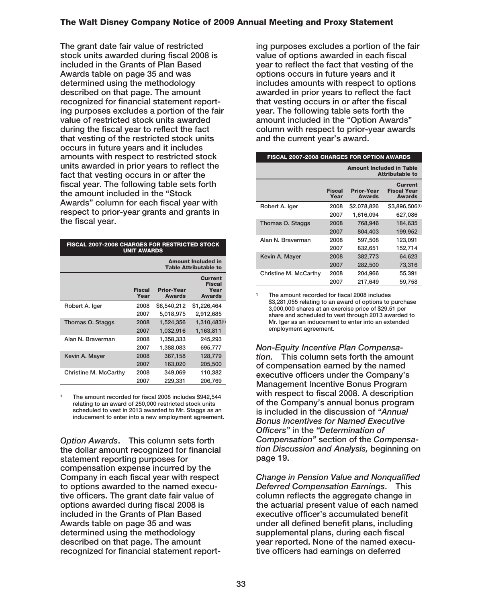**The grant date fair value of restricted stock units awarded during fiscal 2008 is included in the Grants of Plan Based Awards table on page 35 and was determined using the methodology described on that page. The amount recognized for financial statement reporting purposes excludes a portion of the fair value of restricted stock units awarded during the fiscal year to reflect the fact that vesting of the restricted stock units occurs in future years and it includes amounts with respect to restricted stock units awarded in prior years to reflect the fact that vesting occurs in or after the fiscal year. The following table sets forth the amount included in the "Stock Awards" column for each fiscal year with respect to prior-year grants and grants in the fiscal year.**

| <b>FISCAL 2007-2008 CHARGES FOR RESTRICTED STOCK</b><br><b>UNIT AWARDS</b> |                                                           |                                    |                                                          |  |  |  |  |
|----------------------------------------------------------------------------|-----------------------------------------------------------|------------------------------------|----------------------------------------------------------|--|--|--|--|
|                                                                            | <b>Amount Included in</b><br><b>Table Attributable to</b> |                                    |                                                          |  |  |  |  |
|                                                                            | <b>Fiscal</b><br>Year                                     | <b>Prior-Year</b><br><b>Awards</b> | <b>Current</b><br><b>Fiscal</b><br>Year<br><b>Awards</b> |  |  |  |  |
| Robert A. Iger                                                             | 2008                                                      | \$6,540,212                        | \$1,226,464                                              |  |  |  |  |
|                                                                            | 2007                                                      | 5.018.975                          | 2,912,685                                                |  |  |  |  |
| Thomas O. Staggs                                                           | 2008                                                      | 1,524,356                          | 1,310,483(1)                                             |  |  |  |  |
|                                                                            | 2007                                                      | 1,032,916                          | 1,163,811                                                |  |  |  |  |
| Alan N. Braverman                                                          | 2008                                                      | 1,358,333                          | 245,293                                                  |  |  |  |  |
|                                                                            | 2007                                                      | 1,388,083                          | 695,777                                                  |  |  |  |  |
| Kevin A. Mayer                                                             | 2008                                                      | 367,158                            | 128,779                                                  |  |  |  |  |
|                                                                            | 2007                                                      | 163,020                            | 205,500                                                  |  |  |  |  |
| Christine M. McCarthy                                                      | 2008                                                      | 349,069                            | 110,382                                                  |  |  |  |  |
|                                                                            | 2007                                                      | 229.331                            | 206,769                                                  |  |  |  |  |

**<sup>1</sup> The amount recorded for fiscal 2008 includes \$942,544 relating to an award of 250,000 restricted stock units scheduled to vest in 2013 awarded to Mr. Staggs as an inducement to enter into a new employment agreement.**

*Option Awards***. This column sets forth the dollar amount recognized for financial statement reporting purposes for compensation expense incurred by the Company in each fiscal year with respect to options awarded to the named executive officers. The grant date fair value of options awarded during fiscal 2008 is included in the Grants of Plan Based Awards table on page 35 and was determined using the methodology described on that page. The amount recognized for financial statement report-**

**ing purposes excludes a portion of the fair value of options awarded in each fiscal year to reflect the fact that vesting of the options occurs in future years and it includes amounts with respect to options awarded in prior years to reflect the fact that vesting occurs in or after the fiscal year. The following table sets forth the amount included in the "Option Awards" column with respect to prior-year awards and the current year's award.**

| <b>FISCAL 2007-2008 CHARGES FOR OPTION AWARDS</b> |                                                           |                                    |                                                       |  |  |  |  |
|---------------------------------------------------|-----------------------------------------------------------|------------------------------------|-------------------------------------------------------|--|--|--|--|
|                                                   | <b>Amount Included in Table</b><br><b>Attributable to</b> |                                    |                                                       |  |  |  |  |
|                                                   | <b>Fiscal</b><br>Year                                     | <b>Prior-Year</b><br><b>Awards</b> | <b>Current</b><br><b>Fiscal Year</b><br><b>Awards</b> |  |  |  |  |
| Robert A. Iger                                    | 2008                                                      | \$2,078,826                        | \$3,896,506(1)                                        |  |  |  |  |
|                                                   | 2007                                                      | 1.616.094                          | 627.086                                               |  |  |  |  |
| Thomas O. Staggs                                  | 2008                                                      | 768.946                            | 184.635                                               |  |  |  |  |
|                                                   | 2007                                                      | 804.403                            | 199,952                                               |  |  |  |  |
| Alan N. Braverman                                 | 2008                                                      | 597,508                            | 123,091                                               |  |  |  |  |
|                                                   | 2007                                                      | 832.651                            | 152,714                                               |  |  |  |  |
| Kevin A. Mayer                                    | 2008                                                      | 382,773                            | 64.623                                                |  |  |  |  |
|                                                   | 2007                                                      | 282,500                            | 73,316                                                |  |  |  |  |
| Christine M. McCarthy                             | 2008                                                      | 204.966                            | 55,391                                                |  |  |  |  |
|                                                   | 2007                                                      | 217.649                            | 59.758                                                |  |  |  |  |

**<sup>1</sup> The amount recorded for fiscal 2008 includes \$3,281,055 relating to an award of options to purchase 3,000,000 shares at an exercise price of \$29.51 per share and scheduled to vest through 2013 awarded to Mr. Iger as an inducement to enter into an extended employment agreement.**

*Non-Equity Incentive Plan Compensation.* **This column sets forth the amount of compensation earned by the named executive officers under the Company's Management Incentive Bonus Program with respect to fiscal 2008. A description of the Company's annual bonus program is included in the discussion of** *"Annual Bonus Incentives for Named Executive Officers"* **in the** *"Determination of Compensation"* **section of the** *Compensation Discussion and Analysis,* **beginning on page 19.**

*Change in Pension Value and Nonqualified Deferred Compensation Earnings***. This column reflects the aggregate change in the actuarial present value of each named executive officer's accumulated benefit under all defined benefit plans, including supplemental plans, during each fiscal year reported. None of the named executive officers had earnings on deferred**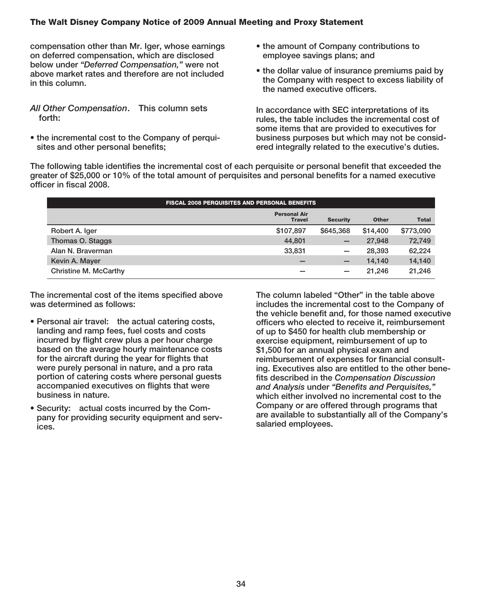**compensation other than Mr. Iger, whose earnings on deferred compensation, which are disclosed below under** *"Deferred Compensation,"* **were not above market rates and therefore are not included in this column.**

*All Other Compensation***. This column sets forth:**

**• the incremental cost to the Company of perquisites and other personal benefits;**

- **the amount of Company contributions to employee savings plans; and**
- **the dollar value of insurance premiums paid by the Company with respect to excess liability of the named executive officers.**

**In accordance with SEC interpretations of its rules, the table includes the incremental cost of some items that are provided to executives for business purposes but which may not be considered integrally related to the executive's duties.**

**The following table identifies the incremental cost of each perquisite or personal benefit that exceeded the greater of \$25,000 or 10% of the total amount of perquisites and personal benefits for a named executive officer in fiscal 2008.**

| <b>FISCAL 2008 PERQUISITES AND PERSONAL BENEFITS</b> |                                      |                          |              |              |  |  |  |
|------------------------------------------------------|--------------------------------------|--------------------------|--------------|--------------|--|--|--|
|                                                      | <b>Personal Air</b><br><b>Travel</b> | <b>Security</b>          | <b>Other</b> | <b>Total</b> |  |  |  |
| Robert A. Iger                                       | \$107,897                            | \$645,368                | \$14,400     | \$773,090    |  |  |  |
| Thomas O. Staggs                                     | 44.801                               | $\qquad \qquad -$        | 27.948       | 72,749       |  |  |  |
| Alan N. Braverman                                    | 33,831                               |                          | 28,393       | 62,224       |  |  |  |
| Kevin A. Mayer                                       |                                      | $\overline{\phantom{m}}$ | 14.140       | 14,140       |  |  |  |
| Christine M. McCarthy                                |                                      | $\overline{\phantom{0}}$ | 21.246       | 21,246       |  |  |  |

**The incremental cost of the items specified above was determined as follows:**

- **Personal air travel: the actual catering costs, landing and ramp fees, fuel costs and costs incurred by flight crew plus a per hour charge based on the average hourly maintenance costs for the aircraft during the year for flights that were purely personal in nature, and a pro rata portion of catering costs where personal guests accompanied executives on flights that were business in nature.**
- **Security: actual costs incurred by the Company for providing security equipment and services.**

**The column labeled "Other" in the table above includes the incremental cost to the Company of the vehicle benefit and, for those named executive officers who elected to receive it, reimbursement of up to \$450 for health club membership or exercise equipment, reimbursement of up to \$1,500 for an annual physical exam and reimbursement of expenses for financial consulting. Executives also are entitled to the other benefits described in the** *Compensation Discussion and Analysis* **under** *"Benefits and Perquisites,"* **which either involved no incremental cost to the Company or are offered through programs that are available to substantially all of the Company's salaried employees.**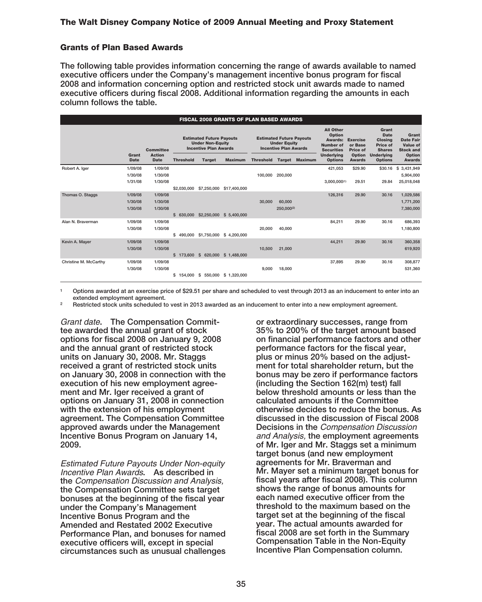#### **Grants of Plan Based Awards**

**The following table provides information concerning the range of awards available to named executive officers under the Company's management incentive bonus program for fiscal 2008 and information concerning option and restricted stock unit awards made to named executive officers during fiscal 2008. Additional information regarding the amounts in each column follows the table.**

| <b>FISCAL 2008 GRANTS OF PLAN BASED AWARDS</b> |                               |                               |                         |                                                                                            |                                   |                  |                                                                                        |                |                                                                                         |                         |                                                                     |                                                                  |
|------------------------------------------------|-------------------------------|-------------------------------|-------------------------|--------------------------------------------------------------------------------------------|-----------------------------------|------------------|----------------------------------------------------------------------------------------|----------------|-----------------------------------------------------------------------------------------|-------------------------|---------------------------------------------------------------------|------------------------------------------------------------------|
|                                                |                               | <b>Committee</b>              |                         | <b>Estimated Future Payouts</b><br><b>Under Non-Equity</b><br><b>Incentive Plan Awards</b> |                                   |                  | <b>Estimated Future Payouts</b><br><b>Under Equity</b><br><b>Incentive Plan Awards</b> |                | <b>All Other</b><br>Option<br><b>Awards: Exercise</b><br>Number of<br><b>Securities</b> | or Base<br>Price of     | Grant<br><b>Date</b><br><b>Closing</b><br>Price of<br><b>Shares</b> | Grant<br><b>Date Fair</b><br><b>Value of</b><br><b>Stock and</b> |
|                                                | Grant<br>Date                 | <b>Action</b><br>Date         | <b>Threshold</b>        | <b>Target</b>                                                                              | <b>Maximum</b>                    | <b>Threshold</b> | <b>Target</b>                                                                          | <b>Maximum</b> | <b>Underlying</b><br><b>Options</b>                                                     | Option<br><b>Awards</b> | <b>Underlying</b><br><b>Options</b>                                 | Option<br><b>Awards</b>                                          |
| Robert A. Iger                                 | 1/09/08<br>1/30/08<br>1/31/08 | 1/09/08<br>1/30/08<br>1/30/08 |                         |                                                                                            |                                   | 100.000          | 200,000                                                                                |                | 421,053<br>$3,000,000^{(1)}$                                                            | \$29.90<br>29.51        | \$30.16<br>29.84                                                    | s.<br>3,431,949<br>5,904,000<br>25,018,048                       |
|                                                |                               |                               | \$2,030,000             | \$7,250,000                                                                                | \$17,400,000                      |                  |                                                                                        |                |                                                                                         |                         |                                                                     |                                                                  |
| Thomas O. Staggs                               | 1/09/08<br>1/30/08<br>1/30/08 | 1/09/08<br>1/30/08<br>1/30/08 | $\mathbf{s}$<br>630,000 | \$2,250,000                                                                                | \$ 5,400,000                      | 30,000           | 60,000<br>250,000(2)                                                                   |                | 126,316                                                                                 | 29.90                   | 30.16                                                               | 1,029,586<br>1,771,200<br>7,380,000                              |
| Alan N. Braverman                              | 1/09/08<br>1/30/08            | 1/09/08<br>1/30/08            | \$<br>490.000           |                                                                                            | \$1,750,000 \$4,200,000           | 20,000           | 40.000                                                                                 |                | 84.211                                                                                  | 29.90                   | 30.16                                                               | 686.393<br>1,180,800                                             |
| Kevin A. Mayer                                 | 1/09/08<br>1/30/08            | 1/09/08<br>1/30/08            |                         |                                                                                            | \$1,488,000 \$620,000 \$1,488,000 | 10,500           | 21,000                                                                                 |                | 44.211                                                                                  | 29.90                   | 30.16                                                               | 360,358<br>619,920                                               |
| Christine M. McCarthy                          | 1/09/08<br>1/30/08            | 1/09/08<br>1/30/08            | \$<br>154.000           |                                                                                            | \$ 550,000 \$ 1,320,000           | 9.000            | 18,000                                                                                 |                | 37.895                                                                                  | 29.90                   | 30.16                                                               | 308,877<br>531,360                                               |

**<sup>1</sup> Options awarded at an exercise price of \$29.51 per share and scheduled to vest through 2013 as an inducement to enter into an extended employment agreement.**

**<sup>2</sup> Restricted stock units scheduled to vest in 2013 awarded as an inducement to enter into a new employment agreement.**

Grant date**. The Compensation Committee awarded the annual grant of stock options for fiscal 2008 on January 9, 2008 and the annual grant of restricted stock units on January 30, 2008. Mr. Staggs received a grant of restricted stock units on January 30, 2008 in connection with the execution of his new employment agreement and Mr. Iger received a grant of options on January 31, 2008 in connection with the extension of his employment agreement. The Compensation Committee approved awards under the Management Incentive Bonus Program on January 14, 2009.**

Estimated Future Payouts Under Non-equity Incentive Plan Awards**. As described in the** Compensation Discussion and Analysis, **the Compensation Committee sets target bonuses at the beginning of the fiscal year under the Company's Management Incentive Bonus Program and the Amended and Restated 2002 Executive Performance Plan, and bonuses for named executive officers will, except in special circumstances such as unusual challenges**

**or extraordinary successes, range from 35% to 200% of the target amount based on financial performance factors and other performance factors for the fiscal year, plus or minus 20% based on the adjustment for total shareholder return, but the bonus may be zero if performance factors (including the Section 162(m) test) fall below threshold amounts or less than the calculated amounts if the Committee otherwise decides to reduce the bonus. As discussed in the discussion of Fiscal 2008 Decisions in the** Compensation Discussion and Analysis, **the employment agreements of Mr. Iger and Mr. Staggs set a minimum target bonus (and new employment agreements for Mr. Braverman and Mr. Mayer set a minimum target bonus for fiscal years after fiscal 2008). This column shows the range of bonus amounts for each named executive officer from the threshold to the maximum based on the target set at the beginning of the fiscal year. The actual amounts awarded for fiscal 2008 are set forth in the Summary Compensation Table in the Non-Equity Incentive Plan Compensation column.**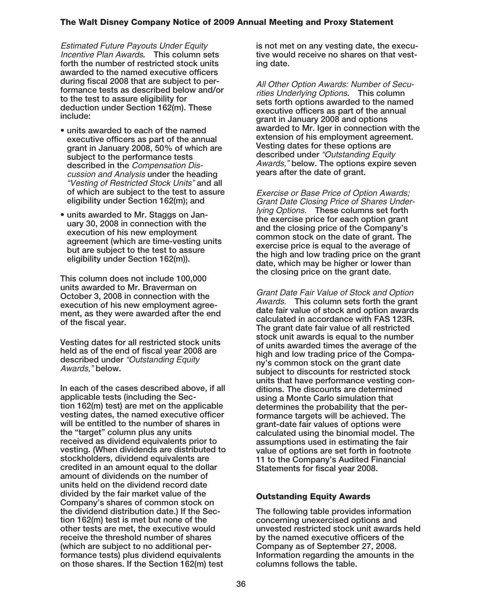Estimated Future Payouts Under Equity Incentive Plan Awards**. This column sets forth the number of restricted stock units awarded to the named executive officers during fiscal 2008 that are subject to performance tests as described below and/or to the test to assure eligibility for deduction under Section 162(m). These include:**

- **units awarded to each of the named executive officers as part of the annual grant in January 2008, 50% of which are subject to the performance tests described in the** Compensation Discussion and Analysis **under the heading** "Vesting of Restricted Stock Units" **and all of which are subject to the test to assure eligibility under Section 162(m); and**
- **units awarded to Mr. Staggs on January 30, 2008 in connection with the execution of his new employment agreement (which are time-vesting units but are subject to the test to assure eligibility under Section 162(m)).**

**This column does not include 100,000 units awarded to Mr. Braverman on October 3, 2008 in connection with the execution of his new employment agreement, as they were awarded after the end of the fiscal year.**

**Vesting dates for all restricted stock units held as of the end of fiscal year 2008 are described under** "Outstanding Equity Awards," **below.**

**In each of the cases described above, if all applicable tests (including the Section 162(m) test) are met on the applicable vesting dates, the named executive officer will be entitled to the number of shares in the "target" column plus any units received as dividend equivalents prior to vesting. (When dividends are distributed to stockholders, dividend equivalents are credited in an amount equal to the dollar amount of dividends on the number of units held on the dividend record date divided by the fair market value of the Company's shares of common stock on the dividend distribution date.) If the Section 162(m) test is met but none of the other tests are met, the executive would receive the threshold number of shares (which are subject to no additional performance tests) plus dividend equivalents on those shares. If the Section 162(m) test**

**is not met on any vesting date, the executive would receive no shares on that vesting date.**

All Other Option Awards: Number of Securities Underlying Options**. This column sets forth options awarded to the named executive officers as part of the annual grant in January 2008 and options awarded to Mr. Iger in connection with the extension of his employment agreement. Vesting dates for these options are described under** "Outstanding Equity Awards," **below. The options expire seven years after the date of grant.**

Exercise or Base Price of Option Awards; Grant Date Closing Price of Shares Underlying Options. **These columns set forth the exercise price for each option grant and the closing price of the Company's common stock on the date of grant. The exercise price is equal to the average of the high and low trading price on the grant date, which may be higher or lower than the closing price on the grant date.**

Grant Date Fair Value of Stock and Option Awards. **This column sets forth the grant date fair value of stock and option awards calculated in accordance with FAS 123R. The grant date fair value of all restricted stock unit awards is equal to the number of units awarded times the average of the high and low trading price of the Company's common stock on the grant date subject to discounts for restricted stock units that have performance vesting conditions. The discounts are determined using a Monte Carlo simulation that determines the probability that the performance targets will be achieved. The grant-date fair values of options were calculated using the binomial model. The assumptions used in estimating the fair value of options are set forth in footnote 11 to the Company's Audited Financial Statements for fiscal year 2008.**

## **Outstanding Equity Awards**

**The following table provides information concerning unexercised options and unvested restricted stock unit awards held by the named executive officers of the Company as of September 27, 2008. Information regarding the amounts in the columns follows the table.**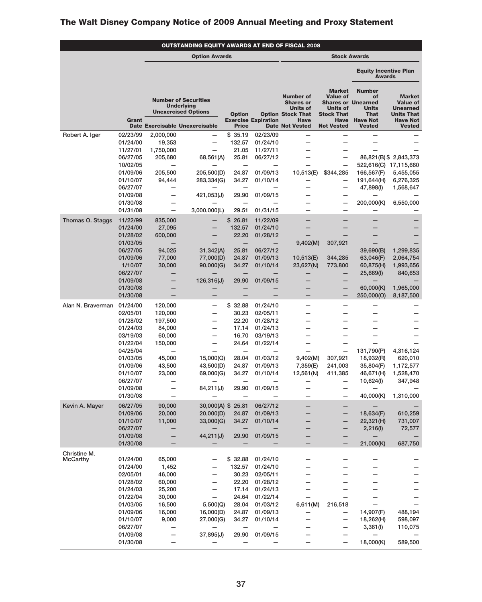|                   | OUTSTANDING EQUITY AWARDS AT END OF FISCAL 2008 |                                               |                                                                                                                  |                                   |                                      |                                                                                             |                                                                                  |                                                                                                    |                                                                                             |
|-------------------|-------------------------------------------------|-----------------------------------------------|------------------------------------------------------------------------------------------------------------------|-----------------------------------|--------------------------------------|---------------------------------------------------------------------------------------------|----------------------------------------------------------------------------------|----------------------------------------------------------------------------------------------------|---------------------------------------------------------------------------------------------|
|                   |                                                 |                                               | <b>Option Awards</b>                                                                                             |                                   |                                      | <b>Stock Awards</b>                                                                         |                                                                                  |                                                                                                    |                                                                                             |
|                   |                                                 |                                               |                                                                                                                  |                                   |                                      |                                                                                             |                                                                                  | <b>Equity Incentive Plan</b><br><b>Awards</b>                                                      |                                                                                             |
|                   | Grant                                           |                                               | <b>Number of Securities</b><br><b>Underlying</b><br><b>Unexercised Options</b><br>Date Exercisable Unexercisable | <b>Option</b>                     | <b>Exercise Expiration</b>           | <b>Number of</b><br><b>Shares or</b><br><b>Units of</b><br><b>Option Stock That</b><br>Have | <b>Market</b><br><b>Value of</b><br><b>Units of</b><br><b>Stock That</b><br>Have | <b>Number</b><br>of<br><b>Shares or Unearned</b><br><b>Units</b><br><b>That</b><br><b>Have Not</b> | <b>Market</b><br><b>Value of</b><br><b>Unearned</b><br><b>Units That</b><br><b>Have Not</b> |
| Robert A. Iger    | 02/23/99                                        | 2,000,000                                     | $\overline{\phantom{0}}$                                                                                         | <b>Price</b><br>\$35.19           | 02/23/09                             | <b>Date Not Vested</b><br>—                                                                 | <b>Not Vested</b>                                                                | <b>Vested</b><br>$\overline{\phantom{0}}$                                                          | <b>Vested</b>                                                                               |
|                   | 01/24/00                                        | 19,353                                        | $\overline{\phantom{0}}$                                                                                         | 132.57                            | 01/24/10                             | $\overline{\phantom{0}}$                                                                    | $\overline{\phantom{0}}$                                                         |                                                                                                    |                                                                                             |
|                   | 11/27/01                                        | 1,750,000                                     |                                                                                                                  | 21.05                             | 11/27/11                             | —                                                                                           | $\overline{\phantom{0}}$                                                         |                                                                                                    |                                                                                             |
|                   | 06/27/05<br>10/02/05                            | 205.680<br>-                                  | 68,561(A)                                                                                                        | 25.81<br>-                        | 06/27/12<br>$\overline{\phantom{0}}$ | -<br>—                                                                                      | -<br>$\overline{\phantom{0}}$                                                    |                                                                                                    | 86,821(B) \$2,843,373<br>522,616(C) 17,115,660                                              |
|                   | 01/09/06                                        | 205,500                                       | 205,500(D)                                                                                                       | 24.87                             | 01/09/13                             | 10,513(E)                                                                                   | \$344,285                                                                        | 166,567(F)                                                                                         | 5,455,055                                                                                   |
|                   | 01/10/07                                        | 94,444                                        | 283,334(G)                                                                                                       | 34.27                             | 01/10/14                             | —                                                                                           | $\overline{\phantom{0}}$                                                         | 191,644(H)                                                                                         | 6,276,325                                                                                   |
|                   | 06/27/07                                        |                                               |                                                                                                                  |                                   |                                      | —                                                                                           | $\overline{\phantom{0}}$                                                         | 47,898(I)                                                                                          | 1,568,647                                                                                   |
|                   | 01/09/08<br>01/30/08                            | $\overline{\phantom{0}}$<br>$\qquad \qquad -$ | 421,053(J)                                                                                                       | 29.90<br>-                        | 01/09/15<br>$\overline{\phantom{0}}$ | ╾<br>$\overline{\phantom{0}}$                                                               | $\overline{\phantom{0}}$<br>$\overline{\phantom{0}}$                             | —<br>200,000(K)                                                                                    | 6,550,000                                                                                   |
|                   | 01/31/08                                        | $\overline{\phantom{0}}$                      | 3,000,000(L)                                                                                                     | 29.51                             | 01/31/15                             | —                                                                                           | $\overline{\phantom{0}}$                                                         | $\overline{\phantom{0}}$                                                                           |                                                                                             |
| Thomas O. Staggs  | 11/22/99                                        | 835,000                                       |                                                                                                                  | \$26.81                           | 11/22/09                             | ─                                                                                           |                                                                                  | —                                                                                                  |                                                                                             |
|                   | 01/24/00                                        | 27,095                                        | -                                                                                                                | 132.57                            | 01/24/10                             | —                                                                                           | —                                                                                | -                                                                                                  |                                                                                             |
|                   | 01/28/02                                        | 600,000                                       |                                                                                                                  | 22.20                             | 01/28/12                             |                                                                                             |                                                                                  | —                                                                                                  |                                                                                             |
|                   | 01/03/05<br>06/27/05                            | $\overline{\phantom{0}}$<br>94,025            | 31,342(A)                                                                                                        | —<br>25.81                        | $\overline{\phantom{0}}$<br>06/27/12 | 9,402(M)                                                                                    | 307,921                                                                          | $\overline{\phantom{0}}$<br>39,690(B)                                                              | 1,299,835                                                                                   |
|                   | 01/09/06                                        | 77,000                                        | 77,000(D)                                                                                                        | 24.87                             | 01/09/13                             | 10,513(E)                                                                                   | 344,285                                                                          | 63,046(F)                                                                                          | 2,064,754                                                                                   |
|                   | 1/10/07                                         | 30,000                                        | 90,000(G)                                                                                                        | 34.27                             | 01/10/14                             | 23,627(N)                                                                                   | 773,800                                                                          | 60,875(H)                                                                                          | 1,993,656                                                                                   |
|                   | 06/27/07<br>01/09/08                            |                                               |                                                                                                                  | —<br>29.90                        | 01/09/15                             | —                                                                                           | —                                                                                | 25,669(I)                                                                                          | 840,653                                                                                     |
|                   | 01/30/08                                        | -                                             | 126,316(J)                                                                                                       |                                   |                                      | —                                                                                           | $\overline{\phantom{0}}$                                                         | 60,000(K)                                                                                          | 1,965,000                                                                                   |
|                   | 01/30/08                                        |                                               |                                                                                                                  | -                                 |                                      | ─                                                                                           | $\overline{\phantom{0}}$                                                         | 250,000(O)                                                                                         | 8,187,500                                                                                   |
| Alan N. Braverman | 01/24/00                                        | 120,000                                       |                                                                                                                  | \$32.88                           | 01/24/10                             | —                                                                                           | $\overline{\phantom{0}}$                                                         | $\overline{\phantom{0}}$                                                                           |                                                                                             |
|                   | 02/05/01                                        | 120,000                                       | -                                                                                                                | 30.23                             | 02/05/11                             | —                                                                                           | —                                                                                | $\overline{\phantom{0}}$                                                                           |                                                                                             |
|                   | 01/28/02<br>01/24/03                            | 197,500<br>84,000                             | -                                                                                                                | 22.20<br>17.14                    | 01/28/12<br>01/24/13                 | —<br>$\overline{\phantom{0}}$                                                               | —<br>—                                                                           | $\overline{\phantom{0}}$<br>$\overline{\phantom{0}}$                                               |                                                                                             |
|                   | 03/19/03                                        | 60,000                                        |                                                                                                                  | 16.70                             | 03/19/13                             | —                                                                                           | —                                                                                | $\overline{\phantom{0}}$                                                                           |                                                                                             |
|                   | 01/22/04                                        | 150,000                                       | -                                                                                                                | 24.64                             | 01/22/14                             | -                                                                                           | $\overline{\phantom{0}}$                                                         |                                                                                                    |                                                                                             |
|                   | 04/25/04<br>01/03/05                            | $\overline{\phantom{0}}$<br>45,000            | 15,000(Q)                                                                                                        | $\overline{\phantom{0}}$<br>28.04 | 01/03/12                             | -<br>9,402(M)                                                                               | $\overline{\phantom{0}}$<br>307,921                                              | 131,790(P)                                                                                         | 4,316,124                                                                                   |
|                   | 01/09/06                                        | 43,500                                        | 43,500(D)                                                                                                        | 24.87                             | 01/09/13                             | 7,359(E)                                                                                    | 241,003                                                                          | 18,932(R)<br>35,804(F)                                                                             | 620,010<br>1,172,577                                                                        |
|                   | 01/10/07                                        | 23,000                                        | 69,000(G)                                                                                                        | 34.27                             | 01/10/14                             | 12,561(N)                                                                                   | 411,385                                                                          | 46,671(H)                                                                                          | 1,528,470                                                                                   |
|                   | 06/27/07                                        | $\overline{\phantom{0}}$                      |                                                                                                                  | $\overline{\phantom{0}}$          |                                      | —                                                                                           | $\overline{\phantom{0}}$                                                         | 10,624(I)                                                                                          | 347,948                                                                                     |
|                   | 01/09/08<br>01/30/08                            | -                                             | 84,211(J)                                                                                                        | 29.90                             | 01/09/15                             | —<br>—                                                                                      | $\overline{\phantom{0}}$<br>$\overline{\phantom{0}}$                             | 40,000(K)                                                                                          | 1,310,000                                                                                   |
| Kevin A. Mayer    | 06/27/05                                        | 90,000                                        | 30,000(A) \$ 25.81                                                                                               |                                   | 06/27/12                             | —                                                                                           |                                                                                  |                                                                                                    |                                                                                             |
|                   | 01/09/06                                        | 20,000                                        | 20,000(D)                                                                                                        | 24.87                             | 01/09/13                             |                                                                                             |                                                                                  | 18,634(F)                                                                                          | 610,259                                                                                     |
|                   | 01/10/07                                        | 11,000                                        | 33,000(G)                                                                                                        | 34.27                             | 01/10/14                             |                                                                                             |                                                                                  | 22,321(H)                                                                                          | 731,007                                                                                     |
|                   | 06/27/07<br>01/09/08                            | —                                             | 44,211(J)                                                                                                        | 29.90                             | 01/09/15                             | -<br>—                                                                                      |                                                                                  | 2,216(1)                                                                                           | 72,577                                                                                      |
|                   | 01/30/08                                        |                                               |                                                                                                                  |                                   |                                      | —                                                                                           | $\qquad \qquad -$                                                                | 21,000(K)                                                                                          | 687,750                                                                                     |
| Christine M.      |                                                 |                                               |                                                                                                                  |                                   |                                      |                                                                                             |                                                                                  |                                                                                                    |                                                                                             |
| <b>McCarthy</b>   | 01/24/00                                        | 65,000                                        |                                                                                                                  | \$32.88                           | 01/24/10                             |                                                                                             | -                                                                                |                                                                                                    |                                                                                             |
|                   | 01/24/00<br>02/05/01                            | 1,452<br>46,000                               | —<br>-                                                                                                           | 132.57<br>30.23                   | 01/24/10<br>02/05/11                 |                                                                                             |                                                                                  |                                                                                                    |                                                                                             |
|                   | 01/28/02                                        | 60,000                                        | —                                                                                                                | 22.20                             | 01/28/12                             |                                                                                             |                                                                                  |                                                                                                    |                                                                                             |
|                   | 01/24/03                                        | 25,200                                        |                                                                                                                  | 17.14                             | 01/24/13                             |                                                                                             |                                                                                  |                                                                                                    |                                                                                             |
|                   | 01/22/04                                        | 30,000                                        | —                                                                                                                | 24.64                             | 01/22/14                             |                                                                                             | —                                                                                | -                                                                                                  |                                                                                             |
|                   | 01/03/05<br>01/09/06                            | 16,500<br>16,000                              | 5,500(Q)<br>16,000(D)                                                                                            | 28.04<br>24.87                    | 01/03/12<br>01/09/13                 | 6,611(M)                                                                                    | 216,518                                                                          | $\overline{\phantom{0}}$<br>14,907(F)                                                              | 488,194                                                                                     |
|                   | 01/10/07                                        | 9,000                                         | 27,000(G)                                                                                                        | 34.27                             | 01/10/14                             | -                                                                                           | $\qquad \qquad -$                                                                | 18,262(H)                                                                                          | 598,097                                                                                     |
|                   | 06/27/07                                        | -                                             |                                                                                                                  | -                                 |                                      | -                                                                                           | -                                                                                | 3,361(1)                                                                                           | 110,075                                                                                     |
|                   | 01/09/08<br>01/30/08                            |                                               | 37,895(J)                                                                                                        | 29.90                             | 01/09/15                             | -                                                                                           |                                                                                  | 18,000(K)                                                                                          | 589,500                                                                                     |
|                   |                                                 | —                                             |                                                                                                                  |                                   | —                                    |                                                                                             |                                                                                  |                                                                                                    |                                                                                             |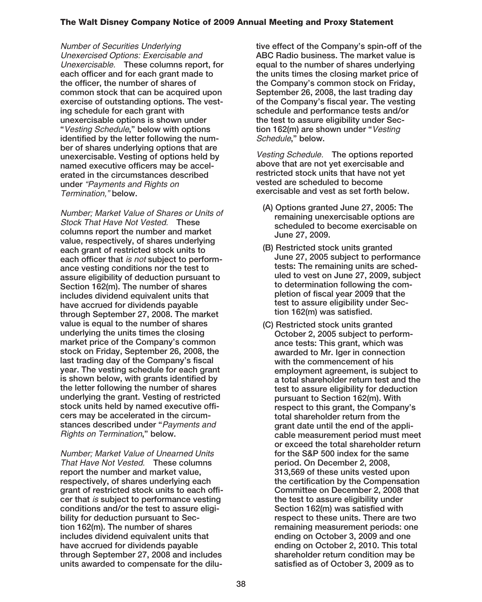Number of Securities Underlying Unexercised Options: Exercisable and Unexercisable. **These columns report, for each officer and for each grant made to the officer, the number of shares of common stock that can be acquired upon exercise of outstanding options. The vesting schedule for each grant with unexercisable options is shown under "**Vesting Schedule**," below with options identified by the letter following the number of shares underlying options that are unexercisable. Vesting of options held by named executive officers may be accelerated in the circumstances described under** "Payments and Rights on Termination," **below.**

Number; Market Value of Shares or Units of Stock That Have Not Vested. **These columns report the number and market value, respectively, of shares underlying each grant of restricted stock units to each officer that** is not **subject to performance vesting conditions nor the test to assure eligibility of deduction pursuant to Section 162(m). The number of shares includes dividend equivalent units that have accrued for dividends payable through September 27, 2008. The market value is equal to the number of shares underlying the units times the closing market price of the Company's common stock on Friday, September 26, 2008, the last trading day of the Company's fiscal year. The vesting schedule for each grant is shown below, with grants identified by the letter following the number of shares underlying the grant. Vesting of restricted stock units held by named executive officers may be accelerated in the circumstances described under "**Payments and Rights on Termination**," below.**

Number; Market Value of Unearned Units That Have Not Vested. **These columns report the number and market value, respectively, of shares underlying each grant of restricted stock units to each officer that** is **subject to performance vesting conditions and/or the test to assure eligibility for deduction pursuant to Section 162(m). The number of shares includes dividend equivalent units that have accrued for dividends payable through September 27, 2008 and includes units awarded to compensate for the dilu-** **tive effect of the Company's spin-off of the ABC Radio business. The market value is equal to the number of shares underlying the units times the closing market price of the Company's common stock on Friday, September 26, 2008, the last trading day of the Company's fiscal year. The vesting schedule and performance tests and/or the test to assure eligibility under Section 162(m) are shown under "**Vesting Schedule**," below.**

Vesting Schedule. **The options reported above that are not yet exercisable and restricted stock units that have not yet vested are scheduled to become exercisable and vest as set forth below.**

- **(A) Options granted June 27, 2005: The remaining unexercisable options are scheduled to become exercisable on June 27, 2009.**
- **(B) Restricted stock units granted June 27, 2005 subject to performance tests: The remaining units are scheduled to vest on June 27, 2009, subject to determination following the completion of fiscal year 2009 that the test to assure eligibility under Section 162(m) was satisfied.**
- **(C) Restricted stock units granted October 2, 2005 subject to performance tests: This grant, which was awarded to Mr. Iger in connection with the commencement of his employment agreement, is subject to a total shareholder return test and the test to assure eligibility for deduction pursuant to Section 162(m). With respect to this grant, the Company's total shareholder return from the grant date until the end of the applicable measurement period must meet or exceed the total shareholder return for the S&P 500 index for the same period. On December 2, 2008, 313,569 of these units vested upon the certification by the Compensation Committee on December 2, 2008 that the test to assure eligibility under Section 162(m) was satisfied with respect to these units. There are two remaining measurement periods: one ending on October 3, 2009 and one ending on October 2, 2010. This total shareholder return condition may be satisfied as of October 3, 2009 as to**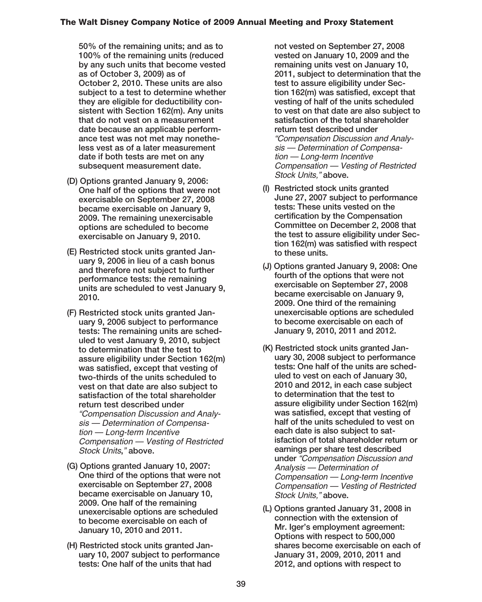**50% of the remaining units; and as to 100% of the remaining units (reduced by any such units that become vested as of October 3, 2009) as of October 2, 2010. These units are also subject to a test to determine whether they are eligible for deductibility consistent with Section 162(m). Any units that do not vest on a measurement date because an applicable performance test was not met may nonetheless vest as of a later measurement date if both tests are met on any subsequent measurement date.**

- **(D) Options granted January 9, 2006: One half of the options that were not exercisable on September 27, 2008 became exercisable on January 9, 2009. The remaining unexercisable options are scheduled to become exercisable on January 9, 2010.**
- **(E) Restricted stock units granted January 9, 2006 in lieu of a cash bonus and therefore not subject to further performance tests: the remaining units are scheduled to vest January 9, 2010.**
- **(F) Restricted stock units granted January 9, 2006 subject to performance tests: The remaining units are scheduled to vest January 9, 2010, subject to determination that the test to assure eligibility under Section 162(m) was satisfied, except that vesting of two-thirds of the units scheduled to vest on that date are also subject to satisfaction of the total shareholder return test described under** "Compensation Discussion and Analysis — Determination of Compensation — Long-term Incentive Compensation — Vesting of Restricted Stock Units**,**" **above.**
- **(G) Options granted January 10, 2007: One third of the options that were not exercisable on September 27, 2008 became exercisable on January 10, 2009. One half of the remaining unexercisable options are scheduled to become exercisable on each of January 10, 2010 and 2011.**
- **(H) Restricted stock units granted January 10, 2007 subject to performance tests: One half of the units that had**

**not vested on September 27, 2008 vested on January 10, 2009 and the remaining units vest on January 10, 2011, subject to determination that the test to assure eligibility under Section 162(m) was satisfied, except that vesting of half of the units scheduled to vest on that date are also subject to satisfaction of the total shareholder return test described under** "Compensation Discussion and Analysis — Determination of Compensation — Long-term Incentive Compensation — Vesting of Restricted Stock Units," **above.**

- **(I) Restricted stock units granted June 27, 2007 subject to performance tests: These units vested on the certification by the Compensation Committee on December 2, 2008 that the test to assure eligibility under Section 162(m) was satisfied with respect to these units.**
- **(J) Options granted January 9, 2008: One fourth of the options that were not exercisable on September 27, 2008 became exercisable on January 9, 2009. One third of the remaining unexercisable options are scheduled to become exercisable on each of January 9, 2010, 2011 and 2012.**
- **(K) Restricted stock units granted January 30, 2008 subject to performance tests: One half of the units are scheduled to vest on each of January 30, 2010 and 2012, in each case subject to determination that the test to assure eligibility under Section 162(m) was satisfied, except that vesting of half of the units scheduled to vest on each date is also subject to satisfaction of total shareholder return or earnings per share test described under** "Compensation Discussion and Analysis — Determination of Compensation — Long-term Incentive Compensation — Vesting of Restricted Stock Units," **above.**
- **(L) Options granted January 31, 2008 in connection with the extension of Mr. Iger's employment agreement: Options with respect to 500,000 shares become exercisable on each of January 31, 2009, 2010, 2011 and 2012, and options with respect to**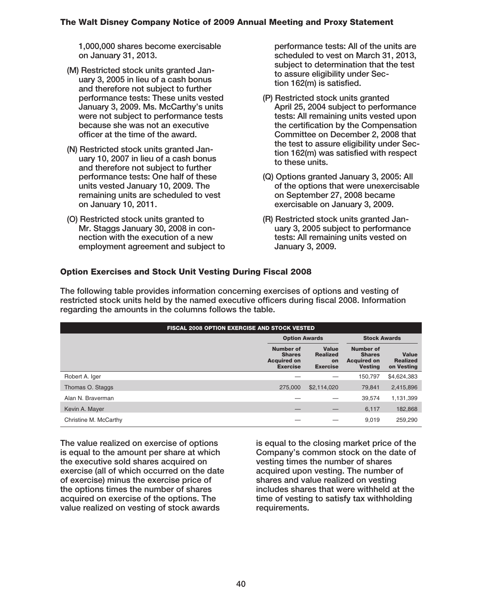**1,000,000 shares become exercisable on January 31, 2013.**

- **(M) Restricted stock units granted January 3, 2005 in lieu of a cash bonus and therefore not subject to further performance tests: These units vested January 3, 2009. Ms. McCarthy's units were not subject to performance tests because she was not an executive officer at the time of the award.**
- **(N) Restricted stock units granted January 10, 2007 in lieu of a cash bonus and therefore not subject to further performance tests: One half of these units vested January 10, 2009. The remaining units are scheduled to vest on January 10, 2011.**
- **(O) Restricted stock units granted to Mr. Staggs January 30, 2008 in connection with the execution of a new employment agreement and subject to**

**performance tests: All of the units are scheduled to vest on March 31, 2013, subject to determination that the test to assure eligibility under Section 162(m) is satisfied.**

- **(P) Restricted stock units granted April 25, 2004 subject to performance tests: All remaining units vested upon the certification by the Compensation Committee on December 2, 2008 that the test to assure eligibility under Section 162(m) was satisfied with respect to these units.**
- **(Q) Options granted January 3, 2005: All of the options that were unexercisable on September 27, 2008 became exercisable on January 3, 2009.**
- **(R) Restricted stock units granted January 3, 2005 subject to performance tests: All remaining units vested on January 3, 2009.**

## **Option Exercises and Stock Unit Vesting During Fiscal 2008**

**The following table provides information concerning exercises of options and vesting of restricted stock units held by the named executive officers during fiscal 2008. Information regarding the amounts in the columns follows the table.**

| <b>FISCAL 2008 OPTION EXERCISE AND STOCK VESTED</b> |                                                                            |                                                   |                                                                    |                                               |  |  |  |
|-----------------------------------------------------|----------------------------------------------------------------------------|---------------------------------------------------|--------------------------------------------------------------------|-----------------------------------------------|--|--|--|
|                                                     |                                                                            | <b>Stock Awards</b><br><b>Option Awards</b>       |                                                                    |                                               |  |  |  |
|                                                     | <b>Number of</b><br><b>Shares</b><br><b>Acquired on</b><br><b>Exercise</b> | Value<br><b>Realized</b><br>on<br><b>Exercise</b> | Number of<br><b>Shares</b><br><b>Acquired on</b><br><b>Vesting</b> | <b>Value</b><br><b>Realized</b><br>on Vesting |  |  |  |
| Robert A. Iger                                      |                                                                            |                                                   | 150.797                                                            | \$4,624,383                                   |  |  |  |
| Thomas O. Staggs                                    | 275,000                                                                    | \$2,114,020                                       | 79.841                                                             | 2,415,896                                     |  |  |  |
| Alan N. Braverman                                   |                                                                            |                                                   | 39.574                                                             | 1,131,399                                     |  |  |  |
| Kevin A. Mayer                                      |                                                                            |                                                   | 6,117                                                              | 182,868                                       |  |  |  |
| Christine M. McCarthy                               |                                                                            |                                                   | 9.019                                                              | 259.290                                       |  |  |  |

**The value realized on exercise of options is equal to the amount per share at which the executive sold shares acquired on exercise (all of which occurred on the date of exercise) minus the exercise price of the options times the number of shares acquired on exercise of the options. The value realized on vesting of stock awards**

**is equal to the closing market price of the Company's common stock on the date of vesting times the number of shares acquired upon vesting. The number of shares and value realized on vesting includes shares that were withheld at the time of vesting to satisfy tax withholding requirements.**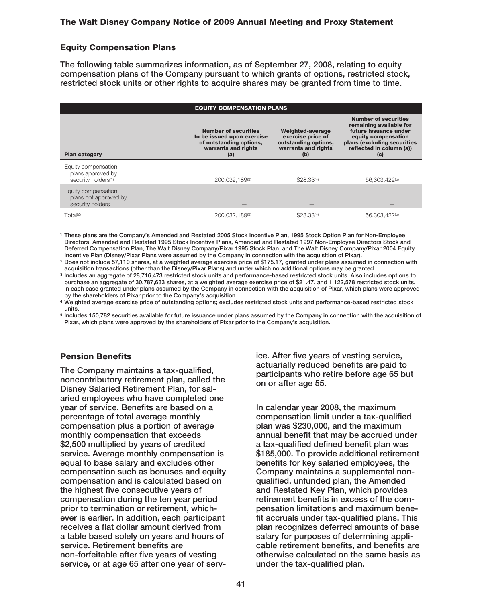#### **Equity Compensation Plans**

**The following table summarizes information, as of September 27, 2008, relating to equity compensation plans of the Company pursuant to which grants of options, restricted stock, restricted stock units or other rights to acquire shares may be granted from time to time.**

| <b>EQUITY COMPENSATION PLANS</b>                                            |                                                                                                                    |                                                                                             |                                                                                                                                                                          |  |  |  |  |  |
|-----------------------------------------------------------------------------|--------------------------------------------------------------------------------------------------------------------|---------------------------------------------------------------------------------------------|--------------------------------------------------------------------------------------------------------------------------------------------------------------------------|--|--|--|--|--|
| <b>Plan category</b>                                                        | <b>Number of securities</b><br>to be issued upon exercise<br>of outstanding options,<br>warrants and rights<br>(a) | Weighted-average<br>exercise price of<br>outstanding options,<br>warrants and rights<br>(b) | <b>Number of securities</b><br>remaining available for<br>future issuance under<br>equity compensation<br>plans (excluding securities<br>reflected in column (a))<br>(c) |  |  |  |  |  |
| Equity compensation<br>plans approved by<br>security holders <sup>(1)</sup> | 200.032.189(3)                                                                                                     | \$28.33(4)                                                                                  | 56,303,422(5)                                                                                                                                                            |  |  |  |  |  |
| Equity compensation<br>plans not approved by<br>security holders            |                                                                                                                    |                                                                                             |                                                                                                                                                                          |  |  |  |  |  |
| Total <sup>(2)</sup>                                                        | 200.032.189(3)                                                                                                     | \$28.33(4)                                                                                  | 56,303,422(5)                                                                                                                                                            |  |  |  |  |  |

**<sup>1</sup> These plans are the Company's Amended and Restated 2005 Stock Incentive Plan, 1995 Stock Option Plan for Non-Employee Directors, Amended and Restated 1995 Stock Incentive Plans, Amended and Restated 1997 Non-Employee Directors Stock and Deferred Compensation Plan, The Walt Disney Company/Pixar 1995 Stock Plan, and The Walt Disney Company/Pixar 2004 Equity Incentive Plan (Disney/Pixar Plans were assumed by the Company in connection with the acquisition of Pixar).**

**<sup>2</sup> Does not include 57,110 shares, at a weighted average exercise price of \$175.17, granted under plans assumed in connection with acquisition transactions (other than the Disney/Pixar Plans) and under which no additional options may be granted.**

**<sup>3</sup> Includes an aggregate of 28,716,473 restricted stock units and performance-based restricted stock units. Also includes options to purchase an aggregate of 30,787,633 shares, at a weighted average exercise price of \$21.47, and 1,122,578 restricted stock units, in each case granted under plans assumed by the Company in connection with the acquisition of Pixar, which plans were approved by the shareholders of Pixar prior to the Company's acquisition.**

**<sup>4</sup> Weighted average exercise price of outstanding options; excludes restricted stock units and performance-based restricted stock units.**

**<sup>5</sup> Includes 150,782 securities available for future issuance under plans assumed by the Company in connection with the acquisition of Pixar, which plans were approved by the shareholders of Pixar prior to the Company's acquisition.**

## **Pension Benefits**

**The Company maintains a tax-qualified, noncontributory retirement plan, called the Disney Salaried Retirement Plan, for salaried employees who have completed one year of service. Benefits are based on a percentage of total average monthly compensation plus a portion of average monthly compensation that exceeds \$2,500 multiplied by years of credited service. Average monthly compensation is equal to base salary and excludes other compensation such as bonuses and equity compensation and is calculated based on the highest five consecutive years of compensation during the ten year period prior to termination or retirement, whichever is earlier. In addition, each participant receives a flat dollar amount derived from a table based solely on years and hours of service. Retirement benefits are non-forfeitable after five years of vesting service, or at age 65 after one year of serv-** **ice. After five years of vesting service, actuarially reduced benefits are paid to participants who retire before age 65 but on or after age 55.**

**In calendar year 2008, the maximum compensation limit under a tax-qualified plan was \$230,000, and the maximum annual benefit that may be accrued under a tax-qualified defined benefit plan was \$185,000. To provide additional retirement benefits for key salaried employees, the Company maintains a supplemental nonqualified, unfunded plan, the Amended and Restated Key Plan, which provides retirement benefits in excess of the compensation limitations and maximum benefit accruals under tax-qualified plans. This plan recognizes deferred amounts of base salary for purposes of determining applicable retirement benefits, and benefits are otherwise calculated on the same basis as under the tax-qualified plan.**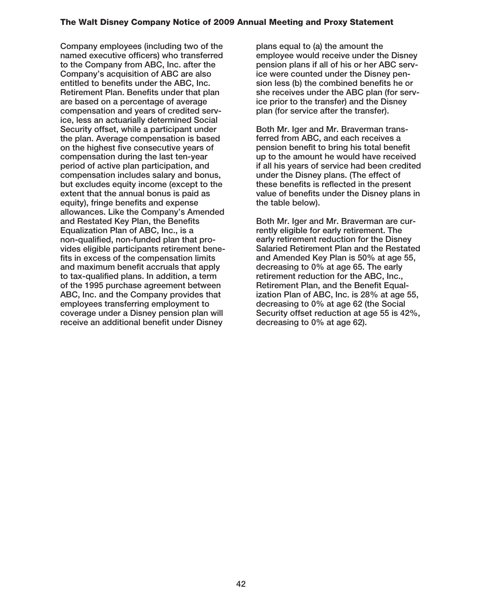**Company employees (including two of the named executive officers) who transferred to the Company from ABC, Inc. after the Company's acquisition of ABC are also entitled to benefits under the ABC, Inc. Retirement Plan. Benefits under that plan are based on a percentage of average compensation and years of credited service, less an actuarially determined Social Security offset, while a participant under the plan. Average compensation is based on the highest five consecutive years of compensation during the last ten-year period of active plan participation, and compensation includes salary and bonus, but excludes equity income (except to the extent that the annual bonus is paid as equity), fringe benefits and expense allowances. Like the Company's Amended and Restated Key Plan, the Benefits Equalization Plan of ABC, Inc., is a non-qualified, non-funded plan that provides eligible participants retirement benefits in excess of the compensation limits and maximum benefit accruals that apply to tax-qualified plans. In addition, a term of the 1995 purchase agreement between ABC, Inc. and the Company provides that employees transferring employment to coverage under a Disney pension plan will receive an additional benefit under Disney**

**plans equal to (a) the amount the employee would receive under the Disney pension plans if all of his or her ABC service were counted under the Disney pension less (b) the combined benefits he or she receives under the ABC plan (for service prior to the transfer) and the Disney plan (for service after the transfer).**

**Both Mr. Iger and Mr. Braverman transferred from ABC, and each receives a pension benefit to bring his total benefit up to the amount he would have received if all his years of service had been credited under the Disney plans. (The effect of these benefits is reflected in the present value of benefits under the Disney plans in the table below).**

**Both Mr. Iger and Mr. Braverman are currently eligible for early retirement. The early retirement reduction for the Disney Salaried Retirement Plan and the Restated and Amended Key Plan is 50% at age 55, decreasing to 0% at age 65. The early retirement reduction for the ABC, Inc., Retirement Plan, and the Benefit Equalization Plan of ABC, Inc. is 28% at age 55, decreasing to 0% at age 62 (the Social Security offset reduction at age 55 is 42%, decreasing to 0% at age 62).**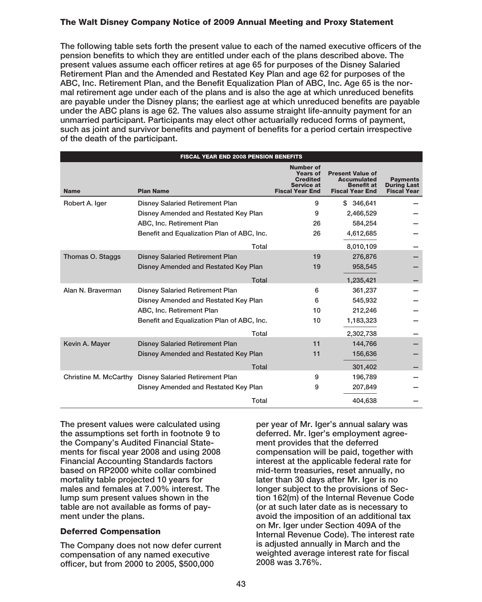**The following table sets forth the present value to each of the named executive officers of the pension benefits to which they are entitled under each of the plans described above. The present values assume each officer retires at age 65 for purposes of the Disney Salaried Retirement Plan and the Amended and Restated Key Plan and age 62 for purposes of the ABC, Inc. Retirement Plan, and the Benefit Equalization Plan of ABC, Inc. Age 65 is the normal retirement age under each of the plans and is also the age at which unreduced benefits are payable under the Disney plans; the earliest age at which unreduced benefits are payable under the ABC plans is age 62. The values also assume straight life-annuity payment for an unmarried participant. Participants may elect other actuarially reduced forms of payment, such as joint and survivor benefits and payment of benefits for a period certain irrespective of the death of the participant.**

|                       | <b>FISCAL YEAR END 2008 PENSION BENEFITS</b> |                                                                                                |                                                                                              |                                                             |  |  |  |  |
|-----------------------|----------------------------------------------|------------------------------------------------------------------------------------------------|----------------------------------------------------------------------------------------------|-------------------------------------------------------------|--|--|--|--|
| <b>Name</b>           | <b>Plan Name</b>                             | <b>Number of</b><br><b>Years of</b><br><b>Credited</b><br>Service at<br><b>Fiscal Year End</b> | <b>Present Value of</b><br><b>Accumulated</b><br><b>Benefit at</b><br><b>Fiscal Year End</b> | <b>Payments</b><br><b>During Last</b><br><b>Fiscal Year</b> |  |  |  |  |
| Robert A. Iger        | <b>Disney Salaried Retirement Plan</b>       | 9                                                                                              | \$346.641                                                                                    |                                                             |  |  |  |  |
|                       | Disney Amended and Restated Key Plan         | 9                                                                                              | 2,466,529                                                                                    |                                                             |  |  |  |  |
|                       | ABC, Inc. Retirement Plan                    | 26                                                                                             | 584,254                                                                                      |                                                             |  |  |  |  |
|                       | Benefit and Equalization Plan of ABC, Inc.   | 26                                                                                             | 4,612,685                                                                                    |                                                             |  |  |  |  |
|                       | Total                                        |                                                                                                | 8,010,109                                                                                    |                                                             |  |  |  |  |
| Thomas O. Staggs      | <b>Disney Salaried Retirement Plan</b>       | 19                                                                                             | 276,876                                                                                      |                                                             |  |  |  |  |
|                       | Disney Amended and Restated Key Plan         | 19                                                                                             | 958,545                                                                                      |                                                             |  |  |  |  |
|                       | Total                                        |                                                                                                | 1,235,421                                                                                    |                                                             |  |  |  |  |
| Alan N. Braverman     | <b>Disney Salaried Retirement Plan</b>       | 6                                                                                              | 361,237                                                                                      |                                                             |  |  |  |  |
|                       | Disney Amended and Restated Key Plan         | 6                                                                                              | 545.932                                                                                      |                                                             |  |  |  |  |
|                       | ABC, Inc. Retirement Plan                    | 10                                                                                             | 212,246                                                                                      |                                                             |  |  |  |  |
|                       | Benefit and Equalization Plan of ABC, Inc.   | 10                                                                                             | 1,183,323                                                                                    |                                                             |  |  |  |  |
|                       | Total                                        |                                                                                                | 2,302,738                                                                                    |                                                             |  |  |  |  |
| Kevin A. Mayer        | <b>Disney Salaried Retirement Plan</b>       | 11                                                                                             | 144,766                                                                                      |                                                             |  |  |  |  |
|                       | Disney Amended and Restated Key Plan         | 11                                                                                             | 156,636                                                                                      |                                                             |  |  |  |  |
|                       | Total                                        |                                                                                                | 301.402                                                                                      |                                                             |  |  |  |  |
| Christine M. McCarthy | <b>Disney Salaried Retirement Plan</b>       | 9                                                                                              | 196.789                                                                                      |                                                             |  |  |  |  |
|                       | Disney Amended and Restated Key Plan         | 9                                                                                              | 207,849                                                                                      |                                                             |  |  |  |  |
|                       | Total                                        |                                                                                                | 404.638                                                                                      |                                                             |  |  |  |  |

**The present values were calculated using the assumptions set forth in footnote 9 to the Company's Audited Financial Statements for fiscal year 2008 and using 2008 Financial Accounting Standards factors based on RP2000 white collar combined mortality table projected 10 years for males and females at 7.00% interest. The lump sum present values shown in the table are not available as forms of payment under the plans.**

## **Deferred Compensation**

**The Company does not now defer current compensation of any named executive officer, but from 2000 to 2005, \$500,000**

**per year of Mr. Iger's annual salary was deferred. Mr. Iger's employment agreement provides that the deferred compensation will be paid, together with interest at the applicable federal rate for mid-term treasuries, reset annually, no later than 30 days after Mr. Iger is no longer subject to the provisions of Section 162(m) of the Internal Revenue Code (or at such later date as is necessary to avoid the imposition of an additional tax on Mr. Iger under Section 409A of the Internal Revenue Code). The interest rate is adjusted annually in March and the weighted average interest rate for fiscal 2008 was 3.76%.**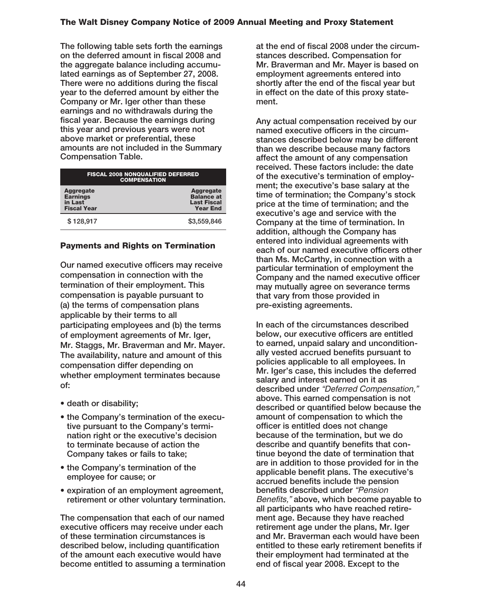**The following table sets forth the earnings on the deferred amount in fiscal 2008 and the aggregate balance including accumulated earnings as of September 27, 2008. There were no additions during the fiscal year to the deferred amount by either the Company or Mr. Iger other than these earnings and no withdrawals during the fiscal year. Because the earnings during this year and previous years were not above market or preferential, these amounts are not included in the Summary Compensation Table.**

| <b>FISCAL 2008 NONQUALIFIED DEFERRED</b><br><b>COMPENSATION</b>      |                                                                         |  |  |  |
|----------------------------------------------------------------------|-------------------------------------------------------------------------|--|--|--|
| <b>Aggregate</b><br><b>Earnings</b><br>in Last<br><b>Fiscal Year</b> | Aggregate<br><b>Balance at</b><br><b>Last Fiscal</b><br><b>Year End</b> |  |  |  |
| \$128,917                                                            | \$3,559,846                                                             |  |  |  |

## **Payments and Rights on Termination**

**Our named executive officers may receive compensation in connection with the termination of their employment. This compensation is payable pursuant to (a) the terms of compensation plans applicable by their terms to all participating employees and (b) the terms of employment agreements of Mr. Iger, Mr. Staggs, Mr. Braverman and Mr. Mayer. The availability, nature and amount of this compensation differ depending on whether employment terminates because of:**

- **death or disability;**
- **the Company's termination of the executive pursuant to the Company's termination right or the executive's decision to terminate because of action the Company takes or fails to take;**
- **the Company's termination of the employee for cause; or**
- **expiration of an employment agreement, retirement or other voluntary termination.**

**The compensation that each of our named executive officers may receive under each of these termination circumstances is described below, including quantification of the amount each executive would have become entitled to assuming a termination**

**at the end of fiscal 2008 under the circumstances described. Compensation for Mr. Braverman and Mr. Mayer is based on employment agreements entered into shortly after the end of the fiscal year but in effect on the date of this proxy statement.**

**Any actual compensation received by our named executive officers in the circumstances described below may be different than we describe because many factors affect the amount of any compensation received. These factors include: the date of the executive's termination of employment; the executive's base salary at the time of termination; the Company's stock price at the time of termination; and the executive's age and service with the Company at the time of termination. In addition, although the Company has entered into individual agreements with each of our named executive officers other than Ms. McCarthy, in connection with a particular termination of employment the Company and the named executive officer may mutually agree on severance terms that vary from those provided in pre-existing agreements.**

**In each of the circumstances described below, our executive officers are entitled to earned, unpaid salary and unconditionally vested accrued benefits pursuant to policies applicable to all employees. In Mr. Iger's case, this includes the deferred salary and interest earned on it as described under** "Deferred Compensation," **above. This earned compensation is not described or quantified below because the amount of compensation to which the officer is entitled does not change because of the termination, but we do describe and quantify benefits that continue beyond the date of termination that are in addition to those provided for in the applicable benefit plans. The executive's accrued benefits include the pension benefits described under** "Pension Benefits," **above, which become payable to all participants who have reached retirement age. Because they have reached retirement age under the plans, Mr. Iger and Mr. Braverman each would have been entitled to these early retirement benefits if their employment had terminated at the end of fiscal year 2008. Except to the**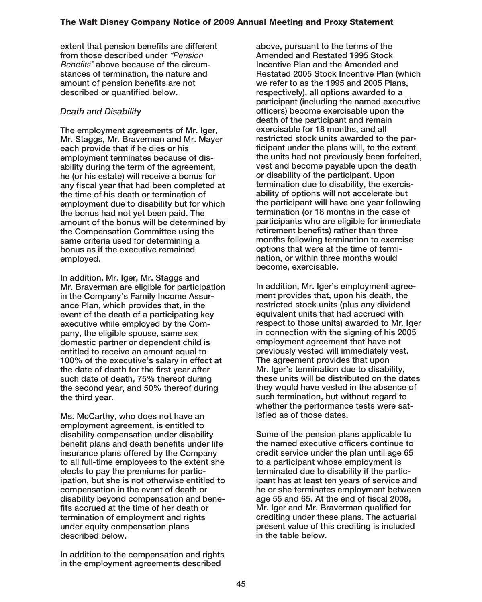**extent that pension benefits are different from those described under** "Pension Benefits" **above because of the circumstances of termination, the nature and amount of pension benefits are not described or quantified below.**

## *Death and Disability*

**The employment agreements of Mr. Iger, Mr. Staggs, Mr. Braverman and Mr. Mayer each provide that if he dies or his employment terminates because of disability during the term of the agreement, he (or his estate) will receive a bonus for any fiscal year that had been completed at the time of his death or termination of employment due to disability but for which the bonus had not yet been paid. The amount of the bonus will be determined by the Compensation Committee using the same criteria used for determining a bonus as if the executive remained employed.**

**In addition, Mr. Iger, Mr. Staggs and Mr. Braverman are eligible for participation in the Company's Family Income Assurance Plan, which provides that, in the event of the death of a participating key executive while employed by the Company, the eligible spouse, same sex domestic partner or dependent child is entitled to receive an amount equal to 100% of the executive's salary in effect at the date of death for the first year after such date of death, 75% thereof during the second year, and 50% thereof during the third year.**

**Ms. McCarthy, who does not have an employment agreement, is entitled to disability compensation under disability benefit plans and death benefits under life insurance plans offered by the Company to all full-time employees to the extent she elects to pay the premiums for participation, but she is not otherwise entitled to compensation in the event of death or disability beyond compensation and benefits accrued at the time of her death or termination of employment and rights under equity compensation plans described below.**

**In addition to the compensation and rights in the employment agreements described**

**above, pursuant to the terms of the Amended and Restated 1995 Stock Incentive Plan and the Amended and Restated 2005 Stock Incentive Plan (which we refer to as the 1995 and 2005 Plans, respectively), all options awarded to a participant (including the named executive officers) become exercisable upon the death of the participant and remain exercisable for 18 months, and all restricted stock units awarded to the participant under the plans will, to the extent the units had not previously been forfeited, vest and become payable upon the death or disability of the participant. Upon termination due to disability, the exercisability of options will not accelerate but the participant will have one year following termination (or 18 months in the case of participants who are eligible for immediate retirement benefits) rather than three months following termination to exercise options that were at the time of termination, or within three months would become, exercisable.**

**In addition, Mr. Iger's employment agreement provides that, upon his death, the restricted stock units (plus any dividend equivalent units that had accrued with respect to those units) awarded to Mr. Iger in connection with the signing of his 2005 employment agreement that have not previously vested will immediately vest. The agreement provides that upon Mr. Iger's termination due to disability, these units will be distributed on the dates they would have vested in the absence of such termination, but without regard to whether the performance tests were satisfied as of those dates.**

**Some of the pension plans applicable to the named executive officers continue to credit service under the plan until age 65 to a participant whose employment is terminated due to disability if the participant has at least ten years of service and he or she terminates employment between age 55 and 65. At the end of fiscal 2008, Mr. Iger and Mr. Braverman qualified for crediting under these plans. The actuarial present value of this crediting is included in the table below.**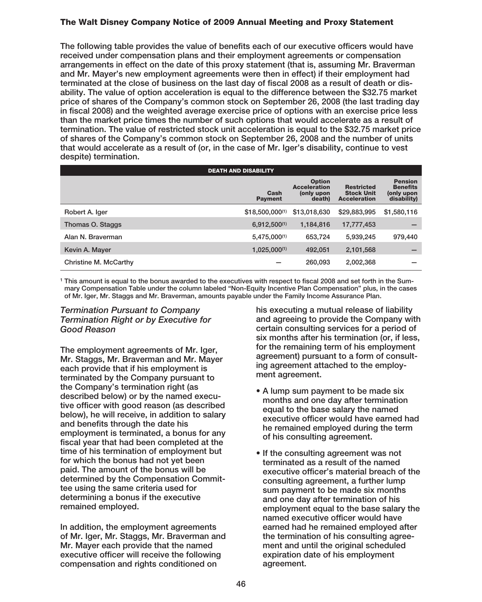**The following table provides the value of benefits each of our executive officers would have received under compensation plans and their employment agreements or compensation arrangements in effect on the date of this proxy statement (that is, assuming Mr. Braverman and Mr. Mayer's new employment agreements were then in effect) if their employment had terminated at the close of business on the last day of fiscal 2008 as a result of death or disability. The value of option acceleration is equal to the difference between the \$32.75 market price of shares of the Company's common stock on September 26, 2008 (the last trading day in fiscal 2008) and the weighted average exercise price of options with an exercise price less than the market price times the number of such options that would accelerate as a result of termination. The value of restricted stock unit acceleration is equal to the \$32.75 market price of shares of the Company's common stock on September 26, 2008 and the number of units that would accelerate as a result of (or, in the case of Mr. Iger's disability, continue to vest despite) termination.**

| <b>DEATH AND DISABILITY</b> |                        |                                                              |                                                               |                                                                |  |  |  |  |
|-----------------------------|------------------------|--------------------------------------------------------------|---------------------------------------------------------------|----------------------------------------------------------------|--|--|--|--|
|                             | Cash<br><b>Payment</b> | <b>Option</b><br><b>Acceleration</b><br>(only upon<br>death) | <b>Restricted</b><br><b>Stock Unit</b><br><b>Acceleration</b> | <b>Pension</b><br><b>Benefits</b><br>(only upon<br>disability) |  |  |  |  |
| Robert A. Iger              | \$18,500,000(1)        | \$13,018,630                                                 | \$29,883,995                                                  | \$1,580,116                                                    |  |  |  |  |
| Thomas O. Staggs            | $6,912,500^{(1)}$      | 1,184,816                                                    | 17,777,453                                                    |                                                                |  |  |  |  |
| Alan N. Braverman           | 5,475,000(1)           | 653,724                                                      | 5,939,245                                                     | 979,440                                                        |  |  |  |  |
| Kevin A. Mayer              | $1,025,000^{(1)}$      | 492,051                                                      | 2,101,568                                                     |                                                                |  |  |  |  |
| Christine M. McCarthy       |                        | 260,093                                                      | 2,002,368                                                     |                                                                |  |  |  |  |

**<sup>1</sup> This amount is equal to the bonus awarded to the executives with respect to fiscal 2008 and set forth in the Summary Compensation Table under the column labeled "Non-Equity Incentive Plan Compensation" plus, in the cases of Mr. Iger, Mr. Staggs and Mr. Braverman, amounts payable under the Family Income Assurance Plan.**

#### *Termination Pursuant to Company Termination Right or by Executive for Good Reason*

**The employment agreements of Mr. Iger, Mr. Staggs, Mr. Braverman and Mr. Mayer each provide that if his employment is terminated by the Company pursuant to the Company's termination right (as described below) or by the named executive officer with good reason (as described below), he will receive, in addition to salary and benefits through the date his employment is terminated, a bonus for any fiscal year that had been completed at the time of his termination of employment but for which the bonus had not yet been paid. The amount of the bonus will be determined by the Compensation Committee using the same criteria used for determining a bonus if the executive remained employed.**

**In addition, the employment agreements of Mr. Iger, Mr. Staggs, Mr. Braverman and Mr. Mayer each provide that the named executive officer will receive the following compensation and rights conditioned on**

**his executing a mutual release of liability and agreeing to provide the Company with certain consulting services for a period of six months after his termination (or, if less, for the remaining term of his employment agreement) pursuant to a form of consulting agreement attached to the employment agreement.**

- **A lump sum payment to be made six months and one day after termination equal to the base salary the named executive officer would have earned had he remained employed during the term of his consulting agreement.**
- **If the consulting agreement was not terminated as a result of the named executive officer's material breach of the consulting agreement, a further lump sum payment to be made six months and one day after termination of his employment equal to the base salary the named executive officer would have earned had he remained employed after the termination of his consulting agreement and until the original scheduled expiration date of his employment agreement.**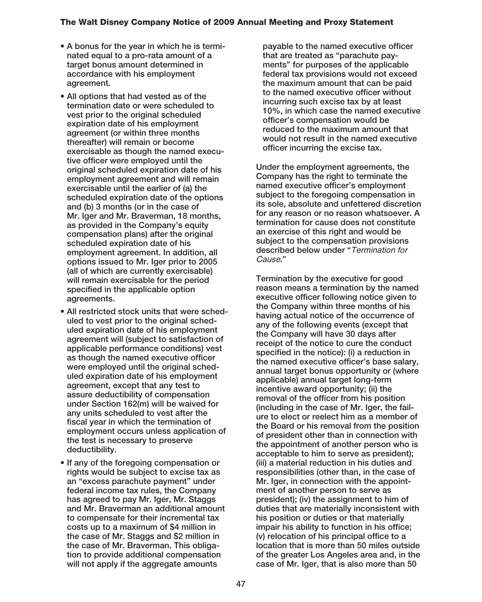- **A bonus for the year in which he is terminated equal to a pro-rata amount of a target bonus amount determined in accordance with his employment agreement.**
- **All options that had vested as of the termination date or were scheduled to vest prior to the original scheduled expiration date of his employment agreement (or within three months thereafter) will remain or become exercisable as though the named executive officer were employed until the original scheduled expiration date of his employment agreement and will remain exercisable until the earlier of (a) the scheduled expiration date of the options and (b) 3 months (or in the case of Mr. Iger and Mr. Braverman, 18 months, as provided in the Company's equity compensation plans) after the original scheduled expiration date of his employment agreement. In addition, all options issued to Mr. Iger prior to 2005 (all of which are currently exercisable) will remain exercisable for the period specified in the applicable option agreements.**
- **All restricted stock units that were scheduled to vest prior to the original scheduled expiration date of his employment agreement will (subject to satisfaction of applicable performance conditions) vest as though the named executive officer were employed until the original scheduled expiration date of his employment agreement, except that any test to assure deductibility of compensation under Section 162(m) will be waived for any units scheduled to vest after the fiscal year in which the termination of employment occurs unless application of the test is necessary to preserve deductibility.**
- **If any of the foregoing compensation or rights would be subject to excise tax as an "excess parachute payment" under federal income tax rules, the Company has agreed to pay Mr. Iger, Mr. Staggs and Mr. Braverman an additional amount to compensate for their incremental tax costs up to a maximum of \$4 million in the case of Mr. Staggs and \$2 million in the case of Mr. Braverman. This obligation to provide additional compensation will not apply if the aggregate amounts**

**payable to the named executive officer that are treated as "parachute payments" for purposes of the applicable federal tax provisions would not exceed the maximum amount that can be paid to the named executive officer without incurring such excise tax by at least 10%, in which case the named executive officer's compensation would be reduced to the maximum amount that would not result in the named executive officer incurring the excise tax.**

**Under the employment agreements, the Company has the right to terminate the named executive officer's employment subject to the foregoing compensation in its sole, absolute and unfettered discretion for any reason or no reason whatsoever. A termination for cause does not constitute an exercise of this right and would be subject to the compensation provisions described below under "**Termination for Cause**."**

**Termination by the executive for good reason means a termination by the named executive officer following notice given to the Company within three months of his having actual notice of the occurrence of any of the following events (except that the Company will have 30 days after receipt of the notice to cure the conduct specified in the notice): (i) a reduction in the named executive officer's base salary, annual target bonus opportunity or (where applicable) annual target long-term incentive award opportunity; (ii) the removal of the officer from his position (including in the case of Mr. Iger, the failure to elect or reelect him as a member of the Board or his removal from the position of president other than in connection with the appointment of another person who is acceptable to him to serve as president); (iii) a material reduction in his duties and responsibilities (other than, in the case of** Mr. laer, in connection with the appoint**ment of another person to serve as president); (iv) the assignment to him of duties that are materially inconsistent with his position or duties or that materially impair his ability to function in his office; (v) relocation of his principal office to a location that is more than 50 miles outside of the greater Los Angeles area and, in the case of Mr. Iger, that is also more than 50**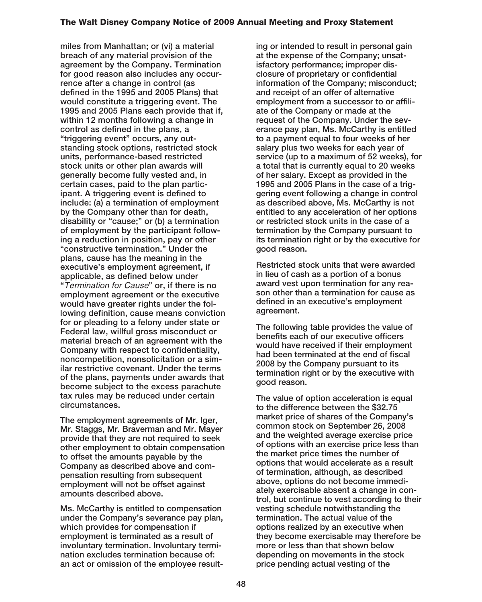**miles from Manhattan; or (vi) a material breach of any material provision of the agreement by the Company. Termination for good reason also includes any occurrence after a change in control (as defined in the 1995 and 2005 Plans) that would constitute a triggering event. The 1995 and 2005 Plans each provide that if, within 12 months following a change in control as defined in the plans, a "triggering event" occurs, any outstanding stock options, restricted stock units, performance-based restricted stock units or other plan awards will generally become fully vested and, in certain cases, paid to the plan participant. A triggering event is defined to include: (a) a termination of employment by the Company other than for death, disability or "cause;" or (b) a termination of employment by the participant following a reduction in position, pay or other "constructive termination." Under the plans, cause has the meaning in the executive's employment agreement, if applicable, as defined below under "**Termination for Cause**" or, if there is no employment agreement or the executive would have greater rights under the following definition, cause means conviction for or pleading to a felony under state or Federal law, willful gross misconduct or material breach of an agreement with the Company with respect to confidentiality, noncompetition, nonsolicitation or a similar restrictive covenant. Under the terms of the plans, payments under awards that become subject to the excess parachute tax rules may be reduced under certain circumstances.**

**The employment agreements of Mr. Iger, Mr. Staggs, Mr. Braverman and Mr. Mayer provide that they are not required to seek other employment to obtain compensation to offset the amounts payable by the Company as described above and compensation resulting from subsequent employment will not be offset against amounts described above.**

**Ms. McCarthy is entitled to compensation under the Company's severance pay plan, which provides for compensation if employment is terminated as a result of involuntary termination. Involuntary termination excludes termination because of: an act or omission of the employee result-**

**ing or intended to result in personal gain at the expense of the Company; unsatisfactory performance; improper disclosure of proprietary or confidential information of the Company; misconduct; and receipt of an offer of alternative employment from a successor to or affiliate of the Company or made at the request of the Company. Under the severance pay plan, Ms. McCarthy is entitled to a payment equal to four weeks of her salary plus two weeks for each year of service (up to a maximum of 52 weeks), for a total that is currently equal to 20 weeks of her salary. Except as provided in the 1995 and 2005 Plans in the case of a triggering event following a change in control as described above, Ms. McCarthy is not entitled to any acceleration of her options or restricted stock units in the case of a termination by the Company pursuant to its termination right or by the executive for good reason.**

**Restricted stock units that were awarded in lieu of cash as a portion of a bonus award vest upon termination for any reason other than a termination for cause as defined in an executive's employment agreement.**

**The following table provides the value of benefits each of our executive officers would have received if their employment had been terminated at the end of fiscal 2008 by the Company pursuant to its termination right or by the executive with good reason.**

**The value of option acceleration is equal to the difference between the \$32.75 market price of shares of the Company's common stock on September 26, 2008 and the weighted average exercise price of options with an exercise price less than the market price times the number of options that would accelerate as a result of termination, although, as described above, options do not become immediately exercisable absent a change in control, but continue to vest according to their vesting schedule notwithstanding the termination. The actual value of the options realized by an executive when they become exercisable may therefore be more or less than that shown below depending on movements in the stock price pending actual vesting of the**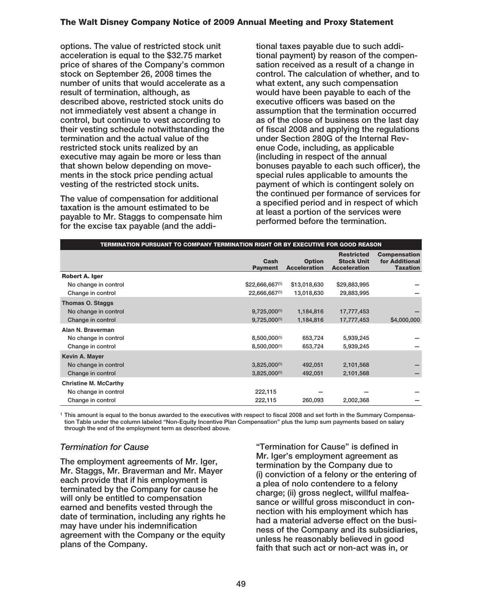**options. The value of restricted stock unit acceleration is equal to the \$32.75 market price of shares of the Company's common stock on September 26, 2008 times the number of units that would accelerate as a result of termination, although, as described above, restricted stock units do not immediately vest absent a change in control, but continue to vest according to their vesting schedule notwithstanding the termination and the actual value of the restricted stock units realized by an executive may again be more or less than that shown below depending on movements in the stock price pending actual vesting of the restricted stock units.**

**The value of compensation for additional taxation is the amount estimated to be payable to Mr. Staggs to compensate him for the excise tax payable (and the addi-** **tional taxes payable due to such additional payment) by reason of the compensation received as a result of a change in control. The calculation of whether, and to what extent, any such compensation would have been payable to each of the executive officers was based on the assumption that the termination occurred as of the close of business on the last day of fiscal 2008 and applying the regulations under Section 280G of the Internal Revenue Code, including, as applicable (including in respect of the annual bonuses payable to each such officer), the special rules applicable to amounts the payment of which is contingent solely on the continued per formance of services for a specified period and in respect of which at least a portion of the services were performed before the termination.**

| TERMINATION PURSUANT TO COMPANY TERMINATION RIGHT OR BY EXECUTIVE FOR GOOD REASON |                        |                                      |                                                               |                                                          |
|-----------------------------------------------------------------------------------|------------------------|--------------------------------------|---------------------------------------------------------------|----------------------------------------------------------|
|                                                                                   | Cash<br><b>Payment</b> | <b>Option</b><br><b>Acceleration</b> | <b>Restricted</b><br><b>Stock Unit</b><br><b>Acceleration</b> | <b>Compensation</b><br>for Additional<br><b>Taxation</b> |
| Robert A. Iger                                                                    |                        |                                      |                                                               |                                                          |
| No change in control                                                              | \$22,666,667(1)        | \$13,018,630                         | \$29,883,995                                                  |                                                          |
| Change in control                                                                 | 22,666,667(1)          | 13,018,630                           | 29,883,995                                                    |                                                          |
| <b>Thomas O. Staggs</b>                                                           |                        |                                      |                                                               |                                                          |
| No change in control                                                              | $9,725,000^{(1)}$      | 1,184,816                            | 17,777,453                                                    |                                                          |
| Change in control                                                                 | $9,725,000^{(1)}$      | 1,184,816                            | 17,777,453                                                    | \$4,000,000                                              |
| Alan N. Braverman                                                                 |                        |                                      |                                                               |                                                          |
| No change in control                                                              | 8,500,000(1)           | 653,724                              | 5,939,245                                                     |                                                          |
| Change in control                                                                 | 8,500,000(1)           | 653,724                              | 5,939,245                                                     |                                                          |
| Kevin A. Mayer                                                                    |                        |                                      |                                                               |                                                          |
| No change in control                                                              | $3,825,000^{(1)}$      | 492,051                              | 2,101,568                                                     |                                                          |
| Change in control                                                                 | 3,825,000(1)           | 492,051                              | 2,101,568                                                     |                                                          |
| <b>Christine M. McCarthy</b>                                                      |                        |                                      |                                                               |                                                          |
| No change in control                                                              | 222,115                |                                      |                                                               |                                                          |
| Change in control                                                                 | 222,115                | 260,093                              | 2,002,368                                                     |                                                          |

**<sup>1</sup> This amount is equal to the bonus awarded to the executives with respect to fiscal 2008 and set forth in the Summary Compensation Table under the column labeled "Non-Equity Incentive Plan Compensation" plus the lump sum payments based on salary through the end of the employment term as described above.**

## *Termination for Cause*

**The employment agreements of Mr. Iger, Mr. Staggs, Mr. Braverman and Mr. Mayer each provide that if his employment is terminated by the Company for cause he will only be entitled to compensation earned and benefits vested through the date of termination, including any rights he may have under his indemnification agreement with the Company or the equity plans of the Company.**

**"Termination for Cause" is defined in Mr. Iger's employment agreement as termination by the Company due to (i) conviction of a felony or the entering of a plea of nolo contendere to a felony charge; (ii) gross neglect, willful malfeasance or willful gross misconduct in connection with his employment which has had a material adverse effect on the business of the Company and its subsidiaries, unless he reasonably believed in good faith that such act or non-act was in, or**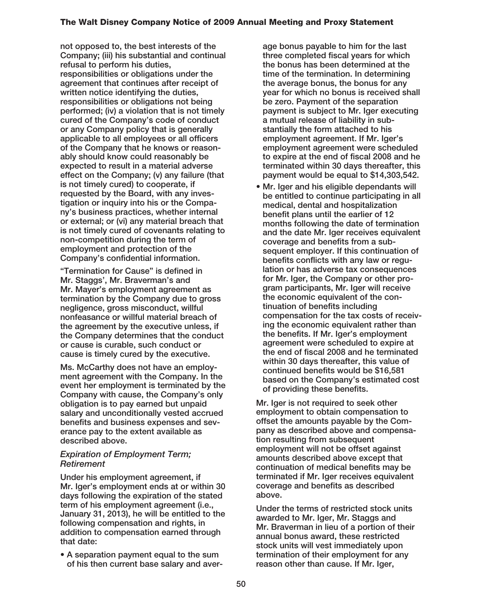**not opposed to, the best interests of the Company; (iii) his substantial and continual refusal to perform his duties, responsibilities or obligations under the agreement that continues after receipt of written notice identifying the duties, responsibilities or obligations not being performed; (iv) a violation that is not timely cured of the Company's code of conduct or any Company policy that is generally applicable to all employees or all officers of the Company that he knows or reasonably should know could reasonably be expected to result in a material adverse effect on the Company; (v) any failure (that is not timely cured) to cooperate, if requested by the Board, with any investigation or inquiry into his or the Company's business practices, whether internal or external; or (vi) any material breach that is not timely cured of covenants relating to non-competition during the term of employment and protection of the Company's confidential information.**

**"Termination for Cause" is defined in Mr. Staggs', Mr. Braverman's and Mr. Mayer's employment agreement as termination by the Company due to gross negligence, gross misconduct, willful nonfeasance or willful material breach of the agreement by the executive unless, if the Company determines that the conduct or cause is curable, such conduct or cause is timely cured by the executive.**

**Ms. McCarthy does not have an employment agreement with the Company. In the event her employment is terminated by the Company with cause, the Company's only obligation is to pay earned but unpaid salary and unconditionally vested accrued benefits and business expenses and severance pay to the extent available as described above.**

#### *Expiration of Employment Term; Retirement*

**Under his employment agreement, if Mr. Iger's employment ends at or within 30 days following the expiration of the stated term of his employment agreement (i.e., January 31, 2013), he will be entitled to the following compensation and rights, in addition to compensation earned through that date:**

**• A separation payment equal to the sum of his then current base salary and aver-** **age bonus payable to him for the last three completed fiscal years for which the bonus has been determined at the time of the termination. In determining the average bonus, the bonus for any year for which no bonus is received shall be zero. Payment of the separation payment is subject to Mr. Iger executing a mutual release of liability in substantially the form attached to his employment agreement. If Mr. Iger's employment agreement were scheduled to expire at the end of fiscal 2008 and he terminated within 30 days thereafter, this payment would be equal to \$14,303,542.**

**• Mr. Iger and his eligible dependants will be entitled to continue participating in all medical, dental and hospitalization benefit plans until the earlier of 12 months following the date of termination and the date Mr. Iger receives equivalent coverage and benefits from a subsequent employer. If this continuation of benefits conflicts with any law or regulation or has adverse tax consequences for Mr. Iger, the Company or other program participants, Mr. Iger will receive the economic equivalent of the continuation of benefits including compensation for the tax costs of receiving the economic equivalent rather than the benefits. If Mr. Iger's employment agreement were scheduled to expire at the end of fiscal 2008 and he terminated within 30 days thereafter, this value of continued benefits would be \$16,581 based on the Company's estimated cost of providing these benefits.**

**Mr. Iger is not required to seek other employment to obtain compensation to offset the amounts payable by the Company as described above and compensation resulting from subsequent employment will not be offset against amounts described above except that continuation of medical benefits may be terminated if Mr. Iger receives equivalent coverage and benefits as described above.**

**Under the terms of restricted stock units awarded to Mr. Iger, Mr. Staggs and Mr. Braverman in lieu of a portion of their annual bonus award, these restricted stock units will vest immediately upon termination of their employment for any reason other than cause. If Mr. Iger,**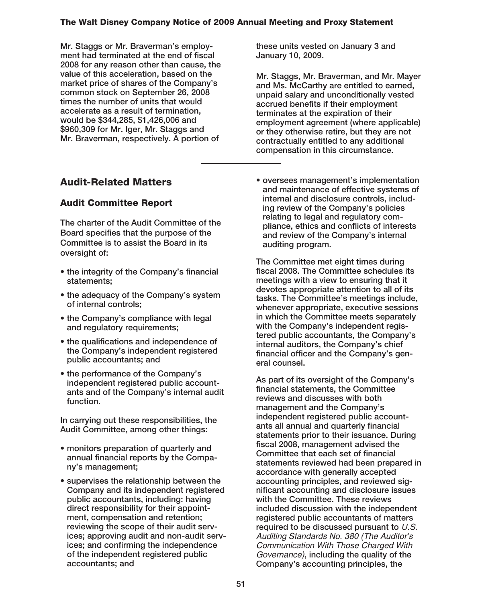**Mr. Staggs or Mr. Braverman's employment had terminated at the end of fiscal 2008 for any reason other than cause, the value of this acceleration, based on the market price of shares of the Company's common stock on September 26, 2008 times the number of units that would accelerate as a result of termination, would be \$344,285, \$1,426,006 and \$960,309 for Mr. Iger, Mr. Staggs and Mr. Braverman, respectively. A portion of**

# **Audit-Related Matters**

## **Audit Committee Report**

**The charter of the Audit Committee of the Board specifies that the purpose of the Committee is to assist the Board in its oversight of:**

- **the integrity of the Company's financial statements;**
- **the adequacy of the Company's system of internal controls;**
- **the Company's compliance with legal and regulatory requirements;**
- **the qualifications and independence of the Company's independent registered public accountants; and**
- **the performance of the Company's independent registered public accountants and of the Company's internal audit function.**

**In carrying out these responsibilities, the Audit Committee, among other things:**

- **monitors preparation of quarterly and annual financial reports by the Company's management;**
- **supervises the relationship between the Company and its independent registered public accountants, including: having direct responsibility for their appointment, compensation and retention; reviewing the scope of their audit services; approving audit and non-audit services; and confirming the independence of the independent registered public accountants; and**

**these units vested on January 3 and January 10, 2009.**

**Mr. Staggs, Mr. Braverman, and Mr. Mayer and Ms. McCarthy are entitled to earned, unpaid salary and unconditionally vested accrued benefits if their employment terminates at the expiration of their employment agreement (where applicable) or they otherwise retire, but they are not contractually entitled to any additional compensation in this circumstance.**

**• oversees management's implementation and maintenance of effective systems of internal and disclosure controls, including review of the Company's policies relating to legal and regulatory compliance, ethics and conflicts of interests and review of the Company's internal auditing program.**

**The Committee met eight times during fiscal 2008. The Committee schedules its meetings with a view to ensuring that it devotes appropriate attention to all of its tasks. The Committee's meetings include, whenever appropriate, executive sessions in which the Committee meets separately with the Company's independent registered public accountants, the Company's internal auditors, the Company's chief financial officer and the Company's general counsel.**

**As part of its oversight of the Company's financial statements, the Committee reviews and discusses with both management and the Company's independent registered public accountants all annual and quarterly financial statements prior to their issuance. During fiscal 2008, management advised the Committee that each set of financial statements reviewed had been prepared in accordance with generally accepted accounting principles, and reviewed significant accounting and disclosure issues with the Committee. These reviews included discussion with the independent registered public accountants of matters required to be discussed pursuant to** U.S. Auditing Standards No. 380 (The Auditor's Communication With Those Charged With Governance)**, including the quality of the Company's accounting principles, the**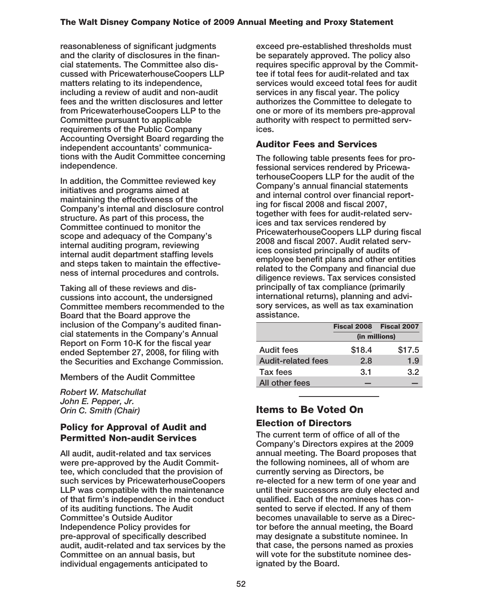**reasonableness of significant judgments and the clarity of disclosures in the financial statements. The Committee also discussed with PricewaterhouseCoopers LLP matters relating to its independence, including a review of audit and non-audit fees and the written disclosures and letter from PricewaterhouseCoopers LLP to the Committee pursuant to applicable requirements of the Public Company Accounting Oversight Board regarding the independent accountants' communications with the Audit Committee concerning independence**.

**In addition, the Committee reviewed key initiatives and programs aimed at maintaining the effectiveness of the Company's internal and disclosure control structure. As part of this process, the Committee continued to monitor the scope and adequacy of the Company's internal auditing program, reviewing internal audit department staffing levels and steps taken to maintain the effectiveness of internal procedures and controls.**

**Taking all of these reviews and discussions into account, the undersigned Committee members recommended to the Board that the Board approve the inclusion of the Company's audited financial statements in the Company's Annual Report on Form 10-K for the fiscal year ended September 27, 2008, for filing with the Securities and Exchange Commission.**

**Members of the Audit Committee**

*Robert W. Matschullat John E. Pepper, Jr. Orin C. Smith (Chair)*

## **Policy for Approval of Audit and Permitted Non-audit Services**

**All audit, audit-related and tax services were pre-approved by the Audit Committee, which concluded that the provision of such services by PricewaterhouseCoopers LLP was compatible with the maintenance of that firm's independence in the conduct of its auditing functions. The Audit Committee's Outside Auditor Independence Policy provides for pre-approval of specifically described audit, audit-related and tax services by the Committee on an annual basis, but individual engagements anticipated to**

**exceed pre-established thresholds must be separately approved. The policy also requires specific approval by the Committee if total fees for audit-related and tax services would exceed total fees for audit services in any fiscal year. The policy authorizes the Committee to delegate to one or more of its members pre-approval authority with respect to permitted services.**

# **Auditor Fees and Services**

**The following table presents fees for professional services rendered by PricewaterhouseCoopers LLP for the audit of the Company's annual financial statements and internal control over financial reporting for fiscal 2008 and fiscal 2007, together with fees for audit-related services and tax services rendered by PricewaterhouseCoopers LLP during fiscal 2008 and fiscal 2007. Audit related services consisted principally of audits of employee benefit plans and other entities related to the Company and financial due diligence reviews. Tax services consisted principally of tax compliance (primarily international returns), planning and advisory services, as well as tax examination assistance.**

|                           | Fiscal 2008 Fiscal 2007 |        |  |
|---------------------------|-------------------------|--------|--|
|                           | (in millions)           |        |  |
| Audit fees                | \$18.4                  | \$17.5 |  |
| <b>Audit-related fees</b> | 2.8                     | 1.9    |  |
| Tax fees                  | 3.1                     | 3.2    |  |
| All other fees            |                         |        |  |

# **Items to Be Voted On Election of Directors**

**The current term of office of all of the Company's Directors expires at the 2009 annual meeting. The Board proposes that the following nominees, all of whom are currently serving as Directors, be re-elected for a new term of one year and until their successors are duly elected and qualified. Each of the nominees has consented to serve if elected. If any of them becomes unavailable to serve as a Director before the annual meeting, the Board may designate a substitute nominee. In that case, the persons named as proxies will vote for the substitute nominee designated by the Board.**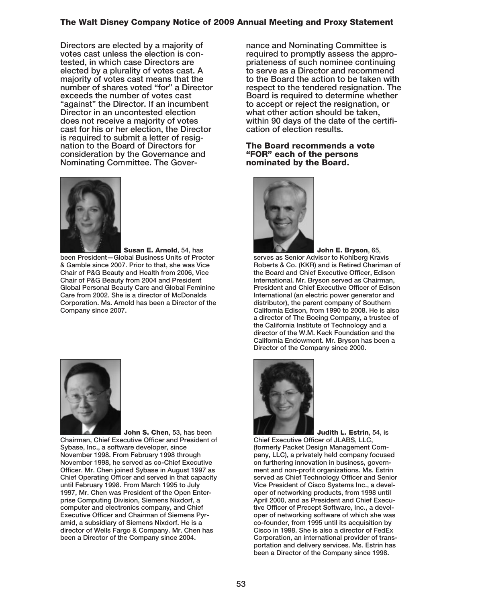**Directors are elected by a majority of votes cast unless the election is contested, in which case Directors are elected by a plurality of votes cast. A majority of votes cast means that the number of shares voted "for" a Director exceeds the number of votes cast "against" the Director. If an incumbent Director in an uncontested election does not receive a majority of votes cast for his or her election, the Director is required to submit a letter of resignation to the Board of Directors for consideration by the Governance and Nominating Committee. The Gover-**



**Susan E. Arnold, 54, has been President—Global Business Units of Procter & Gamble since 2007. Prior to that, she was Vice Chair of P&G Beauty and Health from 2006, Vice Chair of P&G Beauty from 2004 and President Global Personal Beauty Care and Global Feminine Care from 2002. She is a director of McDonalds Corporation. Ms. Arnold has been a Director of the Company since 2007.**



**John S. Chen, 53, has been Chairman, Chief Executive Officer and President of Sybase, Inc., a software developer, since November 1998. From February 1998 through November 1998, he served as co-Chief Executive Officer. Mr. Chen joined Sybase in August 1997 as Chief Operating Officer and served in that capacity until February 1998. From March 1995 to July 1997, Mr. Chen was President of the Open Enterprise Computing Division, Siemens Nixdorf, a computer and electronics company, and Chief Executive Officer and Chairman of Siemens Pyramid, a subsidiary of Siemens Nixdorf. He is a director of Wells Fargo & Company. Mr. Chen has been a Director of the Company since 2004.**

**nance and Nominating Committee is required to promptly assess the appropriateness of such nominee continuing to serve as a Director and recommend to the Board the action to be taken with respect to the tendered resignation. The Board is required to determine whether to accept or reject the resignation, or what other action should be taken, within 90 days of the date of the certification of election results.**

#### **The Board recommends a vote "FOR" each of the persons nominated by the Board.**



**John E. Bryson, 65, serves as Senior Advisor to Kohlberg Kravis Roberts & Co. (KKR) and is Retired Chariman of the Board and Chief Executive Officer, Edison International. Mr. Bryson served as Chairman, President and Chief Executive Officer of Edison International (an electric power generator and distributor), the parent company of Southern California Edison, from 1990 to 2008. He is also a director of The Boeing Company, a trustee of the California Institute of Technology and a director of the W.M. Keck Foundation and the California Endowment. Mr. Bryson has been a Director of the Company since 2000.**



**Judith L. Estrin, 54, is Chief Executive Officer of JLABS, LLC, (formerly Packet Design Management Company, LLC), a privately held company focused on furthering innovation in business, government and non-profit organizations. Ms. Estrin served as Chief Technology Officer and Senior Vice President of Cisco Systems Inc., a developer of networking products, from 1998 until April 2000, and as President and Chief Executive Officer of Precept Software, Inc., a developer of networking software of which she was co-founder, from 1995 until its acquisition by Cisco in 1998. She is also a director of FedEx Corporation, an international provider of transportation and delivery services. Ms. Estrin has been a Director of the Company since 1998.**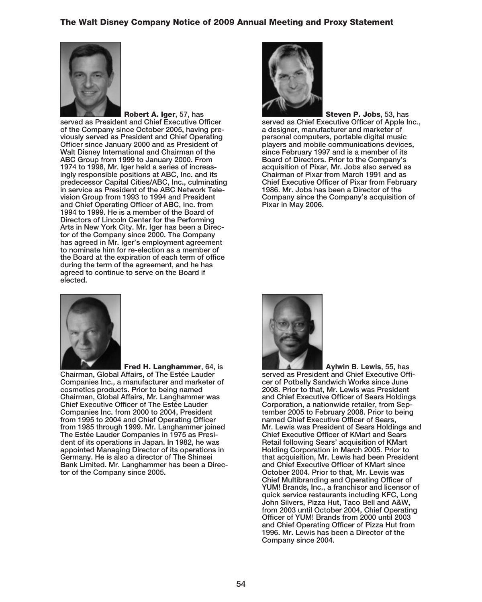

**Robert A. Iger, 57, has served as President and Chief Executive Officer of the Company since October 2005, having previously served as President and Chief Operating Officer since January 2000 and as President of Walt Disney International and Chairman of the ABC Group from 1999 to January 2000. From 1974 to 1998, Mr. Iger held a series of increasingly responsible positions at ABC, Inc. and its predecessor Capital Cities/ABC, Inc., culminating in service as President of the ABC Network Television Group from 1993 to 1994 and President and Chief Operating Officer of ABC, Inc. from 1994 to 1999. He is a member of the Board of Directors of Lincoln Center for the Performing Arts in New York City. Mr. Iger has been a Director of the Company since 2000. The Company has agreed in Mr. Iger's employment agreement to nominate him for re-election as a member of the Board at the expiration of each term of office during the term of the agreement, and he has agreed to continue to serve on the Board if elected.**



**Fred H. Langhammer, 64, is Chairman, Global Affairs, of The Estée Lauder Companies Inc., a manufacturer and marketer of cosmetics products. Prior to being named Chairman, Global Affairs, Mr. Langhammer was Chief Executive Officer of The Estée Lauder Companies Inc. from 2000 to 2004, President from 1995 to 2004 and Chief Operating Officer from 1985 through 1999. Mr. Langhammer joined The Estée Lauder Companies in 1975 as President of its operations in Japan. In 1982, he was appointed Managing Director of its operations in Germany. He is also a director of The Shinsei Bank Limited. Mr. Langhammer has been a Director of the Company since 2005.**



**Steven P. Jobs, 53, has served as Chief Executive Officer of Apple Inc., a designer, manufacturer and marketer of personal computers, portable digital music players and mobile communications devices, since February 1997 and is a member of its Board of Directors. Prior to the Company's acquisition of Pixar, Mr. Jobs also served as Chairman of Pixar from March 1991 and as Chief Executive Officer of Pixar from February 1986. Mr. Jobs has been a Director of the Company since the Company's acquisition of Pixar in May 2006.**



**Aylwin B. Lewis, 55, has served as President and Chief Executive Officer of Potbelly Sandwich Works since June 2008. Prior to that, Mr. Lewis was President and Chief Executive Officer of Sears Holdings Corporation, a nationwide retailer, from September 2005 to February 2008. Prior to being named Chief Executive Officer of Sears, Mr. Lewis was President of Sears Holdings and Chief Executive Officer of KMart and Sears Retail following Sears' acquisition of KMart Holding Corporation in March 2005. Prior to that acquisition, Mr. Lewis had been President and Chief Executive Officer of KMart since October 2004. Prior to that, Mr. Lewis was Chief Multibranding and Operating Officer of YUM! Brands, Inc., a franchisor and licensor of quick service restaurants including KFC, Long John Silvers, Pizza Hut, Taco Bell and A&W, from 2003 until October 2004, Chief Operating Officer of YUM! Brands from 2000 until 2003 and Chief Operating Officer of Pizza Hut from 1996. Mr. Lewis has been a Director of the Company since 2004.**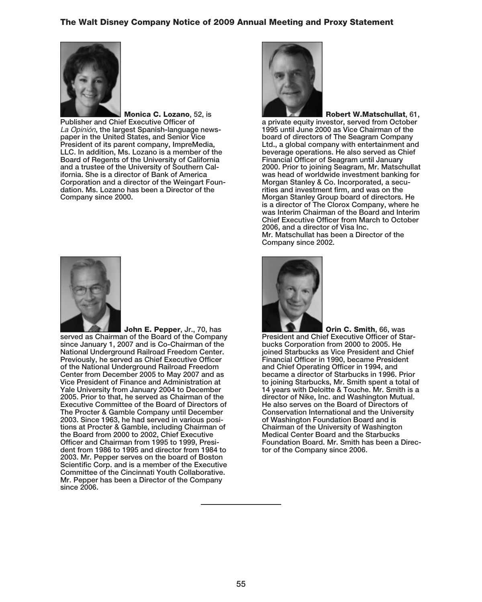

**Monica C. Lozano, 52, is Publisher and Chief Executive Officer of** La Opinión**, the largest Spanish-language newspaper in the United States, and Senior Vice President of its parent company, ImpreMedia, LLC. In addition, Ms. Lozano is a member of the Board of Regents of the University of California and a trustee of the University of Southern California. She is a director of Bank of America Corporation and a director of the Weingart Foundation. Ms. Lozano has been a Director of the Company since 2000.**



**John E. Pepper, Jr., 70, has served as Chairman of the Board of the Company since January 1, 2007 and is Co-Chairman of the National Underground Railroad Freedom Center. Previously, he served as Chief Executive Officer of the National Underground Railroad Freedom Center from December 2005 to May 2007 and as Vice President of Finance and Administration at Yale University from January 2004 to December 2005. Prior to that, he served as Chairman of the Executive Committee of the Board of Directors of The Procter & Gamble Company until December 2003. Since 1963, he had served in various positions at Procter & Gamble, including Chairman of the Board from 2000 to 2002, Chief Executive Officer and Chairman from 1995 to 1999, President from 1986 to 1995 and director from 1984 to 2003. Mr. Pepper serves on the board of Boston Scientific Corp. and is a member of the Executive Committee of the Cincinnati Youth Collaborative. Mr. Pepper has been a Director of the Company since 2006.**



**Robert W.Matschullat, 61, a private equity investor, served from October 1995 until June 2000 as Vice Chairman of the board of directors of The Seagram Company Ltd., a global company with entertainment and beverage operations. He also served as Chief Financial Officer of Seagram until January 2000. Prior to joining Seagram, Mr. Matschullat was head of worldwide investment banking for Morgan Stanley & Co. Incorporated, a securities and investment firm, and was on the Morgan Stanley Group board of directors. He is a director of The Clorox Company, where he was Interim Chairman of the Board and Interim Chief Executive Officer from March to October 2006, and a director of Visa Inc. Mr. Matschullat has been a Director of the Company since 2002.**



**Orin C. Smith, 66, was President and Chief Executive Officer of Starbucks Corporation from 2000 to 2005. He joined Starbucks as Vice President and Chief Financial Officer in 1990, became President and Chief Operating Officer in 1994, and became a director of Starbucks in 1996. Prior to joining Starbucks, Mr. Smith spent a total of 14 years with Deloitte & Touche. Mr. Smith is a director of Nike, Inc. and Washington Mutual. He also serves on the Board of Directors of Conservation International and the University of Washington Foundation Board and is Chairman of the University of Washington Medical Center Board and the Starbucks Foundation Board. Mr. Smith has been a Director of the Company since 2006.**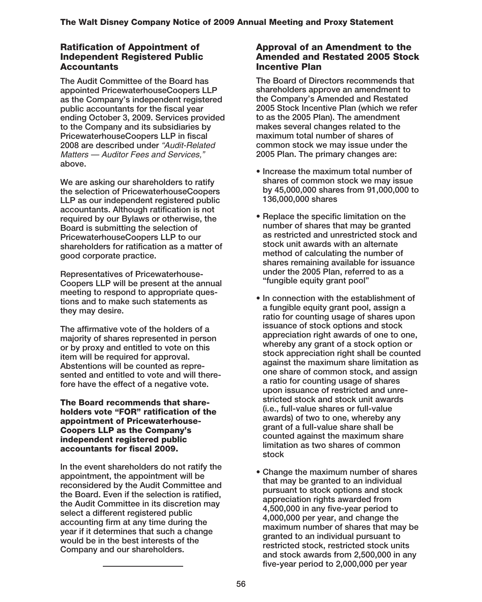## **Ratification of Appointment of Independent Registered Public Accountants**

**The Audit Committee of the Board has appointed PricewaterhouseCoopers LLP as the Company's independent registered public accountants for the fiscal year ending October 3, 2009. Services provided to the Company and its subsidiaries by PricewaterhouseCoopers LLP in fiscal 2008 are described under** "Audit-Related Matters — Auditor Fees and Services," **above.**

**We are asking our shareholders to ratify the selection of PricewaterhouseCoopers LLP as our independent registered public accountants. Although ratification is not required by our Bylaws or otherwise, the Board is submitting the selection of PricewaterhouseCoopers LLP to our shareholders for ratification as a matter of good corporate practice.**

**Representatives of Pricewaterhouse-Coopers LLP will be present at the annual meeting to respond to appropriate questions and to make such statements as they may desire.**

**The affirmative vote of the holders of a majority of shares represented in person or by proxy and entitled to vote on this item will be required for approval. Abstentions will be counted as represented and entitled to vote and will therefore have the effect of a negative vote.**

**The Board recommends that shareholders vote "FOR" ratification of the appointment of Pricewaterhouse-Coopers LLP as the Company's independent registered public accountants for fiscal 2009.**

**In the event shareholders do not ratify the appointment, the appointment will be reconsidered by the Audit Committee and the Board. Even if the selection is ratified, the Audit Committee in its discretion may select a different registered public accounting firm at any time during the year if it determines that such a change would be in the best interests of the Company and our shareholders.**

## **Approval of an Amendment to the Amended and Restated 2005 Stock Incentive Plan**

**The Board of Directors recommends that shareholders approve an amendment to the Company's Amended and Restated 2005 Stock Incentive Plan (which we refer to as the 2005 Plan). The amendment makes several changes related to the maximum total number of shares of common stock we may issue under the 2005 Plan. The primary changes are:**

- **Increase the maximum total number of shares of common stock we may issue by 45,000,000 shares from 91,000,000 to 136,000,000 shares**
- **Replace the specific limitation on the number of shares that may be granted as restricted and unrestricted stock and stock unit awards with an alternate method of calculating the number of shares remaining available for issuance under the 2005 Plan, referred to as a "fungible equity grant pool"**
- **In connection with the establishment of a fungible equity grant pool, assign a ratio for counting usage of shares upon issuance of stock options and stock appreciation right awards of one to one, whereby any grant of a stock option or stock appreciation right shall be counted against the maximum share limitation as one share of common stock, and assign a ratio for counting usage of shares upon issuance of restricted and unrestricted stock and stock unit awards (i.e., full-value shares or full-value awards) of two to one, whereby any grant of a full-value share shall be counted against the maximum share limitation as two shares of common stock**
- **Change the maximum number of shares that may be granted to an individual pursuant to stock options and stock appreciation rights awarded from 4,500,000 in any five-year period to 4,000,000 per year, and change the maximum number of shares that may be granted to an individual pursuant to restricted stock, restricted stock units and stock awards from 2,500,000 in any five-year period to 2,000,000 per year**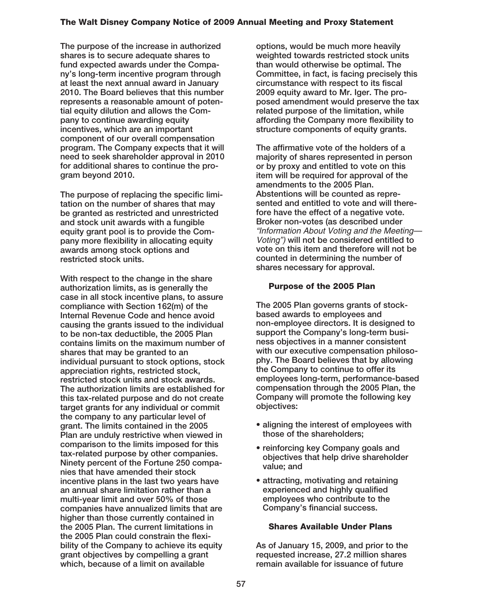**The purpose of the increase in authorized shares is to secure adequate shares to fund expected awards under the Company's long-term incentive program through at least the next annual award in January 2010. The Board believes that this number represents a reasonable amount of potential equity dilution and allows the Company to continue awarding equity incentives, which are an important component of our overall compensation program. The Company expects that it will need to seek shareholder approval in 2010 for additional shares to continue the program beyond 2010.**

**The purpose of replacing the specific limitation on the number of shares that may be granted as restricted and unrestricted and stock unit awards with a fungible equity grant pool is to provide the Company more flexibility in allocating equity awards among stock options and restricted stock units.**

**With respect to the change in the share authorization limits, as is generally the case in all stock incentive plans, to assure compliance with Section 162(m) of the Internal Revenue Code and hence avoid causing the grants issued to the individual to be non-tax deductible, the 2005 Plan contains limits on the maximum number of shares that may be granted to an individual pursuant to stock options, stock appreciation rights, restricted stock, restricted stock units and stock awards. The authorization limits are established for this tax-related purpose and do not create target grants for any individual or commit the company to any particular level of grant. The limits contained in the 2005 Plan are unduly restrictive when viewed in comparison to the limits imposed for this tax-related purpose by other companies. Ninety percent of the Fortune 250 companies that have amended their stock incentive plans in the last two years have an annual share limitation rather than a multi-year limit and over 50% of those companies have annualized limits that are higher than those currently contained in the 2005 Plan. The current limitations in the 2005 Plan could constrain the flexibility of the Company to achieve its equity grant objectives by compelling a grant which, because of a limit on available**

**options, would be much more heavily weighted towards restricted stock units than would otherwise be optimal. The Committee, in fact, is facing precisely this circumstance with respect to its fiscal 2009 equity award to Mr. Iger. The proposed amendment would preserve the tax related purpose of the limitation, while affording the Company more flexibility to structure components of equity grants.**

**The affirmative vote of the holders of a majority of shares represented in person or by proxy and entitled to vote on this item will be required for approval of the amendments to the 2005 Plan. Abstentions will be counted as represented and entitled to vote and will therefore have the effect of a negative vote. Broker non-votes (as described under** "Information About Voting and the Meeting— Voting") **will not be considered entitled to vote on this item and therefore will not be counted in determining the number of shares necessary for approval.**

#### **Purpose of the 2005 Plan**

**The 2005 Plan governs grants of stockbased awards to employees and non-employee directors. It is designed to support the Company's long-term business objectives in a manner consistent with our executive compensation philosophy. The Board believes that by allowing the Company to continue to offer its employees long-term, performance-based compensation through the 2005 Plan, the Company will promote the following key objectives:**

- **aligning the interest of employees with those of the shareholders;**
- **reinforcing key Company goals and objectives that help drive shareholder value; and**
- **attracting, motivating and retaining experienced and highly qualified employees who contribute to the Company's financial success.**

## **Shares Available Under Plans**

**As of January 15, 2009, and prior to the requested increase, 27.2 million shares remain available for issuance of future**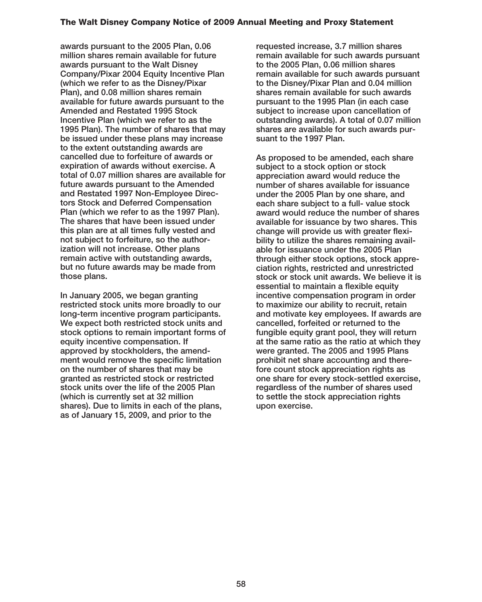**awards pursuant to the 2005 Plan, 0.06 million shares remain available for future awards pursuant to the Walt Disney Company/Pixar 2004 Equity Incentive Plan (which we refer to as the Disney/Pixar Plan), and 0.08 million shares remain available for future awards pursuant to the Amended and Restated 1995 Stock Incentive Plan (which we refer to as the 1995 Plan). The number of shares that may be issued under these plans may increase to the extent outstanding awards are cancelled due to forfeiture of awards or expiration of awards without exercise. A total of 0.07 million shares are available for future awards pursuant to the Amended and Restated 1997 Non-Employee Directors Stock and Deferred Compensation Plan (which we refer to as the 1997 Plan). The shares that have been issued under this plan are at all times fully vested and not subject to forfeiture, so the authorization will not increase. Other plans remain active with outstanding awards, but no future awards may be made from those plans.**

**In January 2005, we began granting restricted stock units more broadly to our long-term incentive program participants. We expect both restricted stock units and stock options to remain important forms of equity incentive compensation. If approved by stockholders, the amendment would remove the specific limitation on the number of shares that may be granted as restricted stock or restricted stock units over the life of the 2005 Plan (which is currently set at 32 million shares). Due to limits in each of the plans, as of January 15, 2009, and prior to the**

**requested increase, 3.7 million shares remain available for such awards pursuant to the 2005 Plan, 0.06 million shares remain available for such awards pursuant to the Disney/Pixar Plan and 0.04 million shares remain available for such awards pursuant to the 1995 Plan (in each case subject to increase upon cancellation of outstanding awards). A total of 0.07 million shares are available for such awards pursuant to the 1997 Plan.**

**As proposed to be amended, each share subject to a stock option or stock appreciation award would reduce the number of shares available for issuance under the 2005 Plan by one share, and each share subject to a full- value stock award would reduce the number of shares available for issuance by two shares. This change will provide us with greater flexibility to utilize the shares remaining available for issuance under the 2005 Plan through either stock options, stock appreciation rights, restricted and unrestricted stock or stock unit awards. We believe it is essential to maintain a flexible equity incentive compensation program in order to maximize our ability to recruit, retain and motivate key employees. If awards are cancelled, forfeited or returned to the fungible equity grant pool, they will return at the same ratio as the ratio at which they were granted. The 2005 and 1995 Plans prohibit net share accounting and therefore count stock appreciation rights as one share for every stock-settled exercise, regardless of the number of shares used to settle the stock appreciation rights upon exercise.**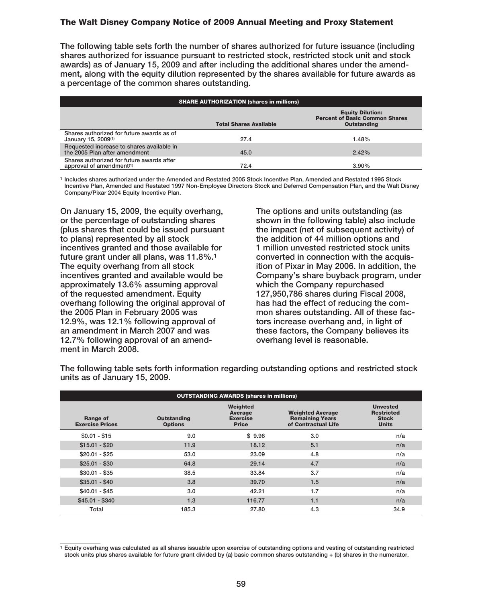**The following table sets forth the number of shares authorized for future issuance (including shares authorized for issuance pursuant to restricted stock, restricted stock unit and stock awards) as of January 15, 2009 and after including the additional shares under the amendment, along with the equity dilution represented by the shares available for future awards as a percentage of the common shares outstanding.**

| <b>SHARE AUTHORIZATION (shares in millions)</b>                                   |                               |                                                                                        |  |  |
|-----------------------------------------------------------------------------------|-------------------------------|----------------------------------------------------------------------------------------|--|--|
|                                                                                   | <b>Total Shares Available</b> | <b>Equity Dilution:</b><br><b>Percent of Basic Common Shares</b><br><b>Outstanding</b> |  |  |
| Shares authorized for future awards as of<br>January 15, 2009 <sup>(1)</sup>      | 27.4                          | 1.48%                                                                                  |  |  |
| Requested increase to shares available in<br>the 2005 Plan after amendment        | 45.0                          | 2.42%                                                                                  |  |  |
| Shares authorized for future awards after<br>approval of amendment <sup>(1)</sup> | 72.4                          | 3.90%                                                                                  |  |  |

**<sup>1</sup> Includes shares authorized under the Amended and Restated 2005 Stock Incentive Plan, Amended and Restated 1995 Stock Incentive Plan, Amended and Restated 1997 Non-Employee Directors Stock and Deferred Compensation Plan, and the Walt Disney Company/Pixar 2004 Equity Incentive Plan.**

**On January 15, 2009, the equity overhang, or the percentage of outstanding shares (plus shares that could be issued pursuant to plans) represented by all stock incentives granted and those available for future grant under all plans, was 11.8%.1 The equity overhang from all stock incentives granted and available would be approximately 13.6% assuming approval of the requested amendment. Equity overhang following the original approval of the 2005 Plan in February 2005 was 12.9%, was 12.1% following approval of an amendment in March 2007 and was 12.7% following approval of an amendment in March 2008.**

**The options and units outstanding (as shown in the following table) also include the impact (net of subsequent activity) of the addition of 44 million options and 1 million unvested restricted stock units converted in connection with the acquisition of Pixar in May 2006. In addition, the Company's share buyback program, under which the Company repurchased 127,950,786 shares during Fiscal 2008, has had the effect of reducing the common shares outstanding. All of these factors increase overhang and, in light of these factors, the Company believes its overhang level is reasonable.**

| <b>OUTSTANDING AWARDS (shares in millions)</b> |                                      |                                                        |                                                                          |                                                                      |  |
|------------------------------------------------|--------------------------------------|--------------------------------------------------------|--------------------------------------------------------------------------|----------------------------------------------------------------------|--|
| Range of<br><b>Exercise Prices</b>             | <b>Outstanding</b><br><b>Options</b> | Weighted<br>Average<br><b>Exercise</b><br><b>Price</b> | <b>Weighted Average</b><br><b>Remaining Years</b><br>of Contractual Life | <b>Unvested</b><br><b>Restricted</b><br><b>Stock</b><br><b>Units</b> |  |
| $$0.01 - $15$                                  | 9.0                                  | \$9.96                                                 | 3.0                                                                      | n/a                                                                  |  |
| $$15.01 - $20$                                 | 11.9                                 | 18.12                                                  | 5.1                                                                      | n/a                                                                  |  |
| $$20.01 - $25$                                 | 53.0                                 | 23.09                                                  | 4.8                                                                      | n/a                                                                  |  |
| $$25.01 - $30$                                 | 64.8                                 | 29.14                                                  | 4.7                                                                      | n/a                                                                  |  |
| $$30.01 - $35$                                 | 38.5                                 | 33.84                                                  | 3.7                                                                      | n/a                                                                  |  |
| $$35.01 - $40$                                 | 3.8                                  | 39.70                                                  | 1.5                                                                      | n/a                                                                  |  |
| $$40.01 - $45$                                 | 3.0                                  | 42.21                                                  | 1.7                                                                      | n/a                                                                  |  |
| $$45.01 - $340$                                | 1.3                                  | 116.77                                                 | 1.1                                                                      | n/a                                                                  |  |
| Total                                          | 185.3                                | 27.80                                                  | 4.3                                                                      | 34.9                                                                 |  |

**The following table sets forth information regarding outstanding options and restricted stock units as of January 15, 2009.**

**<sup>1</sup> Equity overhang was calculated as all shares issuable upon exercise of outstanding options and vesting of outstanding restricted stock units plus shares available for future grant divided by (a) basic common shares outstanding + (b) shares in the numerator.**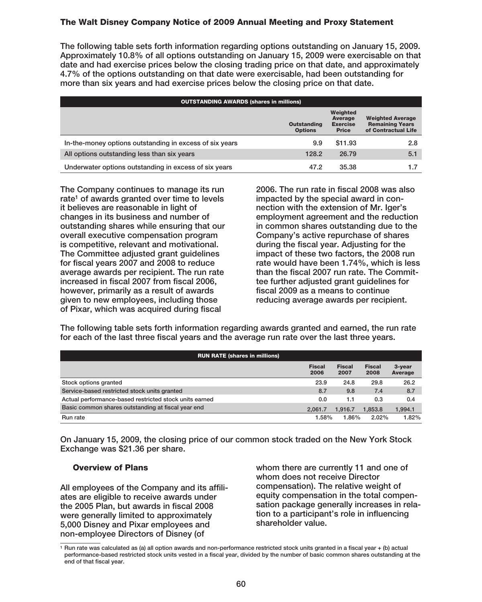**The following table sets forth information regarding options outstanding on January 15, 2009. Approximately 10.8% of all options outstanding on January 15, 2009 were exercisable on that date and had exercise prices below the closing trading price on that date, and approximately 4.7% of the options outstanding on that date were exercisable, had been outstanding for more than six years and had exercise prices below the closing price on that date.**

| <b>OUTSTANDING AWARDS (shares in millions)</b>          |                                      |                                                        |                                                                          |  |
|---------------------------------------------------------|--------------------------------------|--------------------------------------------------------|--------------------------------------------------------------------------|--|
|                                                         | <b>Outstanding</b><br><b>Options</b> | Weighted<br>Average<br><b>Exercise</b><br><b>Price</b> | <b>Weighted Average</b><br><b>Remaining Years</b><br>of Contractual Life |  |
| In-the-money options outstanding in excess of six years | 9.9                                  | \$11.93                                                | 2.8                                                                      |  |
| All options outstanding less than six years             | 128.2                                | 26.79                                                  | 5.1                                                                      |  |
| Underwater options outstanding in excess of six years   | 47.2                                 | 35.38                                                  |                                                                          |  |

**The Company continues to manage its run rate1 of awards granted over time to levels it believes are reasonable in light of changes in its business and number of outstanding shares while ensuring that our overall executive compensation program is competitive, relevant and motivational. The Committee adjusted grant guidelines for fiscal years 2007 and 2008 to reduce average awards per recipient. The run rate increased in fiscal 2007 from fiscal 2006, however, primarily as a result of awards given to new employees, including those of Pixar, which was acquired during fiscal**

**2006. The run rate in fiscal 2008 was also impacted by the special award in connection with the extension of Mr. Iger's employment agreement and the reduction in common shares outstanding due to the Company's active repurchase of shares during the fiscal year. Adjusting for the impact of these two factors, the 2008 run rate would have been 1.74%, which is less than the fiscal 2007 run rate. The Committee further adjusted grant guidelines for fiscal 2009 as a means to continue reducing average awards per recipient.**

**The following table sets forth information regarding awards granted and earned, the run rate for each of the last three fiscal years and the average run rate over the last three years.**

| <b>RUN RATE (shares in millions)</b>                   |                       |                       |                       |                   |
|--------------------------------------------------------|-----------------------|-----------------------|-----------------------|-------------------|
|                                                        | <b>Fiscal</b><br>2006 | <b>Fiscal</b><br>2007 | <b>Fiscal</b><br>2008 | 3-year<br>Average |
| Stock options granted                                  | 23.9                  | 24.8                  | 29.8                  | 26.2              |
| Service-based restricted stock units granted           | 8.7                   | 9.8                   | 7.4                   | 8.7               |
| Actual performance-based restricted stock units earned | 0.0                   | 1.1                   | 0.3                   | 0.4               |
| Basic common shares outstanding at fiscal year end     | 2.061.7               | 1.916.7               | 1.853.8               | 1.994.1           |
| Run rate                                               | 1.58%                 | 1.86%                 | 2.02%                 | 1.82%             |

**On January 15, 2009, the closing price of our common stock traded on the New York Stock Exchange was \$21.36 per share.**

#### **Overview of Plans**

**All employees of the Company and its affiliates are eligible to receive awards under the 2005 Plan, but awards in fiscal 2008 were generally limited to approximately 5,000 Disney and Pixar employees and non-employee Directors of Disney (of**

**whom there are currently 11 and one of whom does not receive Director compensation). The relative weight of equity compensation in the total compensation package generally increases in relation to a participant's role in influencing shareholder value.**

**<sup>1</sup> Run rate was calculated as (a) all option awards and non-performance restricted stock units granted in a fiscal year + (b) actual performance-based restricted stock units vested in a fiscal year, divided by the number of basic common shares outstanding at the end of that fiscal year.**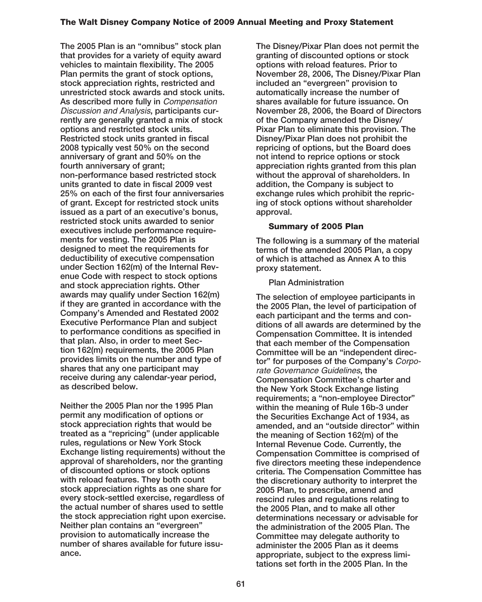**The 2005 Plan is an "omnibus" stock plan that provides for a variety of equity award vehicles to maintain flexibility. The 2005 Plan permits the grant of stock options, stock appreciation rights, restricted and unrestricted stock awards and stock units. As described more fully in** Compensation Discussion and Analysis**, participants currently are generally granted a mix of stock options and restricted stock units. Restricted stock units granted in fiscal 2008 typically vest 50% on the second anniversary of grant and 50% on the fourth anniversary of grant; non-performance based restricted stock units granted to date in fiscal 2009 vest 25% on each of the first four anniversaries of grant. Except for restricted stock units issued as a part of an executive's bonus, restricted stock units awarded to senior executives include performance requirements for vesting. The 2005 Plan is designed to meet the requirements for deductibility of executive compensation under Section 162(m) of the Internal Revenue Code with respect to stock options and stock appreciation rights. Other awards may qualify under Section 162(m) if they are granted in accordance with the Company's Amended and Restated 2002 Executive Performance Plan and subject to performance conditions as specified in that plan. Also, in order to meet Section 162(m) requirements, the 2005 Plan provides limits on the number and type of shares that any one participant may receive during any calendar-year period, as described below.**

**Neither the 2005 Plan nor the 1995 Plan permit any modification of options or stock appreciation rights that would be treated as a "repricing" (under applicable rules, regulations or New York Stock Exchange listing requirements) without the approval of shareholders, nor the granting of discounted options or stock options with reload features. They both count stock appreciation rights as one share for every stock-settled exercise, regardless of the actual number of shares used to settle the stock appreciation right upon exercise. Neither plan contains an "evergreen" provision to automatically increase the number of shares available for future issuance.**

**The Disney/Pixar Plan does not permit the granting of discounted options or stock options with reload features. Prior to November 28, 2006, The Disney/Pixar Plan included an "evergreen" provision to automatically increase the number of shares available for future issuance. On November 28, 2006, the Board of Directors of the Company amended the Disney/ Pixar Plan to eliminate this provision. The Disney/Pixar Plan does not prohibit the repricing of options, but the Board does not intend to reprice options or stock appreciation rights granted from this plan without the approval of shareholders. In addition, the Company is subject to exchange rules which prohibit the repricing of stock options without shareholder approval.**

## **Summary of 2005 Plan**

**The following is a summary of the material terms of the amended 2005 Plan, a copy of which is attached as Annex A to this proxy statement.**

## **Plan Administration**

**The selection of employee participants in the 2005 Plan, the level of participation of each participant and the terms and conditions of all awards are determined by the Compensation Committee. It is intended that each member of the Compensation Committee will be an "independent director" for purposes of the Company's** Corporate Governance Guidelines**, the Compensation Committee's charter and the New York Stock Exchange listing requirements; a "non-employee Director" within the meaning of Rule 16b-3 under the Securities Exchange Act of 1934, as amended, and an "outside director" within the meaning of Section 162(m) of the Internal Revenue Code. Currently, the Compensation Committee is comprised of five directors meeting these independence criteria. The Compensation Committee has the discretionary authority to interpret the 2005 Plan, to prescribe, amend and rescind rules and regulations relating to the 2005 Plan, and to make all other determinations necessary or advisable for the administration of the 2005 Plan. The Committee may delegate authority to administer the 2005 Plan as it deems appropriate, subject to the express limitations set forth in the 2005 Plan. In the**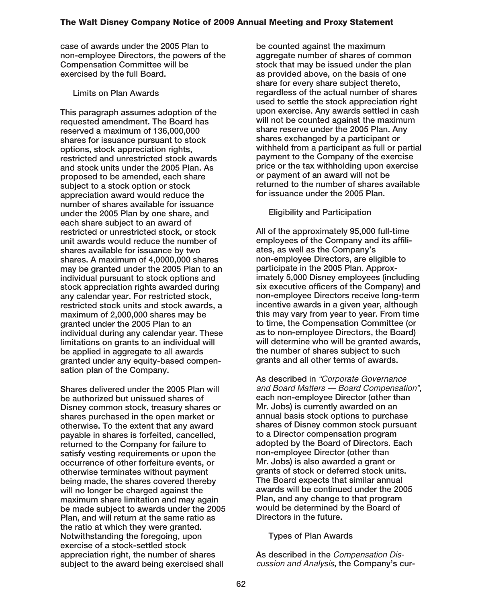**case of awards under the 2005 Plan to non-employee Directors, the powers of the Compensation Committee will be exercised by the full Board.**

**Limits on Plan Awards**

**This paragraph assumes adoption of the requested amendment. The Board has reserved a maximum of 136,000,000 shares for issuance pursuant to stock options, stock appreciation rights, restricted and unrestricted stock awards and stock units under the 2005 Plan. As proposed to be amended, each share subject to a stock option or stock appreciation award would reduce the number of shares available for issuance under the 2005 Plan by one share, and each share subject to an award of restricted or unrestricted stock, or stock unit awards would reduce the number of shares available for issuance by two shares. A maximum of 4,0000,000 shares may be granted under the 2005 Plan to an individual pursuant to stock options and stock appreciation rights awarded during any calendar year. For restricted stock, restricted stock units and stock awards, a maximum of 2,000,000 shares may be granted under the 2005 Plan to an individual during any calendar year. These limitations on grants to an individual will be applied in aggregate to all awards granted under any equity-based compensation plan of the Company.**

**Shares delivered under the 2005 Plan will be authorized but unissued shares of Disney common stock, treasury shares or shares purchased in the open market or otherwise. To the extent that any award payable in shares is forfeited, cancelled, returned to the Company for failure to satisfy vesting requirements or upon the occurrence of other forfeiture events, or otherwise terminates without payment being made, the shares covered thereby will no longer be charged against the maximum share limitation and may again be made subject to awards under the 2005 Plan, and will return at the same ratio as the ratio at which they were granted. Notwithstanding the foregoing, upon exercise of a stock-settled stock appreciation right, the number of shares subject to the award being exercised shall**

**be counted against the maximum aggregate number of shares of common stock that may be issued under the plan as provided above, on the basis of one share for every share subject thereto, regardless of the actual number of shares used to settle the stock appreciation right upon exercise. Any awards settled in cash will not be counted against the maximum share reserve under the 2005 Plan. Any shares exchanged by a participant or withheld from a participant as full or partial payment to the Company of the exercise price or the tax withholding upon exercise or payment of an award will not be returned to the number of shares available for issuance under the 2005 Plan.**

**Eligibility and Participation**

**All of the approximately 95,000 full-time employees of the Company and its affiliates, as well as the Company's non-employee Directors, are eligible to participate in the 2005 Plan. Approximately 5,000 Disney employees (including six executive officers of the Company) and non-employee Directors receive long-term incentive awards in a given year, although this may vary from year to year. From time to time, the Compensation Committee (or as to non-employee Directors, the Board) will determine who will be granted awards, the number of shares subject to such grants and all other terms of awards.**

**As described in** "Corporate Governance and Board Matters — Board Compensation"**, each non-employee Director (other than Mr. Jobs) is currently awarded on an annual basis stock options to purchase shares of Disney common stock pursuant to a Director compensation program adopted by the Board of Directors. Each non-employee Director (other than Mr. Jobs) is also awarded a grant or grants of stock or deferred stock units. The Board expects that similar annual awards will be continued under the 2005 Plan, and any change to that program would be determined by the Board of Directors in the future.**

## **Types of Plan Awards**

**As described in the** Compensation Discussion and Analysis**, the Company's cur-**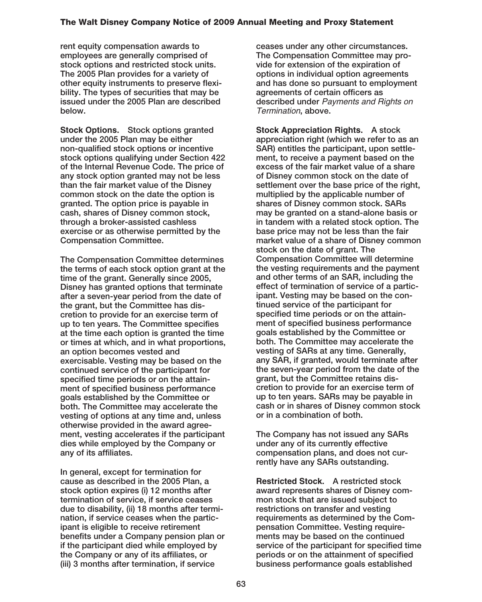**rent equity compensation awards to employees are generally comprised of stock options and restricted stock units. The 2005 Plan provides for a variety of other equity instruments to preserve flexibility. The types of securities that may be issued under the 2005 Plan are described below.**

**Stock Options. Stock options granted under the 2005 Plan may be either non-qualified stock options or incentive stock options qualifying under Section 422 of the Internal Revenue Code. The price of any stock option granted may not be less than the fair market value of the Disney common stock on the date the option is granted. The option price is payable in cash, shares of Disney common stock, through a broker-assisted cashless exercise or as otherwise permitted by the Compensation Committee.**

**The Compensation Committee determines the terms of each stock option grant at the time of the grant. Generally since 2005, Disney has granted options that terminate after a seven-year period from the date of the grant, but the Committee has discretion to provide for an exercise term of up to ten years. The Committee specifies at the time each option is granted the time or times at which, and in what proportions, an option becomes vested and exercisable. Vesting may be based on the continued service of the participant for specified time periods or on the attainment of specified business performance goals established by the Committee or both. The Committee may accelerate the vesting of options at any time and, unless otherwise provided in the award agreement, vesting accelerates if the participant dies while employed by the Company or any of its affiliates.**

**In general, except for termination for cause as described in the 2005 Plan, a stock option expires (i) 12 months after termination of service, if service ceases due to disability, (ii) 18 months after termination, if service ceases when the participant is eligible to receive retirement benefits under a Company pension plan or if the participant died while employed by the Company or any of its affiliates, or (iii) 3 months after termination, if service**

**ceases under any other circumstances. The Compensation Committee may provide for extension of the expiration of options in individual option agreements and has done so pursuant to employment agreements of certain officers as described under** Payments and Rights on Termination**, above.**

**Stock Appreciation Rights. A stock appreciation right (which we refer to as an SAR) entitles the participant, upon settlement, to receive a payment based on the excess of the fair market value of a share of Disney common stock on the date of settlement over the base price of the right, multiplied by the applicable number of shares of Disney common stock. SARs may be granted on a stand-alone basis or in tandem with a related stock option. The base price may not be less than the fair market value of a share of Disney common stock on the date of grant. The Compensation Committee will determine the vesting requirements and the payment and other terms of an SAR, including the effect of termination of service of a participant. Vesting may be based on the continued service of the participant for specified time periods or on the attainment of specified business performance goals established by the Committee or both. The Committee may accelerate the vesting of SARs at any time. Generally, any SAR, if granted, would terminate after the seven-year period from the date of the grant, but the Committee retains discretion to provide for an exercise term of up to ten years. SARs may be payable in cash or in shares of Disney common stock or in a combination of both.**

**The Company has not issued any SARs under any of its currently effective compensation plans, and does not currently have any SARs outstanding.**

**Restricted Stock. A restricted stock award represents shares of Disney common stock that are issued subject to restrictions on transfer and vesting requirements as determined by the Compensation Committee. Vesting requirements may be based on the continued service of the participant for specified time periods or on the attainment of specified business performance goals established**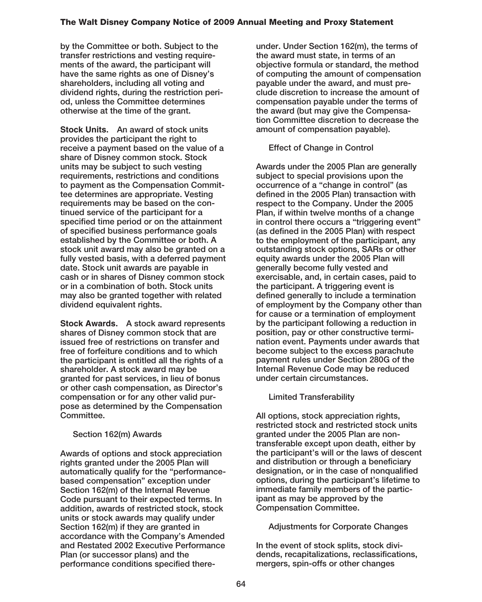**by the Committee or both. Subject to the transfer restrictions and vesting requirements of the award, the participant will have the same rights as one of Disney's shareholders, including all voting and dividend rights, during the restriction period, unless the Committee determines otherwise at the time of the grant.**

**Stock Units. An award of stock units provides the participant the right to receive a payment based on the value of a share of Disney common stock. Stock units may be subject to such vesting requirements, restrictions and conditions to payment as the Compensation Committee determines are appropriate. Vesting requirements may be based on the continued service of the participant for a specified time period or on the attainment of specified business performance goals established by the Committee or both. A stock unit award may also be granted on a fully vested basis, with a deferred payment date. Stock unit awards are payable in cash or in shares of Disney common stock or in a combination of both. Stock units may also be granted together with related dividend equivalent rights.**

**Stock Awards. A stock award represents shares of Disney common stock that are issued free of restrictions on transfer and free of forfeiture conditions and to which the participant is entitled all the rights of a shareholder. A stock award may be granted for past services, in lieu of bonus or other cash compensation, as Director's compensation or for any other valid purpose as determined by the Compensation Committee.**

## **Section 162(m) Awards**

**Awards of options and stock appreciation rights granted under the 2005 Plan will automatically qualify for the "performancebased compensation" exception under Section 162(m) of the Internal Revenue Code pursuant to their expected terms. In addition, awards of restricted stock, stock units or stock awards may qualify under Section 162(m) if they are granted in accordance with the Company's Amended and Restated 2002 Executive Performance Plan (or successor plans) and the performance conditions specified there-** **under. Under Section 162(m), the terms of the award must state, in terms of an objective formula or standard, the method of computing the amount of compensation payable under the award, and must preclude discretion to increase the amount of compensation payable under the terms of the award (but may give the Compensation Committee discretion to decrease the amount of compensation payable).**

## **Effect of Change in Control**

**Awards under the 2005 Plan are generally subject to special provisions upon the occurrence of a "change in control" (as defined in the 2005 Plan) transaction with respect to the Company. Under the 2005 Plan, if within twelve months of a change in control there occurs a "triggering event" (as defined in the 2005 Plan) with respect to the employment of the participant, any outstanding stock options, SARs or other equity awards under the 2005 Plan will generally become fully vested and exercisable, and, in certain cases, paid to the participant. A triggering event is defined generally to include a termination of employment by the Company other than for cause or a termination of employment by the participant following a reduction in position, pay or other constructive termination event. Payments under awards that become subject to the excess parachute payment rules under Section 280G of the Internal Revenue Code may be reduced under certain circumstances.**

**Limited Transferability**

**All options, stock appreciation rights, restricted stock and restricted stock units granted under the 2005 Plan are nontransferable except upon death, either by the participant's will or the laws of descent and distribution or through a beneficiary designation, or in the case of nonqualified options, during the participant's lifetime to immediate family members of the participant as may be approved by the Compensation Committee.**

## **Adjustments for Corporate Changes**

**In the event of stock splits, stock dividends, recapitalizations, reclassifications, mergers, spin-offs or other changes**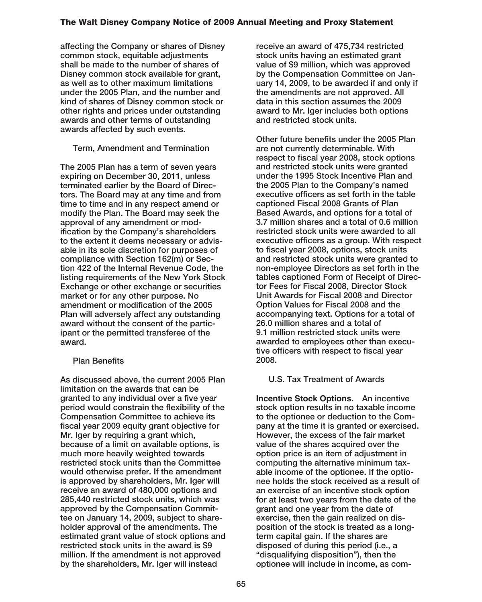**affecting the Company or shares of Disney common stock, equitable adjustments shall be made to the number of shares of Disney common stock available for grant, as well as to other maximum limitations under the 2005 Plan, and the number and kind of shares of Disney common stock or other rights and prices under outstanding awards and other terms of outstanding awards affected by such events.**

## **Term, Amendment and Termination**

**The 2005 Plan has a term of seven years expiring on December 30, 2011**, **unless terminated earlier by the Board of Directors. The Board may at any time and from time to time and in any respect amend or modify the Plan. The Board may seek the approval of any amendment or modification by the Company's shareholders to the extent it deems necessary or advisable in its sole discretion for purposes of compliance with Section 162(m) or Section 422 of the Internal Revenue Code, the listing requirements of the New York Stock Exchange or other exchange or securities market or for any other purpose. No amendment or modification of the 2005 Plan will adversely affect any outstanding award without the consent of the participant or the permitted transferee of the award.**

## **Plan Benefits**

**As discussed above, the current 2005 Plan limitation on the awards that can be granted to any individual over a five year period would constrain the flexibility of the Compensation Committee to achieve its fiscal year 2009 equity grant objective for Mr. Iger by requiring a grant which, because of a limit on available options, is much more heavily weighted towards restricted stock units than the Committee would otherwise prefer. If the amendment is approved by shareholders, Mr. Iger will receive an award of 480,000 options and 285,440 restricted stock units, which was approved by the Compensation Committee on January 14, 2009, subject to shareholder approval of the amendments. The estimated grant value of stock options and restricted stock units in the award is \$9 million. If the amendment is not approved by the shareholders, Mr. Iger will instead**

**receive an award of 475,734 restricted stock units having an estimated grant value of \$9 million, which was approved by the Compensation Committee on January 14, 2009, to be awarded if and only if the amendments are not approved. All data in this section assumes the 2009 award to Mr. Iger includes both options and restricted stock units.**

**Other future benefits under the 2005 Plan are not currently determinable. With respect to fiscal year 2008, stock options and restricted stock units were granted under the 1995 Stock Incentive Plan and the 2005 Plan to the Company's named executive officers as set forth in the table captioned Fiscal 2008 Grants of Plan Based Awards, and options for a total of 3.7 million shares and a total of 0.6 million restricted stock units were awarded to all executive officers as a group. With respect to fiscal year 2008, options, stock units and restricted stock units were granted to non-employee Directors as set forth in the tables captioned Form of Receipt of Director Fees for Fiscal 2008, Director Stock Unit Awards for Fiscal 2008 and Director Option Values for Fiscal 2008 and the accompanying text. Options for a total of 26.0 million shares and a total of 9.1 million restricted stock units were awarded to employees other than executive officers with respect to fiscal year 2008.**

## **U.S. Tax Treatment of Awards**

**Incentive Stock Options. An incentive stock option results in no taxable income to the optionee or deduction to the Company at the time it is granted or exercised. However, the excess of the fair market value of the shares acquired over the option price is an item of adjustment in computing the alternative minimum taxable income of the optionee. If the optionee holds the stock received as a result of an exercise of an incentive stock option for at least two years from the date of the grant and one year from the date of exercise, then the gain realized on disposition of the stock is treated as a longterm capital gain. If the shares are disposed of during this period (i.e., a "disqualifying disposition"), then the optionee will include in income, as com-**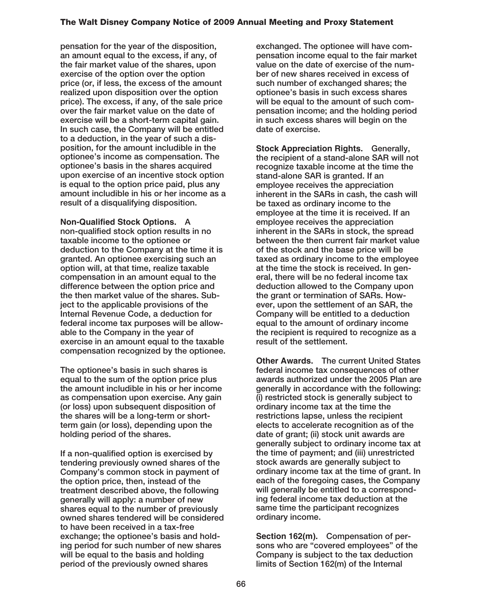**pensation for the year of the disposition, an amount equal to the excess, if any, of the fair market value of the shares, upon exercise of the option over the option price (or, if less, the excess of the amount realized upon disposition over the option price). The excess, if any, of the sale price over the fair market value on the date of exercise will be a short-term capital gain. In such case, the Company will be entitled to a deduction, in the year of such a disposition, for the amount includible in the optionee's income as compensation. The optionee's basis in the shares acquired upon exercise of an incentive stock option is equal to the option price paid, plus any amount includible in his or her income as a result of a disqualifying disposition.**

**Non-Qualified Stock Options. A non-qualified stock option results in no taxable income to the optionee or deduction to the Company at the time it is granted. An optionee exercising such an option will, at that time, realize taxable compensation in an amount equal to the difference between the option price and the then market value of the shares. Subject to the applicable provisions of the Internal Revenue Code, a deduction for federal income tax purposes will be allowable to the Company in the year of exercise in an amount equal to the taxable compensation recognized by the optionee.**

**The optionee's basis in such shares is equal to the sum of the option price plus the amount includible in his or her income as compensation upon exercise. Any gain (or loss) upon subsequent disposition of the shares will be a long-term or shortterm gain (or loss), depending upon the holding period of the shares.**

**If a non-qualified option is exercised by tendering previously owned shares of the Company's common stock in payment of the option price, then, instead of the treatment described above, the following generally will apply: a number of new shares equal to the number of previously owned shares tendered will be considered to have been received in a tax-free exchange; the optionee's basis and holding period for such number of new shares will be equal to the basis and holding period of the previously owned shares**

**exchanged. The optionee will have compensation income equal to the fair market value on the date of exercise of the number of new shares received in excess of such number of exchanged shares; the optionee's basis in such excess shares will be equal to the amount of such compensation income; and the holding period in such excess shares will begin on the date of exercise.**

**Stock Appreciation Rights. Generally, the recipient of a stand-alone SAR will not recognize taxable income at the time the stand-alone SAR is granted. If an employee receives the appreciation inherent in the SARs in cash, the cash will be taxed as ordinary income to the employee at the time it is received. If an employee receives the appreciation inherent in the SARs in stock, the spread between the then current fair market value of the stock and the base price will be taxed as ordinary income to the employee at the time the stock is received. In general, there will be no federal income tax deduction allowed to the Company upon the grant or termination of SARs. However, upon the settlement of an SAR, the Company will be entitled to a deduction equal to the amount of ordinary income the recipient is required to recognize as a result of the settlement.**

**Other Awards. The current United States federal income tax consequences of other awards authorized under the 2005 Plan are generally in accordance with the following: (i) restricted stock is generally subject to ordinary income tax at the time the restrictions lapse, unless the recipient elects to accelerate recognition as of the date of grant; (ii) stock unit awards are generally subject to ordinary income tax at the time of payment; and (iii) unrestricted stock awards are generally subject to ordinary income tax at the time of grant. In each of the foregoing cases, the Company will generally be entitled to a corresponding federal income tax deduction at the same time the participant recognizes ordinary income.**

**Section 162(m). Compensation of persons who are "covered employees" of the Company is subject to the tax deduction limits of Section 162(m) of the Internal**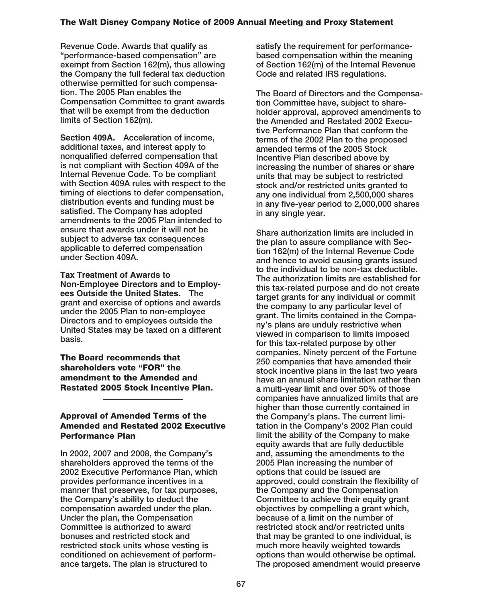**Revenue Code. Awards that qualify as "performance-based compensation" are exempt from Section 162(m), thus allowing the Company the full federal tax deduction otherwise permitted for such compensation. The 2005 Plan enables the Compensation Committee to grant awards that will be exempt from the deduction limits of Section 162(m).**

**Section 409A. Acceleration of income, additional taxes, and interest apply to nonqualified deferred compensation that is not compliant with Section 409A of the Internal Revenue Code. To be compliant with Section 409A rules with respect to the timing of elections to defer compensation, distribution events and funding must be satisfied. The Company has adopted amendments to the 2005 Plan intended to ensure that awards under it will not be subject to adverse tax consequences applicable to deferred compensation under Section 409A.**

**Tax Treatment of Awards to Non-Employee Directors and to Employees Outside the United States. The grant and exercise of options and awards under the 2005 Plan to non-employee Directors and to employees outside the United States may be taxed on a different basis.**

**The Board recommends that shareholders vote "FOR" the amendment to the Amended and Restated 2005 Stock Incentive Plan.**

### **Approval of Amended Terms of the Amended and Restated 2002 Executive Performance Plan**

**In 2002, 2007 and 2008, the Company's shareholders approved the terms of the 2002 Executive Performance Plan, which provides performance incentives in a manner that preserves, for tax purposes, the Company's ability to deduct the compensation awarded under the plan. Under the plan, the Compensation Committee is authorized to award bonuses and restricted stock and restricted stock units whose vesting is conditioned on achievement of performance targets. The plan is structured to**

**satisfy the requirement for performancebased compensation within the meaning of Section 162(m) of the Internal Revenue Code and related IRS regulations.**

**The Board of Directors and the Compensation Committee have, subject to shareholder approval, approved amendments to the Amended and Restated 2002 Executive Performance Plan that conform the terms of the 2002 Plan to the proposed amended terms of the 2005 Stock Incentive Plan described above by increasing the number of shares or share units that may be subject to restricted stock and/or restricted units granted to any one individual from 2,500,000 shares in any five-year period to 2,000,000 shares in any single year.**

**Share authorization limits are included in the plan to assure compliance with Section 162(m) of the Internal Revenue Code and hence to avoid causing grants issued to the individual to be non-tax deductible. The authorization limits are established for this tax-related purpose and do not create target grants for any individual or commit the company to any particular level of grant. The limits contained in the Company's plans are unduly restrictive when viewed in comparison to limits imposed for this tax-related purpose by other companies. Ninety percent of the Fortune 250 companies that have amended their stock incentive plans in the last two years have an annual share limitation rather than a multi-year limit and over 50% of those companies have annualized limits that are higher than those currently contained in the Company's plans. The current limitation in the Company's 2002 Plan could limit the ability of the Company to make equity awards that are fully deductible and, assuming the amendments to the 2005 Plan increasing the number of options that could be issued are approved, could constrain the flexibility of the Company and the Compensation Committee to achieve their equity grant objectives by compelling a grant which, because of a limit on the number of restricted stock and/or restricted units that may be granted to one individual, is much more heavily weighted towards options than would otherwise be optimal. The proposed amendment would preserve**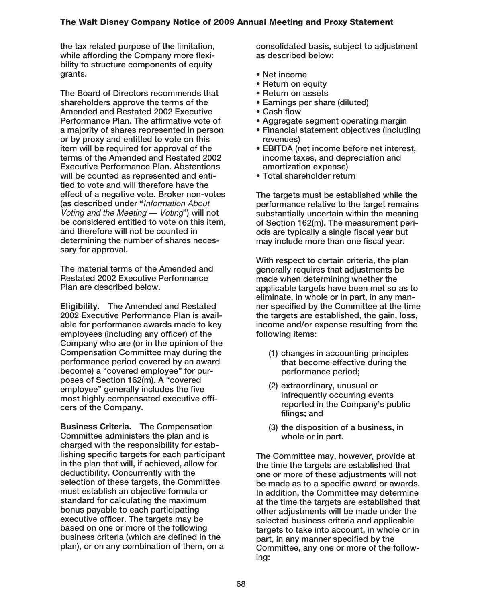**the tax related purpose of the limitation, while affording the Company more flexibility to structure components of equity grants.**

**The Board of Directors recommends that shareholders approve the terms of the Amended and Restated 2002 Executive Performance Plan. The affirmative vote of a majority of shares represented in person or by proxy and entitled to vote on this item will be required for approval of the terms of the Amended and Restated 2002 Executive Performance Plan. Abstentions will be counted as represented and entitled to vote and will therefore have the effect of a negative vote. Broker non-votes (as described under "**Information About Voting and the Meeting — Voting**") will not be considered entitled to vote on this item, and therefore will not be counted in determining the number of shares necessary for approval.**

**The material terms of the Amended and Restated 2002 Executive Performance Plan are described below.**

**Eligibility. The Amended and Restated 2002 Executive Performance Plan is available for performance awards made to key employees (including any officer) of the Company who are (or in the opinion of the Compensation Committee may during the performance period covered by an award become) a "covered employee" for purposes of Section 162(m). A "covered employee" generally includes the five most highly compensated executive officers of the Company.**

**Business Criteria. The Compensation Committee administers the plan and is charged with the responsibility for establishing specific targets for each participant in the plan that will, if achieved, allow for deductibility. Concurrently with the selection of these targets, the Committee must establish an objective formula or standard for calculating the maximum bonus payable to each participating executive officer. The targets may be based on one or more of the following business criteria (which are defined in the plan), or on any combination of them, on a**

**consolidated basis, subject to adjustment as described below:**

- **Net income**
- **Return on equity**
- **Return on assets**
- **Earnings per share (diluted)**
- **Cash flow**
- **Aggregate segment operating margin**
- **Financial statement objectives (including revenues)**
- **EBITDA (net income before net interest, income taxes, and depreciation and amortization expense)**
- **Total shareholder return**

**The targets must be established while the performance relative to the target remains substantially uncertain within the meaning of Section 162(m). The measurement periods are typically a single fiscal year but may include more than one fiscal year.**

**With respect to certain criteria, the plan generally requires that adjustments be made when determining whether the applicable targets have been met so as to eliminate, in whole or in part, in any manner specified by the Committee at the time the targets are established, the gain, loss, income and/or expense resulting from the following items:**

- **(1) changes in accounting principles that become effective during the performance period;**
- **(2) extraordinary, unusual or infrequently occurring events reported in the Company's public filings; and**
- **(3) the disposition of a business, in whole or in part.**

**The Committee may, however, provide at the time the targets are established that one or more of these adjustments will not be made as to a specific award or awards. In addition, the Committee may determine at the time the targets are established that other adjustments will be made under the selected business criteria and applicable targets to take into account, in whole or in part, in any manner specified by the Committee, any one or more of the following:**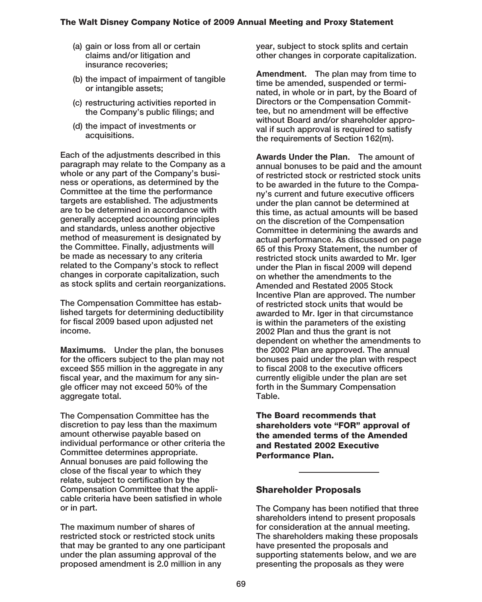- **(a) gain or loss from all or certain claims and/or litigation and insurance recoveries;**
- **(b) the impact of impairment of tangible or intangible assets;**
- **(c) restructuring activities reported in the Company's public filings; and**
- **(d) the impact of investments or acquisitions.**

**Each of the adjustments described in this paragraph may relate to the Company as a whole or any part of the Company's business or operations, as determined by the Committee at the time the performance targets are established. The adjustments are to be determined in accordance with generally accepted accounting principles and standards, unless another objective method of measurement is designated by the Committee. Finally, adjustments will be made as necessary to any criteria related to the Company's stock to reflect changes in corporate capitalization, such as stock splits and certain reorganizations.**

**The Compensation Committee has established targets for determining deductibility for fiscal 2009 based upon adjusted net income.**

**Maximums. Under the plan, the bonuses for the officers subject to the plan may not exceed \$55 million in the aggregate in any fiscal year, and the maximum for any single officer may not exceed 50% of the aggregate total.**

**The Compensation Committee has the discretion to pay less than the maximum amount otherwise payable based on individual performance or other criteria the Committee determines appropriate. Annual bonuses are paid following the close of the fiscal year to which they relate, subject to certification by the Compensation Committee that the applicable criteria have been satisfied in whole or in part.**

**The maximum number of shares of restricted stock or restricted stock units that may be granted to any one participant under the plan assuming approval of the proposed amendment is 2.0 million in any**

**year, subject to stock splits and certain other changes in corporate capitalization.**

**Amendment. The plan may from time to time be amended, suspended or terminated, in whole or in part, by the Board of Directors or the Compensation Committee, but no amendment will be effective without Board and/or shareholder approval if such approval is required to satisfy the requirements of Section 162(m).**

**Awards Under the Plan. The amount of annual bonuses to be paid and the amount of restricted stock or restricted stock units to be awarded in the future to the Company's current and future executive officers under the plan cannot be determined at this time, as actual amounts will be based on the discretion of the Compensation Committee in determining the awards and actual performance. As discussed on page 65 of this Proxy Statement, the number of restricted stock units awarded to Mr. Iger under the Plan in fiscal 2009 will depend on whether the amendments to the Amended and Restated 2005 Stock Incentive Plan are approved. The number of restricted stock units that would be awarded to Mr. Iger in that circumstance is within the parameters of the existing 2002 Plan and thus the grant is not dependent on whether the amendments to the 2002 Plan are approved. The annual bonuses paid under the plan with respect to fiscal 2008 to the executive officers currently eligible under the plan are set forth in the Summary Compensation Table.**

**The Board recommends that shareholders vote "FOR" approval of the amended terms of the Amended and Restated 2002 Executive Performance Plan.**

### **Shareholder Proposals**

**The Company has been notified that three shareholders intend to present proposals for consideration at the annual meeting. The shareholders making these proposals have presented the proposals and supporting statements below, and we are presenting the proposals as they were**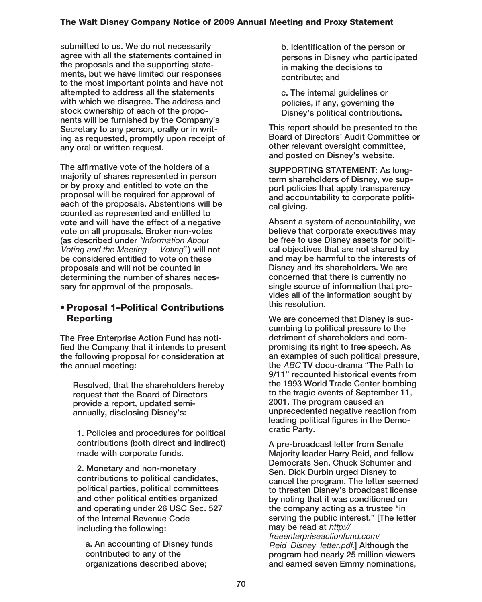**submitted to us. We do not necessarily agree with all the statements contained in the proposals and the supporting statements, but we have limited our responses to the most important points and have not attempted to address all the statements with which we disagree. The address and stock ownership of each of the proponents will be furnished by the Company's Secretary to any person, orally or in writing as requested, promptly upon receipt of any oral or written request.**

**The affirmative vote of the holders of a majority of shares represented in person or by proxy and entitled to vote on the proposal will be required for approval of each of the proposals. Abstentions will be counted as represented and entitled to vote and will have the effect of a negative vote on all proposals. Broker non-votes (as described under** "Information About Voting and the Meeting — Voting" **) will not be considered entitled to vote on these proposals and will not be counted in determining the number of shares necessary for approval of the proposals.**

# **• Proposal 1–Political Contributions Reporting**

**The Free Enterprise Action Fund has notified the Company that it intends to present the following proposal for consideration at the annual meeting:**

**Resolved, that the shareholders hereby request that the Board of Directors provide a report, updated semiannually, disclosing Disney's:**

**1. Policies and procedures for political contributions (both direct and indirect) made with corporate funds.**

**2. Monetary and non-monetary contributions to political candidates, political parties, political committees and other political entities organized and operating under 26 USC Sec. 527 of the Internal Revenue Code including the following:**

**a. An accounting of Disney funds contributed to any of the organizations described above;**

**b. Identification of the person or persons in Disney who participated in making the decisions to contribute; and**

**c. The internal guidelines or policies, if any, governing the Disney's political contributions.**

**This report should be presented to the Board of Directors' Audit Committee or other relevant oversight committee, and posted on Disney's website.**

**SUPPORTING STATEMENT: As longterm shareholders of Disney, we support policies that apply transparency and accountability to corporate political giving.**

**Absent a system of accountability, we believe that corporate executives may be free to use Disney assets for political objectives that are not shared by and may be harmful to the interests of Disney and its shareholders. We are concerned that there is currently no single source of information that provides all of the information sought by this resolution.**

**We are concerned that Disney is succumbing to political pressure to the detriment of shareholders and compromising its right to free speech. As an examples of such political pressure, the** ABC **TV docu-drama "The Path to 9/11" recounted historical events from the 1993 World Trade Center bombing to the tragic events of September 11, 2001. The program caused an unprecedented negative reaction from leading political figures in the Democratic Party.**

**A pre-broadcast letter from Senate Majority leader Harry Reid, and fellow Democrats Sen. Chuck Schumer and Sen. Dick Durbin urged Disney to cancel the program. The letter seemed to threaten Disney's broadcast license by noting that it was conditioned on the company acting as a trustee "in serving the public interest." [The letter may be read at** http://

freeenterpriseactionfund.com/ Reid\_Disney\_letter.pdf.**] Although the program had nearly 25 million viewers and earned seven Emmy nominations,**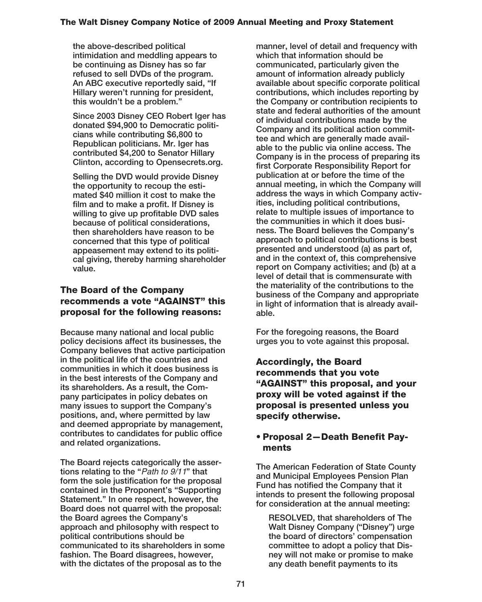**the above-described political intimidation and meddling appears to be continuing as Disney has so far refused to sell DVDs of the program. An ABC executive reportedly said, "If Hillary weren't running for president, this wouldn't be a problem."**

**Since 2003 Disney CEO Robert Iger has donated \$94,900 to Democratic politicians while contributing \$6,800 to Republican politicians. Mr. Iger has contributed \$4,200 to Senator Hillary Clinton, according to Opensecrets.org.**

**Selling the DVD would provide Disney the opportunity to recoup the estimated \$40 million it cost to make the film and to make a profit. If Disney is willing to give up profitable DVD sales because of political considerations, then shareholders have reason to be concerned that this type of political appeasement may extend to its political giving, thereby harming shareholder value.**

# **The Board of the Company recommends a vote "AGAINST" this proposal for the following reasons:**

**Because many national and local public policy decisions affect its businesses, the Company believes that active participation in the political life of the countries and communities in which it does business is in the best interests of the Company and its shareholders. As a result, the Company participates in policy debates on many issues to support the Company's positions, and, where permitted by law and deemed appropriate by management, contributes to candidates for public office and related organizations.**

**The Board rejects categorically the assertions relating to the "**Path to 9/11**" that form the sole justification for the proposal contained in the Proponent's "Supporting Statement." In one respect, however, the Board does not quarrel with the proposal: the Board agrees the Company's approach and philosophy with respect to political contributions should be communicated to its shareholders in some fashion. The Board disagrees, however, with the dictates of the proposal as to the**

**manner, level of detail and frequency with which that information should be communicated, particularly given the amount of information already publicly available about specific corporate political contributions, which includes reporting by the Company or contribution recipients to state and federal authorities of the amount of individual contributions made by the Company and its political action committee and which are generally made available to the public via online access. The Company is in the process of preparing its first Corporate Responsibility Report for publication at or before the time of the annual meeting, in which the Company will address the ways in which Company activities, including political contributions, relate to multiple issues of importance to the communities in which it does business. The Board believes the Company's approach to political contributions is best presented and understood (a) as part of, and in the context of, this comprehensive report on Company activities; and (b) at a level of detail that is commensurate with the materiality of the contributions to the business of the Company and appropriate in light of information that is already available.**

**For the foregoing reasons, the Board urges you to vote against this proposal.**

**Accordingly, the Board recommends that you vote "AGAINST" this proposal, and your proxy will be voted against if the proposal is presented unless you specify otherwise.**

# **• Proposal 2—Death Benefit Payments**

**The American Federation of State County and Municipal Employees Pension Plan Fund has notified the Company that it intends to present the following proposal for consideration at the annual meeting:**

**RESOLVED, that shareholders of The Walt Disney Company ("Disney") urge the board of directors' compensation committee to adopt a policy that Disney will not make or promise to make any death benefit payments to its**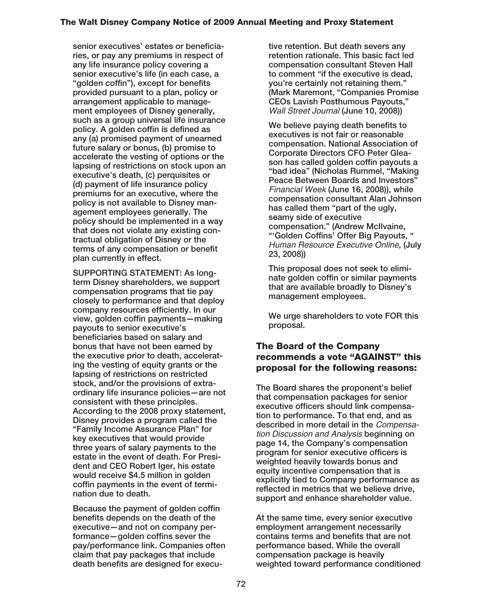**senior executives' estates or beneficiaries, or pay any premiums in respect of any life insurance policy covering a senior executive's life (in each case, a "golden coffin"), except for benefits provided pursuant to a plan, policy or arrangement applicable to management employees of Disney generally, such as a group universal life insurance policy. A golden coffin is defined as any (a) promised payment of unearned future salary or bonus, (b) promise to accelerate the vesting of options or the lapsing of restrictions on stock upon an executive's death, (c) perquisites or (d) payment of life insurance policy premiums for an executive, where the policy is not available to Disney management employees generally. The policy should be implemented in a way that does not violate any existing contractual obligation of Disney or the terms of any compensation or benefit plan currently in effect.**

**SUPPORTING STATEMENT: As longterm Disney shareholders, we support compensation programs that tie pay closely to performance and that deploy company resources efficiently. In our view, golden coffin payments—making payouts to senior executive's beneficiaries based on salary and bonus that have not been earned by the executive prior to death, accelerating the vesting of equity grants or the lapsing of restrictions on restricted stock, and/or the provisions of extraordinary life insurance policies—are not consistent with these principles. According to the 2008 proxy statement, Disney provides a program called the "Family Income Assurance Plan" for key executives that would provide three years of salary payments to the estate in the event of death. For President and CEO Robert Iger, his estate would receive \$4.5 million in golden coffin payments in the event of termination due to death.**

**Because the payment of golden coffin benefits depends on the death of the executive—and not on company performance—golden coffins sever the pay/performance link. Companies often claim that pay packages that include death benefits are designed for execu-** **tive retention. But death severs any retention rationale. This basic fact led compensation consultant Steven Hall to comment "if the executive is dead, you're certainly not retaining them." (Mark Maremont, "Companies Promise CEOs Lavish Posthumous Payouts,"** Wall Street Journal **(June 10, 2008))**

**We believe paying death benefits to executives is not fair or reasonable compensation. National Association of Corporate Directors CFO Peter Gleason has called golden coffin payouts a "bad idea" (Nicholas Rummel, "Making Peace Between Boards and Investors"** Financial Week **(June 16, 2008)), while compensation consultant Alan Johnson has called them "part of the ugly, seamy side of executive compensation." (Andrew McIlvaine, "'Golden Coffins' Offer Big Payouts, "** Human Resource Executive Online**, (July 23, 2008))**

**This proposal does not seek to eliminate golden coffin or similar payments that are available broadly to Disney's management employees.**

**We urge shareholders to vote FOR this proposal.**

# **The Board of the Company recommends a vote "AGAINST" this proposal for the following reasons:**

**The Board shares the proponent's belief that compensation packages for senior executive officers should link compensation to performance. To that end, and as described in more detail in the** Compensation Discussion and Analysis **beginning on page 14, the Company's compensation program for senior executive officers is weighted heavily towards bonus and equity incentive compensation that is explicitly tied to Company performance as reflected in metrics that we believe drive, support and enhance shareholder value.**

**At the same time, every senior executive employment arrangement necessarily contains terms and benefits that are not performance based. While the overall compensation package is heavily weighted toward performance conditioned**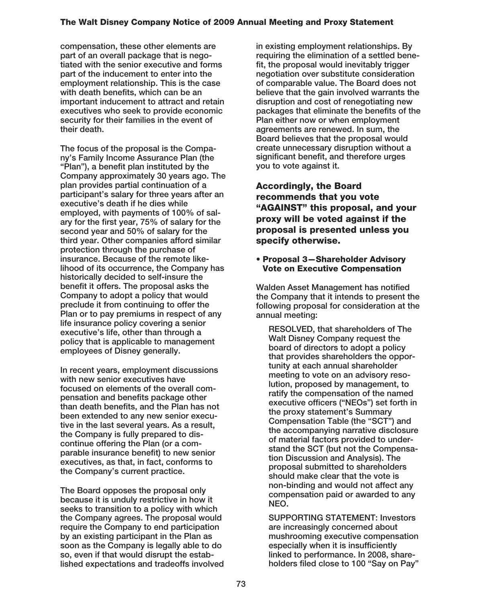**compensation, these other elements are part of an overall package that is negotiated with the senior executive and forms part of the inducement to enter into the employment relationship. This is the case with death benefits, which can be an important inducement to attract and retain executives who seek to provide economic security for their families in the event of their death.**

**The focus of the proposal is the Company's Family Income Assurance Plan (the "Plan"), a benefit plan instituted by the Company approximately 30 years ago. The plan provides partial continuation of a participant's salary for three years after an executive's death if he dies while employed, with payments of 100% of salary for the first year, 75% of salary for the second year and 50% of salary for the third year. Other companies afford similar protection through the purchase of insurance. Because of the remote likelihood of its occurrence, the Company has historically decided to self-insure the benefit it offers. The proposal asks the Company to adopt a policy that would preclude it from continuing to offer the Plan or to pay premiums in respect of any life insurance policy covering a senior executive's life, other than through a policy that is applicable to management employees of Disney generally.**

**In recent years, employment discussions with new senior executives have focused on elements of the overall compensation and benefits package other than death benefits, and the Plan has not been extended to any new senior executive in the last several years. As a result, the Company is fully prepared to discontinue offering the Plan (or a comparable insurance benefit) to new senior executives, as that, in fact, conforms to the Company's current practice.**

**The Board opposes the proposal only because it is unduly restrictive in how it seeks to transition to a policy with which the Company agrees. The proposal would require the Company to end participation by an existing participant in the Plan as soon as the Company is legally able to do so, even if that would disrupt the established expectations and tradeoffs involved**

**in existing employment relationships. By requiring the elimination of a settled benefit, the proposal would inevitably trigger negotiation over substitute consideration of comparable value. The Board does not believe that the gain involved warrants the disruption and cost of renegotiating new packages that eliminate the benefits of the Plan either now or when employment agreements are renewed. In sum, the Board believes that the proposal would create unnecessary disruption without a significant benefit, and therefore urges you to vote against it.**

**Accordingly, the Board recommends that you vote "AGAINST" this proposal, and your proxy will be voted against if the proposal is presented unless you specify otherwise.**

#### **• Proposal 3—Shareholder Advisory Vote on Executive Compensation**

**Walden Asset Management has notified the Company that it intends to present the following proposal for consideration at the annual meeting:**

**RESOLVED, that shareholders of The Walt Disney Company request the board of directors to adopt a policy that provides shareholders the opportunity at each annual shareholder meeting to vote on an advisory resolution, proposed by management, to ratify the compensation of the named executive officers ("NEOs") set forth in the proxy statement's Summary Compensation Table (the "SCT") and the accompanying narrative disclosure of material factors provided to understand the SCT (but not the Compensation Discussion and Analysis). The proposal submitted to shareholders should make clear that the vote is non-binding and would not affect any compensation paid or awarded to any NEO.**

**SUPPORTING STATEMENT: Investors are increasingly concerned about mushrooming executive compensation especially when it is insufficiently linked to performance. In 2008, shareholders filed close to 100 "Say on Pay"**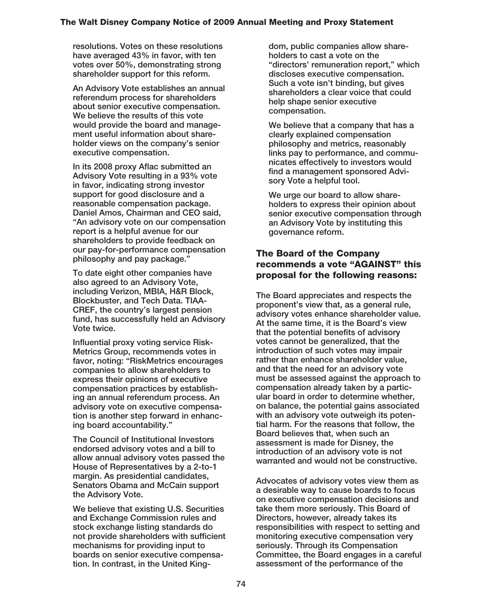**resolutions. Votes on these resolutions have averaged 43% in favor, with ten votes over 50%, demonstrating strong shareholder support for this reform.**

**An Advisory Vote establishes an annual referendum process for shareholders about senior executive compensation. We believe the results of this vote would provide the board and management useful information about shareholder views on the company's senior executive compensation.**

**In its 2008 proxy Aflac submitted an Advisory Vote resulting in a 93% vote in favor, indicating strong investor support for good disclosure and a reasonable compensation package. Daniel Amos, Chairman and CEO said, "An advisory vote on our compensation report is a helpful avenue for our shareholders to provide feedback on our pay-for-performance compensation philosophy and pay package."**

**To date eight other companies have also agreed to an Advisory Vote, including Verizon, MBIA, H&R Block, Blockbuster, and Tech Data. TIAA-CREF, the country's largest pension fund, has successfully held an Advisory Vote twice.**

**Influential proxy voting service Risk-Metrics Group, recommends votes in favor, noting: "RiskMetrics encourages companies to allow shareholders to express their opinions of executive compensation practices by establishing an annual referendum process. An advisory vote on executive compensation is another step forward in enhancing board accountability."**

**The Council of Institutional Investors endorsed advisory votes and a bill to allow annual advisory votes passed the House of Representatives by a 2-to-1 margin. As presidential candidates, Senators Obama and McCain support the Advisory Vote.**

**We believe that existing U.S. Securities and Exchange Commission rules and stock exchange listing standards do not provide shareholders with sufficient mechanisms for providing input to boards on senior executive compensation. In contrast, in the United King-** **dom, public companies allow shareholders to cast a vote on the "directors' remuneration report," which discloses executive compensation. Such a vote isn't binding, but gives shareholders a clear voice that could help shape senior executive compensation.**

**We believe that a company that has a clearly explained compensation philosophy and metrics, reasonably links pay to performance, and communicates effectively to investors would find a management sponsored Advisory Vote a helpful tool.**

**We urge our board to allow shareholders to express their opinion about senior executive compensation through an Advisory Vote by instituting this governance reform.**

# **The Board of the Company recommends a vote "AGAINST" this proposal for the following reasons:**

**The Board appreciates and respects the proponent's view that, as a general rule, advisory votes enhance shareholder value. At the same time, it is the Board's view that the potential benefits of advisory votes cannot be generalized, that the introduction of such votes may impair rather than enhance shareholder value, and that the need for an advisory vote must be assessed against the approach to compensation already taken by a particular board in order to determine whether, on balance, the potential gains associated with an advisory vote outweigh its potential harm. For the reasons that follow, the Board believes that, when such an assessment is made for Disney, the introduction of an advisory vote is not warranted and would not be constructive.**

**Advocates of advisory votes view them as a desirable way to cause boards to focus on executive compensation decisions and take them more seriously. This Board of Directors, however, already takes its responsibilities with respect to setting and monitoring executive compensation very seriously. Through its Compensation Committee, the Board engages in a careful assessment of the performance of the**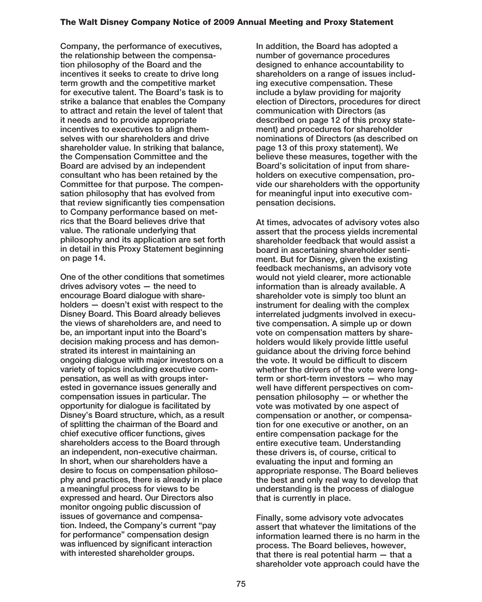**Company, the performance of executives, the relationship between the compensation philosophy of the Board and the incentives it seeks to create to drive long term growth and the competitive market for executive talent. The Board's task is to strike a balance that enables the Company to attract and retain the level of talent that it needs and to provide appropriate incentives to executives to align themselves with our shareholders and drive shareholder value. In striking that balance, the Compensation Committee and the Board are advised by an independent consultant who has been retained by the Committee for that purpose. The compensation philosophy that has evolved from that review significantly ties compensation to Company performance based on metrics that the Board believes drive that value. The rationale underlying that philosophy and its application are set forth in detail in this Proxy Statement beginning on page 14.**

**One of the other conditions that sometimes drives advisory votes — the need to encourage Board dialogue with shareholders — doesn't exist with respect to the Disney Board. This Board already believes the views of shareholders are, and need to be, an important input into the Board's decision making process and has demonstrated its interest in maintaining an ongoing dialogue with major investors on a variety of topics including executive compensation, as well as with groups interested in governance issues generally and compensation issues in particular. The opportunity for dialogue is facilitated by Disney's Board structure, which, as a result of splitting the chairman of the Board and chief executive officer functions, gives shareholders access to the Board through an independent, non-executive chairman. In short, when our shareholders have a desire to focus on compensation philosophy and practices, there is already in place a meaningful process for views to be expressed and heard. Our Directors also monitor ongoing public discussion of issues of governance and compensation. Indeed, the Company's current "pay for performance" compensation design was influenced by significant interaction with interested shareholder groups.**

**In addition, the Board has adopted a number of governance procedures designed to enhance accountability to shareholders on a range of issues including executive compensation. These include a bylaw providing for majority election of Directors, procedures for direct communication with Directors (as described on page 12 of this proxy statement) and procedures for shareholder nominations of Directors (as described on page 13 of this proxy statement). We believe these measures, together with the Board's solicitation of input from shareholders on executive compensation, provide our shareholders with the opportunity for meaningful input into executive compensation decisions.**

**At times, advocates of advisory votes also assert that the process yields incremental shareholder feedback that would assist a board in ascertaining shareholder sentiment. But for Disney, given the existing feedback mechanisms, an advisory vote would not yield clearer, more actionable information than is already available. A shareholder vote is simply too blunt an instrument for dealing with the complex interrelated judgments involved in executive compensation. A simple up or down vote on compensation matters by shareholders would likely provide little useful guidance about the driving force behind the vote. It would be difficult to discern whether the drivers of the vote were longterm or short-term investors — who may well have different perspectives on compensation philosophy — or whether the vote was motivated by one aspect of compensation or another, or compensation for one executive or another, on an entire compensation package for the entire executive team. Understanding these drivers is, of course, critical to evaluating the input and forming an appropriate response. The Board believes the best and only real way to develop that understanding is the process of dialogue that is currently in place.**

**Finally, some advisory vote advocates assert that whatever the limitations of the information learned there is no harm in the process. The Board believes, however, that there is real potential harm — that a shareholder vote approach could have the**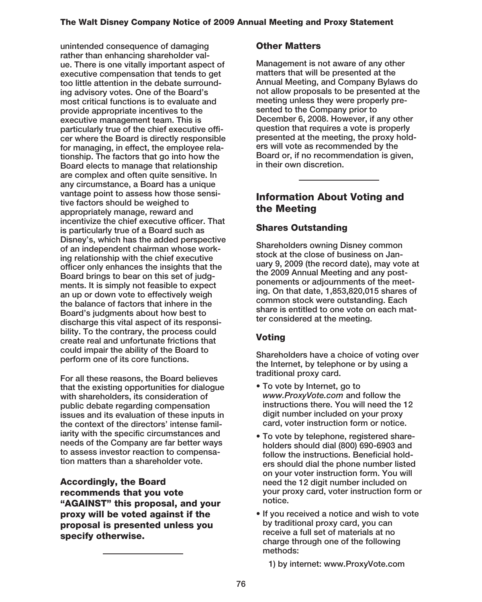**unintended consequence of damaging rather than enhancing shareholder value. There is one vitally important aspect of executive compensation that tends to get too little attention in the debate surrounding advisory votes. One of the Board's most critical functions is to evaluate and provide appropriate incentives to the executive management team. This is particularly true of the chief executive officer where the Board is directly responsible for managing, in effect, the employee relationship. The factors that go into how the Board elects to manage that relationship are complex and often quite sensitive. In any circumstance, a Board has a unique vantage point to assess how those sensitive factors should be weighed to appropriately manage, reward and incentivize the chief executive officer. That is particularly true of a Board such as Disney's, which has the added perspective of an independent chairman whose working relationship with the chief executive officer only enhances the insights that the Board brings to bear on this set of judgments. It is simply not feasible to expect an up or down vote to effectively weigh the balance of factors that inhere in the Board's judgments about how best to discharge this vital aspect of its responsibility. To the contrary, the process could create real and unfortunate frictions that could impair the ability of the Board to perform one of its core functions.**

**For all these reasons, the Board believes that the existing opportunities for dialogue with shareholders, its consideration of public debate regarding compensation issues and its evaluation of these inputs in the context of the directors' intense familiarity with the specific circumstances and needs of the Company are far better ways to assess investor reaction to compensation matters than a shareholder vote.**

**Accordingly, the Board recommends that you vote "AGAINST" this proposal, and your proxy will be voted against if the proposal is presented unless you specify otherwise.**

# **Other Matters**

**Management is not aware of any other matters that will be presented at the Annual Meeting, and Company Bylaws do not allow proposals to be presented at the meeting unless they were properly presented to the Company prior to December 6, 2008. However, if any other question that requires a vote is properly presented at the meeting, the proxy holders will vote as recommended by the Board or, if no recommendation is given, in their own discretion.**

# **Information About Voting and the Meeting**

# **Shares Outstanding**

**Shareholders owning Disney common stock at the close of business on January 9, 2009 (the record date), may vote at the 2009 Annual Meeting and any postponements or adjournments of the meeting. On that date, 1,853,820,015 shares of common stock were outstanding. Each share is entitled to one vote on each matter considered at the meeting.**

# **Voting**

**Shareholders have a choice of voting over the Internet, by telephone or by using a traditional proxy card.**

- **To vote by Internet, go to** *www.ProxyVote.com* **and follow the instructions there. You will need the 12 digit number included on your proxy card, voter instruction form or notice.**
- **To vote by telephone, registered shareholders should dial (800) 690-6903 and follow the instructions. Beneficial holders should dial the phone number listed on your voter instruction form. You will need the 12 digit number included on your proxy card, voter instruction form or notice.**
- **If you received a notice and wish to vote by traditional proxy card, you can receive a full set of materials at no charge through one of the following methods:**

**1) by internet: www.ProxyVote.com**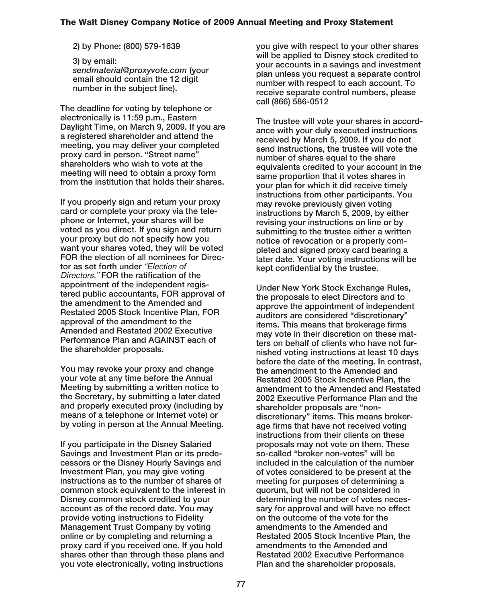#### **2) by Phone: (800) 579-1639**

**3) by email:** *sendmaterial@proxyvote.com* **(your email should contain the 12 digit number in the subject line).**

**The deadline for voting by telephone or electronically is 11:59 p.m., Eastern Daylight Time, on March 9, 2009. If you are a registered shareholder and attend the meeting, you may deliver your completed proxy card in person. "Street name" shareholders who wish to vote at the meeting will need to obtain a proxy form from the institution that holds their shares.**

**If you properly sign and return your proxy card or complete your proxy via the telephone or Internet, your shares will be voted as you direct. If you sign and return your proxy but do not specify how you want your shares voted, they will be voted FOR the election of all nominees for Director as set forth under** "Election of Directors," **FOR the ratification of the appointment of the independent registered public accountants, FOR approval of the amendment to the Amended and Restated 2005 Stock Incentive Plan, FOR approval of the amendment to the Amended and Restated 2002 Executive Performance Plan and AGAINST each of the shareholder proposals.**

**You may revoke your proxy and change your vote at any time before the Annual Meeting by submitting a written notice to the Secretary, by submitting a later dated and properly executed proxy (including by means of a telephone or Internet vote) or by voting in person at the Annual Meeting.**

**If you participate in the Disney Salaried Savings and Investment Plan or its predecessors or the Disney Hourly Savings and Investment Plan, you may give voting instructions as to the number of shares of common stock equivalent to the interest in Disney common stock credited to your account as of the record date. You may provide voting instructions to Fidelity Management Trust Company by voting online or by completing and returning a proxy card if you received one. If you hold shares other than through these plans and you vote electronically, voting instructions**

**you give with respect to your other shares will be applied to Disney stock credited to your accounts in a savings and investment plan unless you request a separate control number with respect to each account. To receive separate control numbers, please call (866) 586-0512**

**The trustee will vote your shares in accordance with your duly executed instructions received by March 5, 2009. If you do not send instructions, the trustee will vote the number of shares equal to the share equivalents credited to your account in the same proportion that it votes shares in your plan for which it did receive timely instructions from other participants. You may revoke previously given voting instructions by March 5, 2009, by either revising your instructions on line or by submitting to the trustee either a written notice of revocation or a properly completed and signed proxy card bearing a later date. Your voting instructions will be kept confidential by the trustee.**

**Under New York Stock Exchange Rules, the proposals to elect Directors and to approve the appointment of independent auditors are considered "discretionary" items. This means that brokerage firms may vote in their discretion on these matters on behalf of clients who have not furnished voting instructions at least 10 days before the date of the meeting. In contrast, the amendment to the Amended and Restated 2005 Stock Incentive Plan, the amendment to the Amended and Restated 2002 Executive Performance Plan and the shareholder proposals are "nondiscretionary" items. This means brokerage firms that have not received voting instructions from their clients on these proposals may not vote on them. These so-called "broker non-votes" will be included in the calculation of the number of votes considered to be present at the meeting for purposes of determining a quorum, but will not be considered in determining the number of votes necessary for approval and will have no effect on the outcome of the vote for the amendments to the Amended and Restated 2005 Stock Incentive Plan, the amendments to the Amended and Restated 2002 Executive Performance Plan and the shareholder proposals.**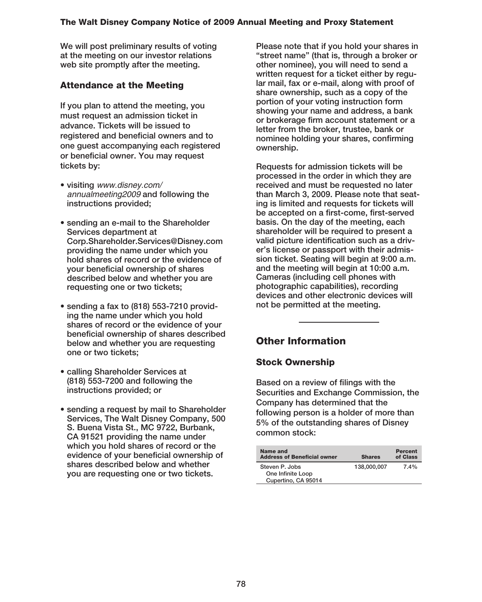**We will post preliminary results of voting at the meeting on our investor relations web site promptly after the meeting.**

# **Attendance at the Meeting**

**If you plan to attend the meeting, you must request an admission ticket in advance. Tickets will be issued to registered and beneficial owners and to one guest accompanying each registered or beneficial owner. You may request tickets by:**

- **visiting** www.disney.com/ annualmeeting2009 **and following the instructions provided;**
- **sending an e-mail to the Shareholder Services department at Corp.Shareholder.Services@Disney.com providing the name under which you hold shares of record or the evidence of your beneficial ownership of shares described below and whether you are requesting one or two tickets;**
- **sending a fax to (818) 553-7210 providing the name under which you hold shares of record or the evidence of your beneficial ownership of shares described below and whether you are requesting one or two tickets;**
- **calling Shareholder Services at (818) 553-7200 and following the instructions provided; or**
- **sending a request by mail to Shareholder Services, The Walt Disney Company, 500 S. Buena Vista St., MC 9722, Burbank, CA 91521 providing the name under which you hold shares of record or the evidence of your beneficial ownership of shares described below and whether you are requesting one or two tickets.**

**Please note that if you hold your shares in "street name" (that is, through a broker or other nominee), you will need to send a written request for a ticket either by regular mail, fax or e-mail, along with proof of share ownership, such as a copy of the portion of your voting instruction form showing your name and address, a bank or brokerage firm account statement or a letter from the broker, trustee, bank or nominee holding your shares, confirming ownership.**

**Requests for admission tickets will be processed in the order in which they are received and must be requested no later than March 3, 2009. Please note that seating is limited and requests for tickets will be accepted on a first-come, first-served basis. On the day of the meeting, each shareholder will be required to present a valid picture identification such as a driver's license or passport with their admission ticket. Seating will begin at 9:00 a.m. and the meeting will begin at 10:00 a.m. Cameras (including cell phones with photographic capabilities), recording devices and other electronic devices will not be permitted at the meeting.**

# **Other Information**

# **Stock Ownership**

**Based on a review of filings with the Securities and Exchange Commission, the Company has determined that the following person is a holder of more than 5% of the outstanding shares of Disney common stock:**

| Name and<br><b>Address of Beneficial owner</b> | <b>Shares</b> | <b>Percent</b><br>of Class |
|------------------------------------------------|---------------|----------------------------|
| Steven P. Jobs                                 | 138.000.007   | $7.4\%$                    |
| One Infinite Loop                              |               |                            |
| Cupertino, CA 95014                            |               |                            |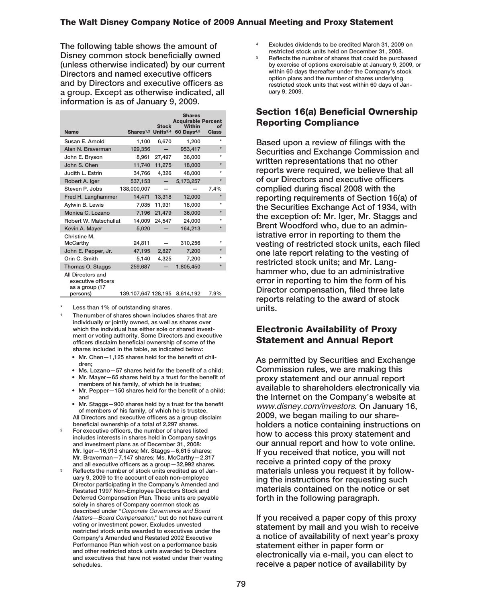**The following table shows the amount of Disney common stock beneficially owned (unless otherwise indicated) by our current Directors and named executive officers and by Directors and executive officers as a group. Except as otherwise indicated, all information is as of January 9, 2009.**

| <b>Name</b>                                                           | Shares <sup>1,2</sup> Units <sup>3,4</sup> | <b>Stock</b> | <b>Shares</b><br><b>Acquirable Percent</b><br><b>Within</b><br>60 Days <sup>4,5</sup> | of<br><b>Class</b> |
|-----------------------------------------------------------------------|--------------------------------------------|--------------|---------------------------------------------------------------------------------------|--------------------|
| Susan E. Arnold                                                       | 1,100                                      | 6,670        | 1,200                                                                                 | $\star$            |
| Alan N. Braverman                                                     | 129.356                                    |              | 953,417                                                                               | $\star$            |
| John E. Bryson                                                        | 8.961                                      | 27.497       | 36,000                                                                                | ÷                  |
| John S. Chen                                                          | 11,740                                     | 11.275       | 18,000                                                                                | $\star$            |
| Judith L. Estrin                                                      | 34,766                                     | 4,326        | 48,000                                                                                | $\star$            |
| Robert A. Iger                                                        | 537,153                                    |              | 5,173,257                                                                             | $\star$            |
| Steven P. Jobs                                                        | 138,000,007                                |              |                                                                                       | 7.4%               |
| Fred H. Langhammer                                                    | 14.471                                     | 13.318       | 12,000                                                                                |                    |
| Aylwin B. Lewis                                                       | 7.035                                      | 11,931       | 18,000                                                                                | $\star$            |
| Monica C. Lozano                                                      | 7,196                                      | 21,479       | 36,000                                                                                | $\star$            |
| Robert W. Matschullat                                                 | 14,009                                     | 24.547       | 24,000                                                                                | $\star$            |
| Kevin A. Mayer                                                        | 5,020                                      |              | 164,213                                                                               | $\star$            |
| Christine M.<br><b>McCarthy</b>                                       | 24,811                                     |              | 310,256                                                                               |                    |
| John E. Pepper, Jr.                                                   | 47,195                                     | 2,827        | 7.200                                                                                 | $\star$            |
| Orin C. Smith                                                         | 5.140                                      | 4,325        | 7,200                                                                                 | $\star$            |
| Thomas O. Staggs                                                      | 259,687                                    |              | 1,805,450                                                                             | $\star$            |
| All Directors and<br>executive officers<br>as a group (17<br>persons) | 139,107,647 128,195                        |              | 8,614,192                                                                             | 7.9%               |

**\* Less than 1% of outstanding shares.**

- **<sup>1</sup> The number of shares shown includes shares that are individually or jointly owned, as well as shares over which the individual has either sole or shared investment or voting authority. Some Directors and executive officers disclaim beneficial ownership of some of the shares included in the table, as indicated below:**
	- **Mr. Chen—1,125 shares held for the benefit of children;**
	- **Ms. Lozano—57 shares held for the benefit of a child;**
	- **Mr. Mayer—65 shares held by a trust for the benefit of members of his family, of which he is trustee;**
	- **Mr. Pepper—150 shares held for the benefit of a child; and**
	- **Mr. Staggs—900 shares held by a trust for the benefit of members of his family, of which he is trustee. All Directors and executive officers as a group disclaim beneficial ownership of a total of 2,297 shares.**
- **<sup>2</sup> For executive officers, the number of shares listed includes interests in shares held in Company savings and investment plans as of December 31, 2008: Mr. Iger—16,913 shares; Mr. Staggs—6,615 shares; Mr. Braverman—7,147 shares; Ms. McCarthy—2,317 and all executive officers as a group—32,992 shares.**
- **<sup>3</sup> Reflects the number of stock units credited as of January 9, 2009 to the account of each non-employee Director participating in the Company's Amended and Restated 1997 Non-Employee Directors Stock and Deferred Compensation Plan. These units are payable solely in shares of Company common stock as described under "**Corporate Governance and Board Matters—Board Compensation**," but do not have current voting or investment power. Excludes unvested restricted stock units awarded to executives under the Company's Amended and Restated 2002 Executive Performance Plan which vest on a performance basis and other restricted stock units awarded to Directors and executives that have not vested under their vesting schedules.**
- **<sup>4</sup> Excludes dividends to be credited March 31, 2009 on restricted stock units held on December 31, 2008.**
- **<sup>5</sup> Reflects the number of shares that could be purchased by exercise of options exercisable at January 9, 2009, or within 60 days thereafter under the Company's stock option plans and the number of shares underlying restricted stock units that vest within 60 days of January 9, 2009.**

# **Section 16(a) Beneficial Ownership Reporting Compliance**

**Based upon a review of filings with the Securities and Exchange Commission and written representations that no other reports were required, we believe that all of our Directors and executive officers complied during fiscal 2008 with the reporting requirements of Section 16(a) of the Securities Exchange Act of 1934, with the exception of: Mr. Iger, Mr. Staggs and Brent Woodford who, due to an administrative error in reporting to them the vesting of restricted stock units, each filed one late report relating to the vesting of restricted stock units; and Mr. Langhammer who, due to an administrative error in reporting to him the form of his Director compensation, filed three late reports relating to the award of stock units.**

# **Electronic Availability of Proxy Statement and Annual Report**

**As permitted by Securities and Exchange Commission rules, we are making this proxy statement and our annual report available to shareholders electronically via the Internet on the Company's website at** www.disney.com/investors**. On January 16, 2009, we began mailing to our shareholders a notice containing instructions on how to access this proxy statement and our annual report and how to vote online. If you received that notice, you will not receive a printed copy of the proxy materials unless you request it by following the instructions for requesting such materials contained on the notice or set forth in the following paragraph.**

**If you received a paper copy of this proxy statement by mail and you wish to receive a notice of availability of next year's proxy statement either in paper form or electronically via e-mail, you can elect to receive a paper notice of availability by**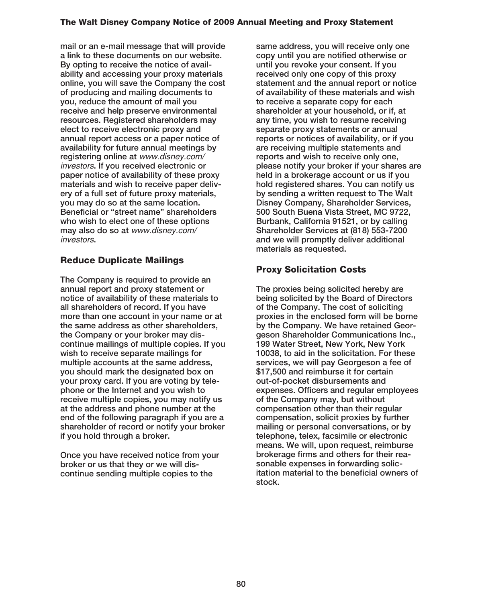**mail or an e-mail message that will provide a link to these documents on our website. By opting to receive the notice of availability and accessing your proxy materials online, you will save the Company the cost of producing and mailing documents to you, reduce the amount of mail you receive and help preserve environmental resources. Registered shareholders may elect to receive electronic proxy and annual report access or a paper notice of availability for future annual meetings by registering online at** www.disney.com/ investors**. If you received electronic or paper notice of availability of these proxy materials and wish to receive paper delivery of a full set of future proxy materials, you may do so at the same location. Beneficial or "street name" shareholders who wish to elect one of these options may also do so at** www.disney.com/ investors**.**

# **Reduce Duplicate Mailings**

**The Company is required to provide an annual report and proxy statement or notice of availability of these materials to all shareholders of record. If you have more than one account in your name or at the same address as other shareholders, the Company or your broker may discontinue mailings of multiple copies. If you wish to receive separate mailings for multiple accounts at the same address, you should mark the designated box on your proxy card. If you are voting by telephone or the Internet and you wish to receive multiple copies, you may notify us at the address and phone number at the end of the following paragraph if you are a shareholder of record or notify your broker if you hold through a broker.**

**Once you have received notice from your broker or us that they or we will discontinue sending multiple copies to the**

**same address, you will receive only one copy until you are notified otherwise or until you revoke your consent. If you received only one copy of this proxy statement and the annual report or notice of availability of these materials and wish to receive a separate copy for each shareholder at your household, or if, at any time, you wish to resume receiving separate proxy statements or annual reports or notices of availability, or if you are receiving multiple statements and reports and wish to receive only one, please notify your broker if your shares are held in a brokerage account or us if you hold registered shares. You can notify us by sending a written request to The Walt Disney Company, Shareholder Services, 500 South Buena Vista Street, MC 9722, Burbank, California 91521, or by calling Shareholder Services at (818) 553-7200 and we will promptly deliver additional materials as requested.**

# **Proxy Solicitation Costs**

**The proxies being solicited hereby are being solicited by the Board of Directors of the Company. The cost of soliciting proxies in the enclosed form will be borne by the Company. We have retained Georgeson Shareholder Communications Inc., 199 Water Street, New York, New York 10038, to aid in the solicitation. For these services, we will pay Georgeson a fee of \$17,500 and reimburse it for certain out-of-pocket disbursements and expenses. Officers and regular employees of the Company may, but without compensation other than their regular compensation, solicit proxies by further mailing or personal conversations, or by telephone, telex, facsimile or electronic means. We will, upon request, reimburse brokerage firms and others for their reasonable expenses in forwarding solicitation material to the beneficial owners of stock.**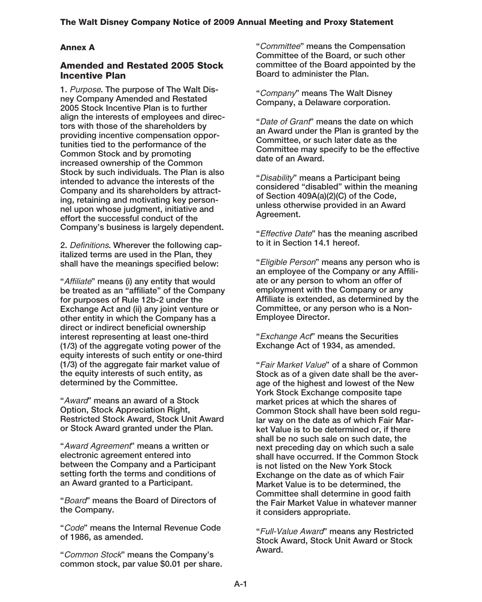# **Annex A**

## **Amended and Restated 2005 Stock Incentive Plan**

**1.** Purpose**. The purpose of The Walt Disney Company Amended and Restated 2005 Stock Incentive Plan is to further align the interests of employees and directors with those of the shareholders by providing incentive compensation opportunities tied to the performance of the Common Stock and by promoting increased ownership of the Common Stock by such individuals. The Plan is also intended to advance the interests of the Company and its shareholders by attracting, retaining and motivating key personnel upon whose judgment, initiative and effort the successful conduct of the Company's business is largely dependent.**

**2.** Definitions**. Wherever the following capitalized terms are used in the Plan, they shall have the meanings specified below:**

**"**Affiliate**" means (i) any entity that would be treated as an "affiliate" of the Company for purposes of Rule 12b-2 under the Exchange Act and (ii) any joint venture or other entity in which the Company has a direct or indirect beneficial ownership interest representing at least one-third (1/3) of the aggregate voting power of the equity interests of such entity or one-third (1/3) of the aggregate fair market value of the equity interests of such entity, as determined by the Committee.**

**"**Award**" means an award of a Stock Option, Stock Appreciation Right, Restricted Stock Award, Stock Unit Award or Stock Award granted under the Plan.**

**"**Award Agreement**" means a written or electronic agreement entered into between the Company and a Participant setting forth the terms and conditions of an Award granted to a Participant.**

**"**Board**" means the Board of Directors of the Company.**

**"**Code**" means the Internal Revenue Code of 1986, as amended.**

**"**Common Stock**" means the Company's common stock, par value \$0.01 per share.** **"**Committee**" means the Compensation Committee of the Board, or such other committee of the Board appointed by the Board to administer the Plan.**

**"**Company**" means The Walt Disney Company, a Delaware corporation.**

**"**Date of Grant**" means the date on which an Award under the Plan is granted by the Committee, or such later date as the Committee may specify to be the effective date of an Award.**

**"**Disability**" means a Participant being considered "disabled" within the meaning of Section 409A(a)(2)(C) of the Code, unless otherwise provided in an Award Agreement.**

**"**Effective Date**" has the meaning ascribed to it in Section 14.1 hereof.**

**"**Eligible Person**" means any person who is an employee of the Company or any Affiliate or any person to whom an offer of employment with the Company or any Affiliate is extended, as determined by the Committee, or any person who is a Non-Employee Director.**

**"**Exchange Act**" means the Securities Exchange Act of 1934, as amended.**

**"**Fair Market Value**" of a share of Common Stock as of a given date shall be the average of the highest and lowest of the New York Stock Exchange composite tape market prices at which the shares of Common Stock shall have been sold regular way on the date as of which Fair Market Value is to be determined or, if there shall be no such sale on such date, the next preceding day on which such a sale shall have occurred. If the Common Stock is not listed on the New York Stock Exchange on the date as of which Fair Market Value is to be determined, the Committee shall determine in good faith the Fair Market Value in whatever manner it considers appropriate.**

**"**Full-Value Award**" means any Restricted Stock Award, Stock Unit Award or Stock Award.**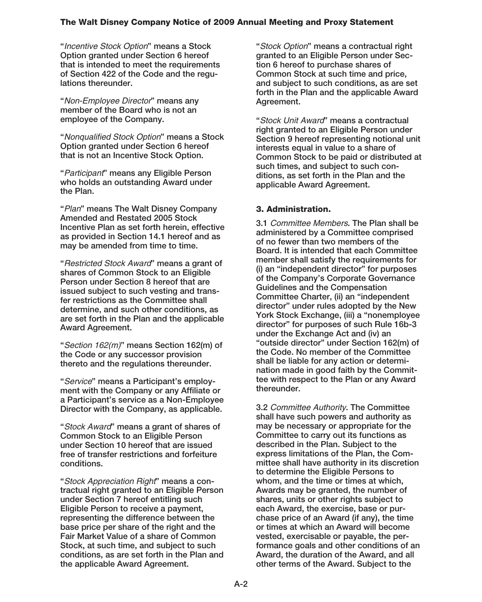**"**Incentive Stock Option**" means a Stock Option granted under Section 6 hereof that is intended to meet the requirements of Section 422 of the Code and the regulations thereunder.**

**"**Non-Employee Director**" means any member of the Board who is not an employee of the Company.**

**"**Nonqualified Stock Option**" means a Stock Option granted under Section 6 hereof that is not an Incentive Stock Option.**

**"**Participant**" means any Eligible Person who holds an outstanding Award under the Plan.**

**"**Plan**" means The Walt Disney Company Amended and Restated 2005 Stock Incentive Plan as set forth herein, effective as provided in Section 14.1 hereof and as may be amended from time to time.**

**"**Restricted Stock Award**" means a grant of shares of Common Stock to an Eligible Person under Section 8 hereof that are issued subject to such vesting and transfer restrictions as the Committee shall determine, and such other conditions, as are set forth in the Plan and the applicable Award Agreement.**

**"**Section 162(m)**" means Section 162(m) of the Code or any successor provision thereto and the regulations thereunder.**

**"**Service**" means a Participant's employment with the Company or any Affiliate or a Participant's service as a Non-Employee Director with the Company, as applicable.**

**"**Stock Award**" means a grant of shares of Common Stock to an Eligible Person under Section 10 hereof that are issued free of transfer restrictions and forfeiture conditions.**

**"**Stock Appreciation Right**" means a contractual right granted to an Eligible Person under Section 7 hereof entitling such Eligible Person to receive a payment, representing the difference between the base price per share of the right and the Fair Market Value of a share of Common Stock, at such time, and subject to such conditions, as are set forth in the Plan and the applicable Award Agreement.**

**"**Stock Option**" means a contractual right granted to an Eligible Person under Section 6 hereof to purchase shares of Common Stock at such time and price, and subject to such conditions, as are set forth in the Plan and the applicable Award Agreement.**

**"**Stock Unit Award**" means a contractual right granted to an Eligible Person under Section 9 hereof representing notional unit interests equal in value to a share of Common Stock to be paid or distributed at such times, and subject to such conditions, as set forth in the Plan and the applicable Award Agreement.**

### **3. Administration.**

**3.1** Committee Members**. The Plan shall be administered by a Committee comprised of no fewer than two members of the Board. It is intended that each Committee member shall satisfy the requirements for (i) an "independent director" for purposes of the Company's Corporate Governance Guidelines and the Compensation Committee Charter, (ii) an "independent director" under rules adopted by the New York Stock Exchange, (iii) a "nonemployee director" for purposes of such Rule 16b-3 under the Exchange Act and (iv) an "outside director" under Section 162(m) of the Code. No member of the Committee shall be liable for any action or determination made in good faith by the Committee with respect to the Plan or any Award thereunder.**

**3.2** Committee Authority**. The Committee shall have such powers and authority as may be necessary or appropriate for the Committee to carry out its functions as described in the Plan. Subject to the express limitations of the Plan, the Committee shall have authority in its discretion to determine the Eligible Persons to whom, and the time or times at which, Awards may be granted, the number of shares, units or other rights subject to each Award, the exercise, base or purchase price of an Award (if any), the time or times at which an Award will become vested, exercisable or payable, the performance goals and other conditions of an Award, the duration of the Award, and all other terms of the Award. Subject to the**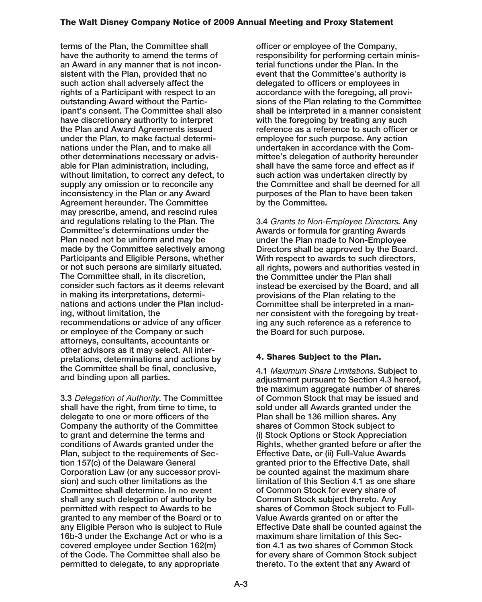**terms of the Plan, the Committee shall have the authority to amend the terms of an Award in any manner that is not inconsistent with the Plan, provided that no such action shall adversely affect the rights of a Participant with respect to an outstanding Award without the Participant's consent. The Committee shall also have discretionary authority to interpret the Plan and Award Agreements issued under the Plan, to make factual determinations under the Plan, and to make all other determinations necessary or advisable for Plan administration, including, without limitation, to correct any defect, to supply any omission or to reconcile any inconsistency in the Plan or any Award Agreement hereunder. The Committee may prescribe, amend, and rescind rules and regulations relating to the Plan. The Committee's determinations under the Plan need not be uniform and may be made by the Committee selectively among Participants and Eligible Persons, whether or not such persons are similarly situated. The Committee shall, in its discretion, consider such factors as it deems relevant in making its interpretations, determinations and actions under the Plan including, without limitation, the recommendations or advice of any officer or employee of the Company or such attorneys, consultants, accountants or other advisors as it may select. All interpretations, determinations and actions by the Committee shall be final, conclusive, and binding upon all parties.**

**3.3** Delegation of Authority**. The Committee shall have the right, from time to time, to delegate to one or more officers of the Company the authority of the Committee to grant and determine the terms and conditions of Awards granted under the Plan, subject to the requirements of Section 157(c) of the Delaware General Corporation Law (or any successor provision) and such other limitations as the Committee shall determine. In no event shall any such delegation of authority be permitted with respect to Awards to be granted to any member of the Board or to any Eligible Person who is subject to Rule 16b-3 under the Exchange Act or who is a covered employee under Section 162(m) of the Code. The Committee shall also be permitted to delegate, to any appropriate**

**officer or employee of the Company, responsibility for performing certain ministerial functions under the Plan. In the event that the Committee's authority is delegated to officers or employees in accordance with the foregoing, all provisions of the Plan relating to the Committee shall be interpreted in a manner consistent with the foregoing by treating any such reference as a reference to such officer or employee for such purpose. Any action undertaken in accordance with the Committee's delegation of authority hereunder shall have the same force and effect as if such action was undertaken directly by the Committee and shall be deemed for all purposes of the Plan to have been taken by the Committee.**

**3.4** Grants to Non-Employee Directors**. Any Awards or formula for granting Awards under the Plan made to Non-Employee Directors shall be approved by the Board. With respect to awards to such directors, all rights, powers and authorities vested in the Committee under the Plan shall instead be exercised by the Board, and all provisions of the Plan relating to the Committee shall be interpreted in a manner consistent with the foregoing by treating any such reference as a reference to the Board for such purpose.**

# **4. Shares Subject to the Plan.**

**4.1** Maximum Share Limitations**. Subject to adjustment pursuant to Section 4.3 hereof, the maximum aggregate number of shares of Common Stock that may be issued and sold under all Awards granted under the Plan shall be 136 million shares. Any shares of Common Stock subject to (i) Stock Options or Stock Appreciation Rights, whether granted before or after the Effective Date, or (ii) Full-Value Awards granted prior to the Effective Date, shall be counted against the maximum share limitation of this Section 4.1 as one share of Common Stock for every share of Common Stock subject thereto. Any shares of Common Stock subject to Full-Value Awards granted on or after the Effective Date shall be counted against the maximum share limitation of this Section 4.1 as two shares of Common Stock for every share of Common Stock subject thereto. To the extent that any Award of**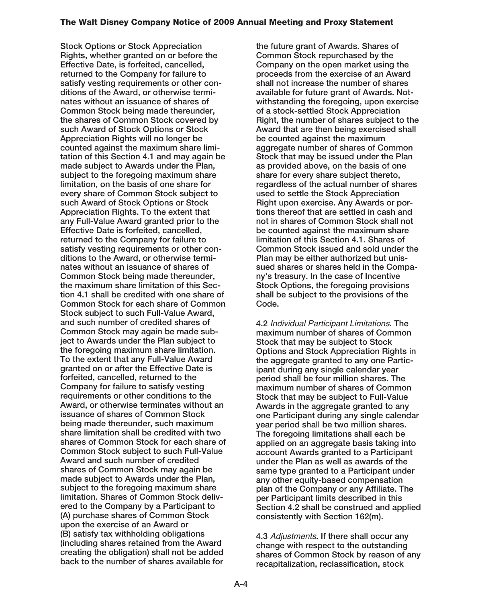**Stock Options or Stock Appreciation Rights, whether granted on or before the Effective Date, is forfeited, cancelled, returned to the Company for failure to satisfy vesting requirements or other conditions of the Award, or otherwise terminates without an issuance of shares of Common Stock being made thereunder, the shares of Common Stock covered by such Award of Stock Options or Stock Appreciation Rights will no longer be counted against the maximum share limitation of this Section 4.1 and may again be made subject to Awards under the Plan, subject to the foregoing maximum share limitation, on the basis of one share for every share of Common Stock subject to such Award of Stock Options or Stock Appreciation Rights. To the extent that any Full-Value Award granted prior to the Effective Date is forfeited, cancelled, returned to the Company for failure to satisfy vesting requirements or other conditions to the Award, or otherwise terminates without an issuance of shares of Common Stock being made thereunder, the maximum share limitation of this Section 4.1 shall be credited with one share of Common Stock for each share of Common Stock subject to such Full-Value Award, and such number of credited shares of Common Stock may again be made subject to Awards under the Plan subject to the foregoing maximum share limitation. To the extent that any Full-Value Award granted on or after the Effective Date is forfeited, cancelled, returned to the Company for failure to satisfy vesting requirements or other conditions to the Award, or otherwise terminates without an issuance of shares of Common Stock being made thereunder, such maximum share limitation shall be credited with two shares of Common Stock for each share of Common Stock subject to such Full-Value Award and such number of credited shares of Common Stock may again be made subject to Awards under the Plan, subject to the foregoing maximum share limitation. Shares of Common Stock delivered to the Company by a Participant to (A) purchase shares of Common Stock upon the exercise of an Award or (B) satisfy tax withholding obligations (including shares retained from the Award creating the obligation) shall not be added back to the number of shares available for**

**the future grant of Awards. Shares of Common Stock repurchased by the Company on the open market using the proceeds from the exercise of an Award shall not increase the number of shares available for future grant of Awards. Notwithstanding the foregoing, upon exercise of a stock-settled Stock Appreciation Right, the number of shares subject to the Award that are then being exercised shall be counted against the maximum aggregate number of shares of Common Stock that may be issued under the Plan as provided above, on the basis of one share for every share subject thereto, regardless of the actual number of shares used to settle the Stock Appreciation Right upon exercise. Any Awards or portions thereof that are settled in cash and not in shares of Common Stock shall not be counted against the maximum share limitation of this Section 4.1. Shares of Common Stock issued and sold under the Plan may be either authorized but unissued shares or shares held in the Company's treasury. In the case of Incentive Stock Options, the foregoing provisions shall be subject to the provisions of the Code.**

**4.2** Individual Participant Limitations**. The maximum number of shares of Common Stock that may be subject to Stock Options and Stock Appreciation Rights in the aggregate granted to any one Participant during any single calendar year period shall be four million shares. The maximum number of shares of Common Stock that may be subject to Full-Value Awards in the aggregate granted to any one Participant during any single calendar year period shall be two million shares. The foregoing limitations shall each be applied on an aggregate basis taking into account Awards granted to a Participant under the Plan as well as awards of the same type granted to a Participant under any other equity-based compensation plan of the Company or any Affiliate. The per Participant limits described in this Section 4.2 shall be construed and applied consistently with Section 162(m).**

**4.3** Adjustments**. If there shall occur any change with respect to the outstanding shares of Common Stock by reason of any recapitalization, reclassification, stock**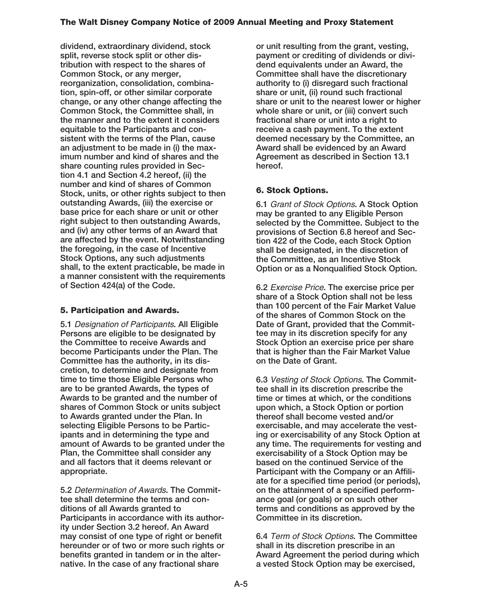**dividend, extraordinary dividend, stock split, reverse stock split or other distribution with respect to the shares of Common Stock, or any merger, reorganization, consolidation, combination, spin-off, or other similar corporate change, or any other change affecting the Common Stock, the Committee shall, in the manner and to the extent it considers equitable to the Participants and consistent with the terms of the Plan, cause an adjustment to be made in (i) the maximum number and kind of shares and the share counting rules provided in Section 4.1 and Section 4.2 hereof, (ii) the number and kind of shares of Common Stock, units, or other rights subject to then outstanding Awards, (iii) the exercise or base price for each share or unit or other right subject to then outstanding Awards, and (iv) any other terms of an Award that are affected by the event. Notwithstanding the foregoing, in the case of Incentive Stock Options, any such adjustments shall, to the extent practicable, be made in a manner consistent with the requirements of Section 424(a) of the Code.**

# **5. Participation and Awards.**

**5.1** Designation of Participants**. All Eligible Persons are eligible to be designated by the Committee to receive Awards and become Participants under the Plan. The Committee has the authority, in its discretion, to determine and designate from time to time those Eligible Persons who are to be granted Awards, the types of Awards to be granted and the number of shares of Common Stock or units subject to Awards granted under the Plan. In selecting Eligible Persons to be Participants and in determining the type and amount of Awards to be granted under the Plan, the Committee shall consider any and all factors that it deems relevant or appropriate.**

**5.2** Determination of Awards**. The Committee shall determine the terms and conditions of all Awards granted to Participants in accordance with its authority under Section 3.2 hereof. An Award may consist of one type of right or benefit hereunder or of two or more such rights or benefits granted in tandem or in the alternative. In the case of any fractional share**

**or unit resulting from the grant, vesting, payment or crediting of dividends or dividend equivalents under an Award, the Committee shall have the discretionary authority to (i) disregard such fractional share or unit, (ii) round such fractional share or unit to the nearest lower or higher whole share or unit, or (iii) convert such fractional share or unit into a right to receive a cash payment. To the extent deemed necessary by the Committee, an Award shall be evidenced by an Award Agreement as described in Section 13.1 hereof.**

# **6. Stock Options.**

**6.1** Grant of Stock Options**. A Stock Option may be granted to any Eligible Person selected by the Committee. Subject to the provisions of Section 6.8 hereof and Section 422 of the Code, each Stock Option shall be designated, in the discretion of the Committee, as an Incentive Stock Option or as a Nonqualified Stock Option.**

**6.2** Exercise Price**. The exercise price per share of a Stock Option shall not be less than 100 percent of the Fair Market Value of the shares of Common Stock on the Date of Grant, provided that the Committee may in its discretion specify for any Stock Option an exercise price per share that is higher than the Fair Market Value on the Date of Grant.**

**6.3** Vesting of Stock Options**. The Committee shall in its discretion prescribe the time or times at which, or the conditions upon which, a Stock Option or portion thereof shall become vested and/or exercisable, and may accelerate the vesting or exercisability of any Stock Option at any time. The requirements for vesting and exercisability of a Stock Option may be based on the continued Service of the Participant with the Company or an Affiliate for a specified time period (or periods), on the attainment of a specified performance goal (or goals) or on such other terms and conditions as approved by the Committee in its discretion.**

**6.4** Term of Stock Options**. The Committee shall in its discretion prescribe in an Award Agreement the period during which a vested Stock Option may be exercised,**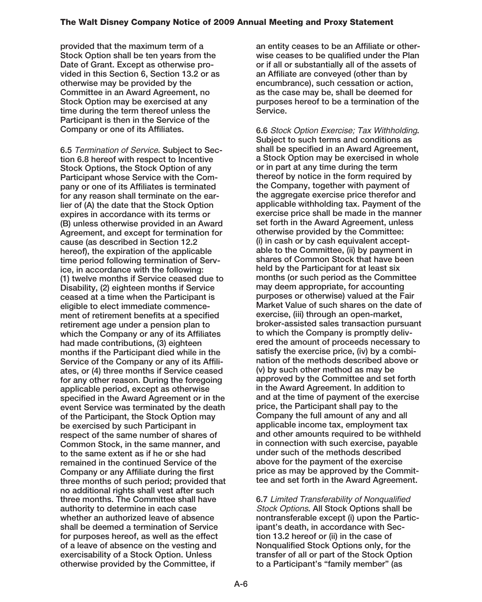**provided that the maximum term of a Stock Option shall be ten years from the Date of Grant. Except as otherwise provided in this Section 6, Section 13.2 or as otherwise may be provided by the Committee in an Award Agreement, no Stock Option may be exercised at any time during the term thereof unless the Participant is then in the Service of the Company or one of its Affiliates.**

**6.5** Termination of Service**. Subject to Section 6.8 hereof with respect to Incentive Stock Options, the Stock Option of any Participant whose Service with the Company or one of its Affiliates is terminated for any reason shall terminate on the earlier of (A) the date that the Stock Option expires in accordance with its terms or (B) unless otherwise provided in an Award Agreement, and except for termination for cause (as described in Section 12.2 hereof), the expiration of the applicable time period following termination of Service, in accordance with the following: (1) twelve months if Service ceased due to Disability, (2) eighteen months if Service ceased at a time when the Participant is eligible to elect immediate commencement of retirement benefits at a specified retirement age under a pension plan to which the Company or any of its Affiliates had made contributions, (3) eighteen months if the Participant died while in the Service of the Company or any of its Affiliates, or (4) three months if Service ceased for any other reason. During the foregoing applicable period, except as otherwise specified in the Award Agreement or in the event Service was terminated by the death of the Participant, the Stock Option may be exercised by such Participant in respect of the same number of shares of Common Stock, in the same manner, and to the same extent as if he or she had remained in the continued Service of the Company or any Affiliate during the first three months of such period; provided that no additional rights shall vest after such three months. The Committee shall have authority to determine in each case whether an authorized leave of absence shall be deemed a termination of Service for purposes hereof, as well as the effect of a leave of absence on the vesting and exercisability of a Stock Option. Unless otherwise provided by the Committee, if**

**an entity ceases to be an Affiliate or otherwise ceases to be qualified under the Plan or if all or substantially all of the assets of an Affiliate are conveyed (other than by encumbrance), such cessation or action, as the case may be, shall be deemed for purposes hereof to be a termination of the Service.**

**6.6** Stock Option Exercise; Tax Withholding**. Subject to such terms and conditions as shall be specified in an Award Agreement, a Stock Option may be exercised in whole or in part at any time during the term thereof by notice in the form required by the Company, together with payment of the aggregate exercise price therefor and applicable withholding tax. Payment of the exercise price shall be made in the manner set forth in the Award Agreement, unless otherwise provided by the Committee: (i) in cash or by cash equivalent acceptable to the Committee, (ii) by payment in shares of Common Stock that have been held by the Participant for at least six months (or such period as the Committee may deem appropriate, for accounting purposes or otherwise) valued at the Fair Market Value of such shares on the date of exercise, (iii) through an open-market, broker-assisted sales transaction pursuant to which the Company is promptly delivered the amount of proceeds necessary to satisfy the exercise price, (iv) by a combination of the methods described above or (v) by such other method as may be approved by the Committee and set forth in the Award Agreement. In addition to and at the time of payment of the exercise price, the Participant shall pay to the Company the full amount of any and all applicable income tax, employment tax and other amounts required to be withheld in connection with such exercise, payable under such of the methods described above for the payment of the exercise price as may be approved by the Committee and set forth in the Award Agreement.**

**6.7** Limited Transferability of Nonqualified Stock Options**. All Stock Options shall be nontransferable except (i) upon the Participant's death, in accordance with Section 13.2 hereof or (ii) in the case of Nonqualified Stock Options only, for the transfer of all or part of the Stock Option to a Participant's "family member" (as**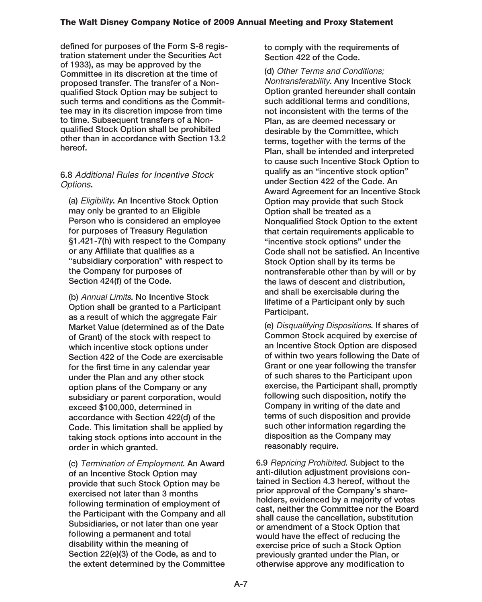**defined for purposes of the Form S-8 registration statement under the Securities Act of 1933), as may be approved by the Committee in its discretion at the time of proposed transfer. The transfer of a Nonqualified Stock Option may be subject to such terms and conditions as the Committee may in its discretion impose from time to time. Subsequent transfers of a Nonqualified Stock Option shall be prohibited other than in accordance with Section 13.2 hereof.**

## **6.8** Additional Rules for Incentive Stock Options**.**

**(a)** Eligibility**. An Incentive Stock Option may only be granted to an Eligible Person who is considered an employee for purposes of Treasury Regulation §1.421-7(h) with respect to the Company or any Affiliate that qualifies as a "subsidiary corporation" with respect to the Company for purposes of Section 424(f) of the Code.**

**(b)** Annual Limits**. No Incentive Stock Option shall be granted to a Participant as a result of which the aggregate Fair Market Value (determined as of the Date of Grant) of the stock with respect to which incentive stock options under Section 422 of the Code are exercisable for the first time in any calendar year under the Plan and any other stock option plans of the Company or any subsidiary or parent corporation, would exceed \$100,000, determined in accordance with Section 422(d) of the Code. This limitation shall be applied by taking stock options into account in the order in which granted.**

**(c)** Termination of Employment**. An Award of an Incentive Stock Option may provide that such Stock Option may be exercised not later than 3 months following termination of employment of the Participant with the Company and all Subsidiaries, or not later than one year following a permanent and total disability within the meaning of Section 22(e)(3) of the Code, as and to the extent determined by the Committee**

**to comply with the requirements of Section 422 of the Code.**

**(d)** Other Terms and Conditions; Nontransferability**. Any Incentive Stock Option granted hereunder shall contain such additional terms and conditions, not inconsistent with the terms of the Plan, as are deemed necessary or desirable by the Committee, which terms, together with the terms of the Plan, shall be intended and interpreted to cause such Incentive Stock Option to qualify as an "incentive stock option" under Section 422 of the Code. An Award Agreement for an Incentive Stock Option may provide that such Stock Option shall be treated as a Nonqualified Stock Option to the extent that certain requirements applicable to "incentive stock options" under the Code shall not be satisfied. An Incentive Stock Option shall by its terms be nontransferable other than by will or by the laws of descent and distribution, and shall be exercisable during the lifetime of a Participant only by such Participant.**

**(e)** Disqualifying Dispositions**. If shares of Common Stock acquired by exercise of an Incentive Stock Option are disposed of within two years following the Date of Grant or one year following the transfer of such shares to the Participant upon exercise, the Participant shall, promptly following such disposition, notify the Company in writing of the date and terms of such disposition and provide such other information regarding the disposition as the Company may reasonably require.**

**6.9** Repricing Prohibited**. Subject to the anti-dilution adjustment provisions contained in Section 4.3 hereof, without the prior approval of the Company's shareholders, evidenced by a majority of votes cast, neither the Committee nor the Board shall cause the cancellation, substitution or amendment of a Stock Option that would have the effect of reducing the exercise price of such a Stock Option previously granted under the Plan, or otherwise approve any modification to**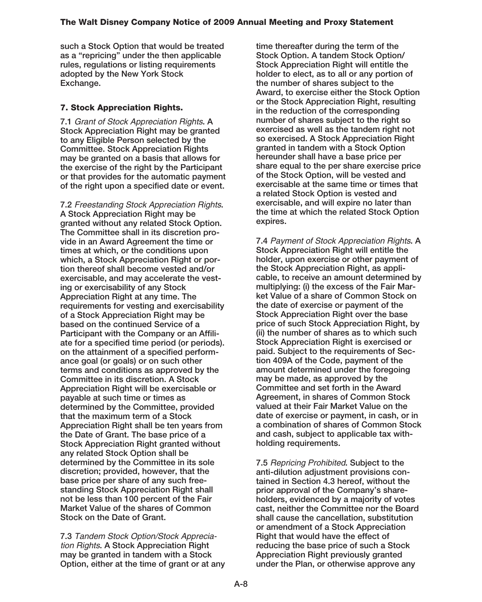**such a Stock Option that would be treated as a "repricing" under the then applicable rules, regulations or listing requirements adopted by the New York Stock Exchange.**

# **7. Stock Appreciation Rights.**

**7.1** Grant of Stock Appreciation Rights**. A Stock Appreciation Right may be granted to any Eligible Person selected by the Committee. Stock Appreciation Rights may be granted on a basis that allows for the exercise of the right by the Participant or that provides for the automatic payment of the right upon a specified date or event.**

**7.2** Freestanding Stock Appreciation Rights**. A Stock Appreciation Right may be granted without any related Stock Option. The Committee shall in its discretion provide in an Award Agreement the time or times at which, or the conditions upon which, a Stock Appreciation Right or portion thereof shall become vested and/or exercisable, and may accelerate the vesting or exercisability of any Stock Appreciation Right at any time. The requirements for vesting and exercisability of a Stock Appreciation Right may be based on the continued Service of a Participant with the Company or an Affiliate for a specified time period (or periods). on the attainment of a specified performance goal (or goals) or on such other terms and conditions as approved by the Committee in its discretion. A Stock Appreciation Right will be exercisable or payable at such time or times as determined by the Committee, provided that the maximum term of a Stock Appreciation Right shall be ten years from the Date of Grant. The base price of a Stock Appreciation Right granted without any related Stock Option shall be determined by the Committee in its sole discretion; provided, however, that the base price per share of any such freestanding Stock Appreciation Right shall not be less than 100 percent of the Fair Market Value of the shares of Common Stock on the Date of Grant.**

**7.3** Tandem Stock Option/Stock Appreciation Rights**. A Stock Appreciation Right may be granted in tandem with a Stock Option, either at the time of grant or at any** **time thereafter during the term of the Stock Option. A tandem Stock Option/ Stock Appreciation Right will entitle the holder to elect, as to all or any portion of the number of shares subject to the Award, to exercise either the Stock Option or the Stock Appreciation Right, resulting in the reduction of the corresponding number of shares subject to the right so exercised as well as the tandem right not so exercised. A Stock Appreciation Right granted in tandem with a Stock Option hereunder shall have a base price per share equal to the per share exercise price of the Stock Option, will be vested and exercisable at the same time or times that a related Stock Option is vested and exercisable, and will expire no later than the time at which the related Stock Option expires.**

**7.4** Payment of Stock Appreciation Rights**. A Stock Appreciation Right will entitle the holder, upon exercise or other payment of the Stock Appreciation Right, as applicable, to receive an amount determined by multiplying: (i) the excess of the Fair Market Value of a share of Common Stock on the date of exercise or payment of the Stock Appreciation Right over the base price of such Stock Appreciation Right, by (ii) the number of shares as to which such Stock Appreciation Right is exercised or paid. Subject to the requirements of Section 409A of the Code, payment of the amount determined under the foregoing may be made, as approved by the Committee and set forth in the Award Agreement, in shares of Common Stock valued at their Fair Market Value on the date of exercise or payment, in cash, or in a combination of shares of Common Stock and cash, subject to applicable tax withholding requirements.**

**7.5** Repricing Prohibited**. Subject to the anti-dilution adjustment provisions contained in Section 4.3 hereof, without the prior approval of the Company's shareholders, evidenced by a majority of votes cast, neither the Committee nor the Board shall cause the cancellation, substitution or amendment of a Stock Appreciation Right that would have the effect of reducing the base price of such a Stock Appreciation Right previously granted under the Plan, or otherwise approve any**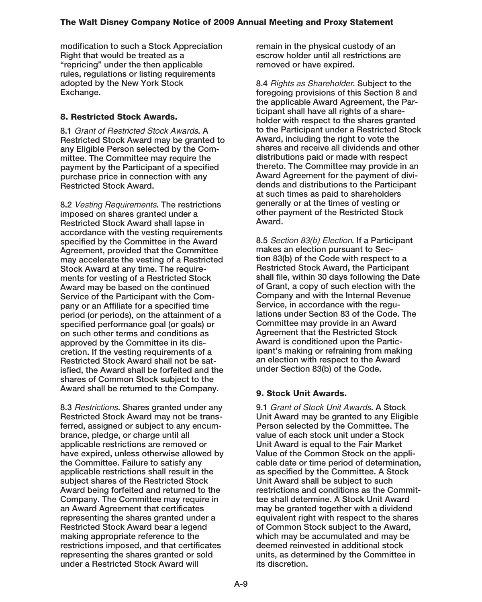**modification to such a Stock Appreciation Right that would be treated as a "repricing" under the then applicable rules, regulations or listing requirements adopted by the New York Stock Exchange.**

## **8. Restricted Stock Awards.**

**8.1** Grant of Restricted Stock Awards**. A Restricted Stock Award may be granted to any Eligible Person selected by the Committee. The Committee may require the payment by the Participant of a specified purchase price in connection with any Restricted Stock Award.**

**8.2** Vesting Requirements**. The restrictions imposed on shares granted under a Restricted Stock Award shall lapse in accordance with the vesting requirements specified by the Committee in the Award Agreement, provided that the Committee may accelerate the vesting of a Restricted Stock Award at any time. The requirements for vesting of a Restricted Stock Award may be based on the continued Service of the Participant with the Company or an Affiliate for a specified time period (or periods), on the attainment of a specified performance goal (or goals) or on such other terms and conditions as approved by the Committee in its discretion. If the vesting requirements of a Restricted Stock Award shall not be satisfied, the Award shall be forfeited and the shares of Common Stock subject to the Award shall be returned to the Company.**

**8.3** Restrictions**. Shares granted under any Restricted Stock Award may not be transferred, assigned or subject to any encumbrance, pledge, or charge until all applicable restrictions are removed or have expired, unless otherwise allowed by the Committee. Failure to satisfy any applicable restrictions shall result in the subject shares of the Restricted Stock Award being forfeited and returned to the Company. The Committee may require in an Award Agreement that certificates representing the shares granted under a Restricted Stock Award bear a legend making appropriate reference to the restrictions imposed, and that certificates representing the shares granted or sold under a Restricted Stock Award will**

**remain in the physical custody of an escrow holder until all restrictions are removed or have expired.**

**8.4** Rights as Shareholder**. Subject to the foregoing provisions of this Section 8 and the applicable Award Agreement, the Participant shall have all rights of a shareholder with respect to the shares granted to the Participant under a Restricted Stock Award, including the right to vote the shares and receive all dividends and other distributions paid or made with respect thereto. The Committee may provide in an Award Agreement for the payment of dividends and distributions to the Participant at such times as paid to shareholders generally or at the times of vesting or other payment of the Restricted Stock Award.**

**8.5** Section 83(b) Election**. If a Participant makes an election pursuant to Section 83(b) of the Code with respect to a Restricted Stock Award, the Participant shall file, within 30 days following the Date of Grant, a copy of such election with the Company and with the Internal Revenue Service, in accordance with the regulations under Section 83 of the Code. The Committee may provide in an Award Agreement that the Restricted Stock Award is conditioned upon the Participant's making or refraining from making an election with respect to the Award under Section 83(b) of the Code.**

### **9. Stock Unit Awards.**

**9.1** Grant of Stock Unit Awards**. A Stock Unit Award may be granted to any Eligible Person selected by the Committee. The value of each stock unit under a Stock Unit Award is equal to the Fair Market Value of the Common Stock on the applicable date or time period of determination, as specified by the Committee. A Stock Unit Award shall be subject to such restrictions and conditions as the Committee shall determine. A Stock Unit Award may be granted together with a dividend equivalent right with respect to the shares of Common Stock subject to the Award, which may be accumulated and may be deemed reinvested in additional stock units, as determined by the Committee in its discretion.**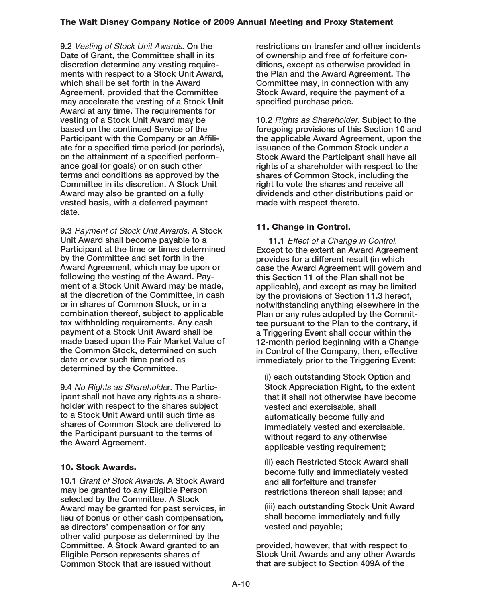**9.2** Vesting of Stock Unit Awards**. On the Date of Grant, the Committee shall in its discretion determine any vesting requirements with respect to a Stock Unit Award, which shall be set forth in the Award Agreement, provided that the Committee may accelerate the vesting of a Stock Unit Award at any time. The requirements for vesting of a Stock Unit Award may be based on the continued Service of the Participant with the Company or an Affiliate for a specified time period (or periods), on the attainment of a specified performance goal (or goals) or on such other terms and conditions as approved by the Committee in its discretion. A Stock Unit Award may also be granted on a fully vested basis, with a deferred payment date.**

**9.3** Payment of Stock Unit Awards**. A Stock Unit Award shall become payable to a Participant at the time or times determined by the Committee and set forth in the Award Agreement, which may be upon or following the vesting of the Award. Payment of a Stock Unit Award may be made, at the discretion of the Committee, in cash or in shares of Common Stock, or in a combination thereof, subject to applicable tax withholding requirements. Any cash payment of a Stock Unit Award shall be made based upon the Fair Market Value of the Common Stock, determined on such date or over such time period as determined by the Committee.**

**9.4** No Rights as Shareholde**r. The Participant shall not have any rights as a shareholder with respect to the shares subject to a Stock Unit Award until such time as shares of Common Stock are delivered to the Participant pursuant to the terms of the Award Agreement.**

# **10. Stock Awards.**

**10.1** Grant of Stock Awards**. A Stock Award may be granted to any Eligible Person selected by the Committee. A Stock Award may be granted for past services, in lieu of bonus or other cash compensation, as directors' compensation or for any other valid purpose as determined by the Committee. A Stock Award granted to an Eligible Person represents shares of Common Stock that are issued without**

**restrictions on transfer and other incidents of ownership and free of forfeiture conditions, except as otherwise provided in the Plan and the Award Agreement. The Committee may, in connection with any Stock Award, require the payment of a specified purchase price.**

**10.2** Rights as Shareholder**. Subject to the foregoing provisions of this Section 10 and the applicable Award Agreement, upon the issuance of the Common Stock under a Stock Award the Participant shall have all rights of a shareholder with respect to the shares of Common Stock, including the right to vote the shares and receive all dividends and other distributions paid or made with respect thereto.**

# **11. Change in Control.**

**11.1** Effect of a Change in Control. **Except to the extent an Award Agreement provides for a different result (in which case the Award Agreement will govern and this Section 11 of the Plan shall not be applicable), and except as may be limited by the provisions of Section 11.3 hereof, notwithstanding anything elsewhere in the Plan or any rules adopted by the Committee pursuant to the Plan to the contrary, if a Triggering Event shall occur within the 12-month period beginning with a Change in Control of the Company, then, effective immediately prior to the Triggering Event:**

**(i) each outstanding Stock Option and Stock Appreciation Right, to the extent that it shall not otherwise have become vested and exercisable, shall automatically become fully and immediately vested and exercisable, without regard to any otherwise applicable vesting requirement;**

**(ii) each Restricted Stock Award shall become fully and immediately vested and all forfeiture and transfer restrictions thereon shall lapse; and**

**(iii) each outstanding Stock Unit Award shall become immediately and fully vested and payable;**

**provided, however, that with respect to Stock Unit Awards and any other Awards that are subject to Section 409A of the**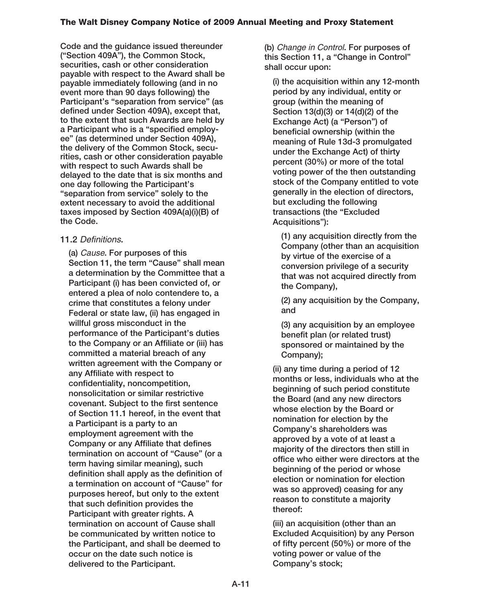**Code and the guidance issued thereunder ("Section 409A"), the Common Stock, securities, cash or other consideration payable with respect to the Award shall be payable immediately following (and in no event more than 90 days following) the Participant's "separation from service" (as defined under Section 409A), except that, to the extent that such Awards are held by a Participant who is a "specified employee" (as determined under Section 409A), the delivery of the Common Stock, securities, cash or other consideration payable with respect to such Awards shall be delayed to the date that is six months and one day following the Participant's "separation from service" solely to the extent necessary to avoid the additional taxes imposed by Section 409A(a)(i)(B) of the Code.**

## **11.2** Definitions**.**

**(a)** Cause**. For purposes of this Section 11, the term "Cause" shall mean a determination by the Committee that a Participant (i) has been convicted of, or entered a plea of nolo contendere to, a crime that constitutes a felony under Federal or state law, (ii) has engaged in willful gross misconduct in the performance of the Participant's duties to the Company or an Affiliate or (iii) has committed a material breach of any written agreement with the Company or any Affiliate with respect to confidentiality, noncompetition, nonsolicitation or similar restrictive covenant. Subject to the first sentence of Section 11.1 hereof, in the event that a Participant is a party to an employment agreement with the Company or any Affiliate that defines termination on account of "Cause" (or a term having similar meaning), such definition shall apply as the definition of a termination on account of "Cause" for purposes hereof, but only to the extent that such definition provides the Participant with greater rights. A termination on account of Cause shall be communicated by written notice to the Participant, and shall be deemed to occur on the date such notice is delivered to the Participant.**

**(b)** Change in Control**. For purposes of this Section 11, a "Change in Control" shall occur upon:**

**(i) the acquisition within any 12-month period by any individual, entity or group (within the meaning of Section 13(d)(3) or 14(d)(2) of the Exchange Act) (a "Person") of beneficial ownership (within the meaning of Rule 13d-3 promulgated under the Exchange Act) of thirty percent (30%) or more of the total voting power of the then outstanding stock of the Company entitled to vote generally in the election of directors, but excluding the following transactions (the "Excluded Acquisitions"):**

**(1) any acquisition directly from the Company (other than an acquisition by virtue of the exercise of a conversion privilege of a security that was not acquired directly from the Company),**

**(2) any acquisition by the Company, and**

**(3) any acquisition by an employee benefit plan (or related trust) sponsored or maintained by the Company);**

**(ii) any time during a period of 12 months or less, individuals who at the beginning of such period constitute the Board (and any new directors whose election by the Board or nomination for election by the Company's shareholders was approved by a vote of at least a majority of the directors then still in office who either were directors at the beginning of the period or whose election or nomination for election was so approved) ceasing for any reason to constitute a majority thereof:**

**(iii) an acquisition (other than an Excluded Acquisition) by any Person of fifty percent (50%) or more of the voting power or value of the Company's stock;**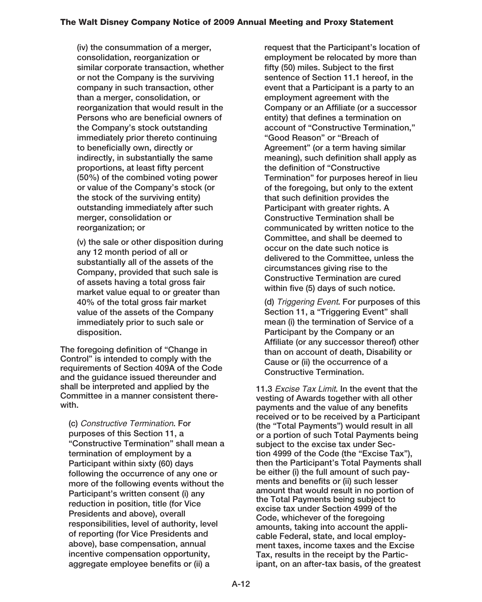**(iv) the consummation of a merger, consolidation, reorganization or similar corporate transaction, whether or not the Company is the surviving company in such transaction, other than a merger, consolidation, or reorganization that would result in the Persons who are beneficial owners of the Company's stock outstanding immediately prior thereto continuing to beneficially own, directly or indirectly, in substantially the same proportions, at least fifty percent (50%) of the combined voting power or value of the Company's stock (or the stock of the surviving entity) outstanding immediately after such merger, consolidation or reorganization; or**

**(v) the sale or other disposition during any 12 month period of all or substantially all of the assets of the Company, provided that such sale is of assets having a total gross fair market value equal to or greater than 40% of the total gross fair market value of the assets of the Company immediately prior to such sale or disposition.**

**The foregoing definition of "Change in Control" is intended to comply with the requirements of Section 409A of the Code and the guidance issued thereunder and shall be interpreted and applied by the Committee in a manner consistent therewith.**

**(c)** Constructive Termination**. For purposes of this Section 11, a "Constructive Termination" shall mean a termination of employment by a Participant within sixty (60) days following the occurrence of any one or more of the following events without the Participant's written consent (i) any reduction in position, title (for Vice Presidents and above), overall responsibilities, level of authority, level of reporting (for Vice Presidents and above), base compensation, annual incentive compensation opportunity, aggregate employee benefits or (ii) a**

**request that the Participant's location of employment be relocated by more than fifty (50) miles. Subject to the first sentence of Section 11.1 hereof, in the event that a Participant is a party to an employment agreement with the Company or an Affiliate (or a successor entity) that defines a termination on account of "Constructive Termination," "Good Reason" or "Breach of Agreement" (or a term having similar meaning), such definition shall apply as the definition of "Constructive Termination" for purposes hereof in lieu of the foregoing, but only to the extent that such definition provides the Participant with greater rights. A Constructive Termination shall be communicated by written notice to the Committee, and shall be deemed to occur on the date such notice is delivered to the Committee, unless the circumstances giving rise to the Constructive Termination are cured within five (5) days of such notice.**

**(d)** Triggering Event**. For purposes of this Section 11, a "Triggering Event" shall mean (i) the termination of Service of a Participant by the Company or an Affiliate (or any successor thereof) other than on account of death, Disability or Cause or (ii) the occurrence of a Constructive Termination.**

**11.3** Excise Tax Limit**. In the event that the vesting of Awards together with all other payments and the value of any benefits received or to be received by a Participant (the "Total Payments") would result in all or a portion of such Total Payments being subject to the excise tax under Section 4999 of the Code (the "Excise Tax"), then the Participant's Total Payments shall be either (i) the full amount of such payments and benefits or (ii) such lesser amount that would result in no portion of the Total Payments being subject to excise tax under Section 4999 of the Code, whichever of the foregoing amounts, taking into account the applicable Federal, state, and local employment taxes, income taxes and the Excise Tax, results in the receipt by the Participant, on an after-tax basis, of the greatest**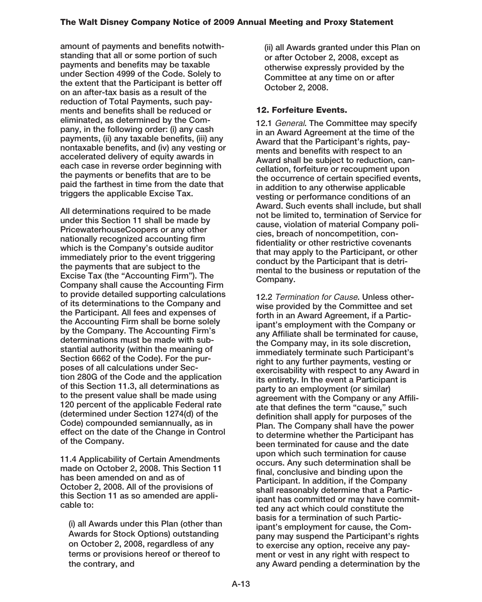**amount of payments and benefits notwithstanding that all or some portion of such payments and benefits may be taxable under Section 4999 of the Code. Solely to the extent that the Participant is better off on an after-tax basis as a result of the reduction of Total Payments, such payments and benefits shall be reduced or eliminated, as determined by the Company, in the following order: (i) any cash payments, (ii) any taxable benefits, (iii) any nontaxable benefits, and (iv) any vesting or accelerated delivery of equity awards in each case in reverse order beginning with the payments or benefits that are to be paid the farthest in time from the date that triggers the applicable Excise Tax.**

**All determinations required to be made under this Section 11 shall be made by PricewaterhouseCoopers or any other nationally recognized accounting firm which is the Company's outside auditor immediately prior to the event triggering the payments that are subject to the Excise Tax (the "Accounting Firm"). The Company shall cause the Accounting Firm to provide detailed supporting calculations of its determinations to the Company and the Participant. All fees and expenses of the Accounting Firm shall be borne solely by the Company. The Accounting Firm's determinations must be made with substantial authority (within the meaning of Section 6662 of the Code). For the purposes of all calculations under Section 280G of the Code and the application of this Section 11.3, all determinations as to the present value shall be made using 120 percent of the applicable Federal rate (determined under Section 1274(d) of the Code) compounded semiannually, as in effect on the date of the Change in Control of the Company.**

**11.4 Applicability of Certain Amendments made on October 2, 2008. This Section 11 has been amended on and as of October 2, 2008. All of the provisions of this Section 11 as so amended are applicable to:**

**(i) all Awards under this Plan (other than Awards for Stock Options) outstanding on October 2, 2008, regardless of any terms or provisions hereof or thereof to the contrary, and**

**(ii) all Awards granted under this Plan on or after October 2, 2008, except as otherwise expressly provided by the Committee at any time on or after October 2, 2008.**

## **12. Forfeiture Events.**

**12.1** General**. The Committee may specify in an Award Agreement at the time of the Award that the Participant's rights, payments and benefits with respect to an Award shall be subject to reduction, cancellation, forfeiture or recoupment upon the occurrence of certain specified events, in addition to any otherwise applicable vesting or performance conditions of an Award. Such events shall include, but shall not be limited to, termination of Service for cause, violation of material Company policies, breach of noncompetition, confidentiality or other restrictive covenants that may apply to the Participant, or other conduct by the Participant that is detrimental to the business or reputation of the Company.**

**12.2** Termination for Cause**. Unless otherwise provided by the Committee and set forth in an Award Agreement, if a Participant's employment with the Company or any Affiliate shall be terminated for cause, the Company may, in its sole discretion, immediately terminate such Participant's right to any further payments, vesting or exercisability with respect to any Award in its entirety. In the event a Participant is party to an employment (or similar) agreement with the Company or any Affiliate that defines the term "cause," such definition shall apply for purposes of the Plan. The Company shall have the power to determine whether the Participant has been terminated for cause and the date upon which such termination for cause occurs. Any such determination shall be final, conclusive and binding upon the Participant. In addition, if the Company shall reasonably determine that a Participant has committed or may have committed any act which could constitute the basis for a termination of such Participant's employment for cause, the Company may suspend the Participant's rights to exercise any option, receive any payment or vest in any right with respect to any Award pending a determination by the**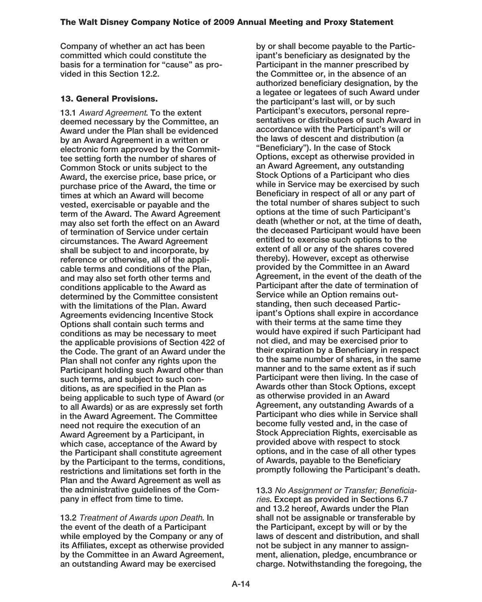**Company of whether an act has been committed which could constitute the basis for a termination for "cause" as provided in this Section 12.2.**

### **13. General Provisions.**

**13.1** Award Agreement**. To the extent deemed necessary by the Committee, an Award under the Plan shall be evidenced by an Award Agreement in a written or electronic form approved by the Committee setting forth the number of shares of Common Stock or units subject to the Award, the exercise price, base price, or purchase price of the Award, the time or times at which an Award will become vested, exercisable or payable and the term of the Award. The Award Agreement may also set forth the effect on an Award of termination of Service under certain circumstances. The Award Agreement shall be subject to and incorporate, by reference or otherwise, all of the applicable terms and conditions of the Plan, and may also set forth other terms and conditions applicable to the Award as determined by the Committee consistent with the limitations of the Plan. Award Agreements evidencing Incentive Stock Options shall contain such terms and conditions as may be necessary to meet the applicable provisions of Section 422 of the Code. The grant of an Award under the Plan shall not confer any rights upon the Participant holding such Award other than such terms, and subject to such conditions, as are specified in the Plan as being applicable to such type of Award (or to all Awards) or as are expressly set forth in the Award Agreement. The Committee need not require the execution of an Award Agreement by a Participant, in which case, acceptance of the Award by the Participant shall constitute agreement by the Participant to the terms, conditions, restrictions and limitations set forth in the Plan and the Award Agreement as well as the administrative guidelines of the Company in effect from time to time.**

**13.2** Treatment of Awards upon Death**. In the event of the death of a Participant while employed by the Company or any of its Affiliates, except as otherwise provided by the Committee in an Award Agreement, an outstanding Award may be exercised**

**by or shall become payable to the Participant's beneficiary as designated by the Participant in the manner prescribed by the Committee or, in the absence of an authorized beneficiary designation, by the a legatee or legatees of such Award under the participant's last will, or by such Participant's executors, personal representatives or distributees of such Award in accordance with the Participant's will or the laws of descent and distribution (a "Beneficiary"). In the case of Stock Options, except as otherwise provided in an Award Agreement, any outstanding Stock Options of a Participant who dies while in Service may be exercised by such Beneficiary in respect of all or any part of the total number of shares subject to such options at the time of such Participant's death (whether or not, at the time of death, the deceased Participant would have been entitled to exercise such options to the extent of all or any of the shares covered thereby). However, except as otherwise provided by the Committee in an Award Agreement, in the event of the death of the Participant after the date of termination of Service while an Option remains outstanding, then such deceased Participant's Options shall expire in accordance with their terms at the same time they would have expired if such Participant had not died, and may be exercised prior to their expiration by a Beneficiary in respect to the same number of shares, in the same manner and to the same extent as if such Participant were then living. In the case of Awards other than Stock Options, except as otherwise provided in an Award Agreement, any outstanding Awards of a Participant who dies while in Service shall become fully vested and, in the case of Stock Appreciation Rights, exercisable as provided above with respect to stock options, and in the case of all other types of Awards, payable to the Beneficiary promptly following the Participant's death.**

**13.3** No Assignment or Transfer; Beneficiaries**. Except as provided in Sections 6.7 and 13.2 hereof, Awards under the Plan shall not be assignable or transferable by the Participant, except by will or by the laws of descent and distribution, and shall not be subject in any manner to assignment, alienation, pledge, encumbrance or charge. Notwithstanding the foregoing, the**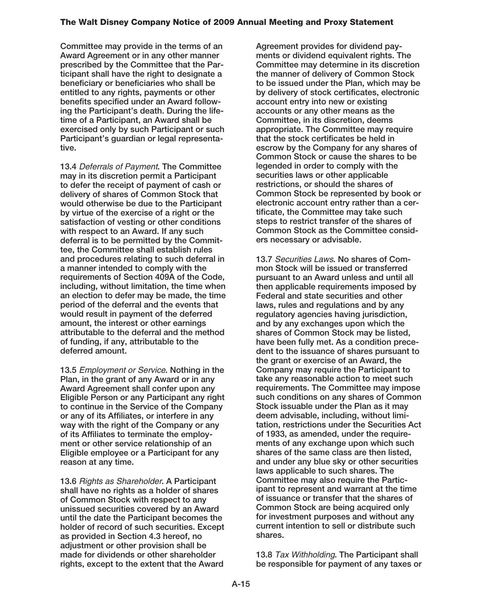**Committee may provide in the terms of an Award Agreement or in any other manner prescribed by the Committee that the Participant shall have the right to designate a beneficiary or beneficiaries who shall be entitled to any rights, payments or other benefits specified under an Award following the Participant's death. During the lifetime of a Participant, an Award shall be exercised only by such Participant or such Participant's guardian or legal representative.**

**13.4** Deferrals of Payment**. The Committee may in its discretion permit a Participant to defer the receipt of payment of cash or delivery of shares of Common Stock that would otherwise be due to the Participant by virtue of the exercise of a right or the satisfaction of vesting or other conditions with respect to an Award. If any such deferral is to be permitted by the Committee, the Committee shall establish rules and procedures relating to such deferral in a manner intended to comply with the requirements of Section 409A of the Code, including, without limitation, the time when an election to defer may be made, the time period of the deferral and the events that would result in payment of the deferred amount, the interest or other earnings attributable to the deferral and the method of funding, if any, attributable to the deferred amount.**

**13.5** Employment or Service**. Nothing in the Plan, in the grant of any Award or in any Award Agreement shall confer upon any Eligible Person or any Participant any right to continue in the Service of the Company or any of its Affiliates, or interfere in any way with the right of the Company or any of its Affiliates to terminate the employment or other service relationship of an Eligible employee or a Participant for any reason at any time.**

**13.6** Rights as Shareholder**. A Participant shall have no rights as a holder of shares of Common Stock with respect to any unissued securities covered by an Award until the date the Participant becomes the holder of record of such securities. Except as provided in Section 4.3 hereof, no adjustment or other provision shall be made for dividends or other shareholder rights, except to the extent that the Award**

**Agreement provides for dividend payments or dividend equivalent rights. The Committee may determine in its discretion the manner of delivery of Common Stock to be issued under the Plan, which may be by delivery of stock certificates, electronic account entry into new or existing accounts or any other means as the Committee, in its discretion, deems appropriate. The Committee may require that the stock certificates be held in escrow by the Company for any shares of Common Stock or cause the shares to be legended in order to comply with the securities laws or other applicable restrictions, or should the shares of Common Stock be represented by book or electronic account entry rather than a certificate, the Committee may take such steps to restrict transfer of the shares of Common Stock as the Committee considers necessary or advisable.**

**13.7** Securities Laws**. No shares of Common Stock will be issued or transferred pursuant to an Award unless and until all then applicable requirements imposed by Federal and state securities and other laws, rules and regulations and by any regulatory agencies having jurisdiction, and by any exchanges upon which the shares of Common Stock may be listed, have been fully met. As a condition precedent to the issuance of shares pursuant to the grant or exercise of an Award, the Company may require the Participant to take any reasonable action to meet such requirements. The Committee may impose such conditions on any shares of Common Stock issuable under the Plan as it may deem advisable, including, without limitation, restrictions under the Securities Act of 1933, as amended, under the requirements of any exchange upon which such shares of the same class are then listed, and under any blue sky or other securities laws applicable to such shares. The Committee may also require the Participant to represent and warrant at the time of issuance or transfer that the shares of Common Stock are being acquired only for investment purposes and without any current intention to sell or distribute such shares.**

**13.8** Tax Withholding**. The Participant shall be responsible for payment of any taxes or**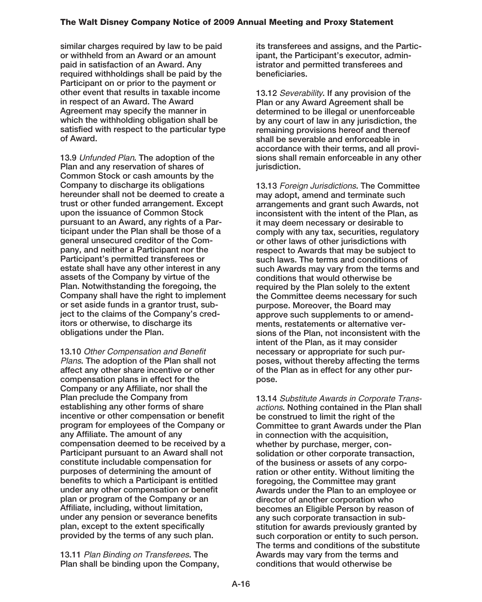**similar charges required by law to be paid or withheld from an Award or an amount paid in satisfaction of an Award. Any required withholdings shall be paid by the Participant on or prior to the payment or other event that results in taxable income in respect of an Award. The Award Agreement may specify the manner in which the withholding obligation shall be satisfied with respect to the particular type of Award.**

**13.9** Unfunded Plan**. The adoption of the Plan and any reservation of shares of Common Stock or cash amounts by the Company to discharge its obligations hereunder shall not be deemed to create a trust or other funded arrangement. Except upon the issuance of Common Stock pursuant to an Award, any rights of a Participant under the Plan shall be those of a general unsecured creditor of the Company, and neither a Participant nor the Participant's permitted transferees or estate shall have any other interest in any assets of the Company by virtue of the Plan. Notwithstanding the foregoing, the Company shall have the right to implement or set aside funds in a grantor trust, subject to the claims of the Company's creditors or otherwise, to discharge its obligations under the Plan.**

**13.10** Other Compensation and Benefit Plans**. The adoption of the Plan shall not affect any other share incentive or other compensation plans in effect for the Company or any Affiliate, nor shall the Plan preclude the Company from establishing any other forms of share incentive or other compensation or benefit program for employees of the Company or any Affiliate. The amount of any compensation deemed to be received by a Participant pursuant to an Award shall not constitute includable compensation for purposes of determining the amount of benefits to which a Participant is entitled under any other compensation or benefit plan or program of the Company or an Affiliate, including, without limitation, under any pension or severance benefits plan, except to the extent specifically provided by the terms of any such plan.**

**13.11** Plan Binding on Transferees**. The Plan shall be binding upon the Company,** **its transferees and assigns, and the Participant, the Participant's executor, administrator and permitted transferees and beneficiaries.**

**13.12** Severability**. If any provision of the Plan or any Award Agreement shall be determined to be illegal or unenforceable by any court of law in any jurisdiction, the remaining provisions hereof and thereof shall be severable and enforceable in accordance with their terms, and all provisions shall remain enforceable in any other jurisdiction.**

**13.13** Foreign Jurisdictions**. The Committee may adopt, amend and terminate such arrangements and grant such Awards, not inconsistent with the intent of the Plan, as it may deem necessary or desirable to comply with any tax, securities, regulatory or other laws of other jurisdictions with respect to Awards that may be subject to such laws. The terms and conditions of such Awards may vary from the terms and conditions that would otherwise be required by the Plan solely to the extent the Committee deems necessary for such purpose. Moreover, the Board may approve such supplements to or amendments, restatements or alternative versions of the Plan, not inconsistent with the intent of the Plan, as it may consider necessary or appropriate for such purposes, without thereby affecting the terms of the Plan as in effect for any other purpose.**

**13.14** Substitute Awards in Corporate Transactions**. Nothing contained in the Plan shall be construed to limit the right of the Committee to grant Awards under the Plan in connection with the acquisition, whether by purchase, merger, consolidation or other corporate transaction, of the business or assets of any corporation or other entity. Without limiting the foregoing, the Committee may grant Awards under the Plan to an employee or director of another corporation who becomes an Eligible Person by reason of any such corporate transaction in substitution for awards previously granted by such corporation or entity to such person. The terms and conditions of the substitute Awards may vary from the terms and conditions that would otherwise be**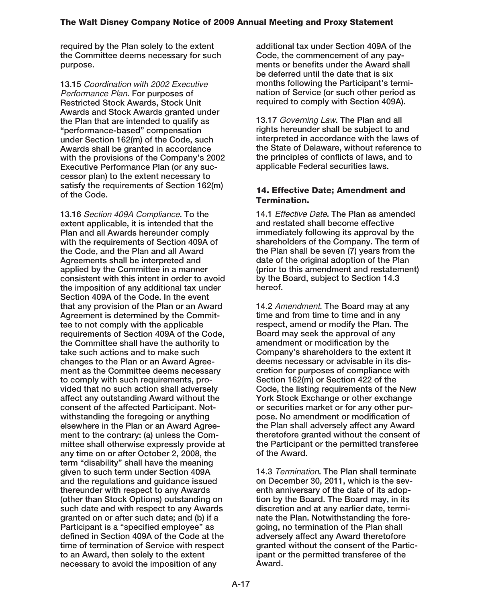**required by the Plan solely to the extent the Committee deems necessary for such purpose.**

**13.15** Coordination with 2002 Executive Performance Plan**. For purposes of Restricted Stock Awards, Stock Unit Awards and Stock Awards granted under the Plan that are intended to qualify as "performance-based" compensation under Section 162(m) of the Code, such Awards shall be granted in accordance with the provisions of the Company's 2002 Executive Performance Plan (or any successor plan) to the extent necessary to satisfy the requirements of Section 162(m) of the Code.**

**13.16** Section 409A Compliance**. To the extent applicable, it is intended that the Plan and all Awards hereunder comply with the requirements of Section 409A of the Code, and the Plan and all Award Agreements shall be interpreted and applied by the Committee in a manner consistent with this intent in order to avoid the imposition of any additional tax under Section 409A of the Code. In the event that any provision of the Plan or an Award Agreement is determined by the Committee to not comply with the applicable requirements of Section 409A of the Code, the Committee shall have the authority to take such actions and to make such changes to the Plan or an Award Agreement as the Committee deems necessary to comply with such requirements, provided that no such action shall adversely affect any outstanding Award without the consent of the affected Participant. Notwithstanding the foregoing or anything elsewhere in the Plan or an Award Agreement to the contrary: (a) unless the Committee shall otherwise expressly provide at any time on or after October 2, 2008, the term "disability" shall have the meaning given to such term under Section 409A and the regulations and guidance issued thereunder with respect to any Awards (other than Stock Options) outstanding on such date and with respect to any Awards granted on or after such date; and (b) if a Participant is a "specified employee" as defined in Section 409A of the Code at the time of termination of Service with respect to an Award, then solely to the extent necessary to avoid the imposition of any**

**additional tax under Section 409A of the Code, the commencement of any payments or benefits under the Award shall be deferred until the date that is six months following the Participant's termination of Service (or such other period as required to comply with Section 409A).**

**13.17** Governing Law**. The Plan and all rights hereunder shall be subject to and interpreted in accordance with the laws of the State of Delaware, without reference to the principles of conflicts of laws, and to applicable Federal securities laws.**

### **14. Effective Date; Amendment and Termination.**

**14.1** Effective Date**. The Plan as amended and restated shall become effective immediately following its approval by the shareholders of the Company. The term of the Plan shall be seven (7) years from the date of the original adoption of the Plan (prior to this amendment and restatement) by the Board, subject to Section 14.3 hereof.**

**14.2** Amendment**. The Board may at any time and from time to time and in any respect, amend or modify the Plan. The Board may seek the approval of any amendment or modification by the Company's shareholders to the extent it deems necessary or advisable in its discretion for purposes of compliance with Section 162(m) or Section 422 of the Code, the listing requirements of the New York Stock Exchange or other exchange or securities market or for any other purpose. No amendment or modification of the Plan shall adversely affect any Award theretofore granted without the consent of the Participant or the permitted transferee of the Award.**

**14.3** Termination**. The Plan shall terminate on December 30, 2011, which is the seventh anniversary of the date of its adoption by the Board. The Board may, in its discretion and at any earlier date, terminate the Plan. Notwithstanding the foregoing, no termination of the Plan shall adversely affect any Award theretofore granted without the consent of the Participant or the permitted transferee of the Award.**